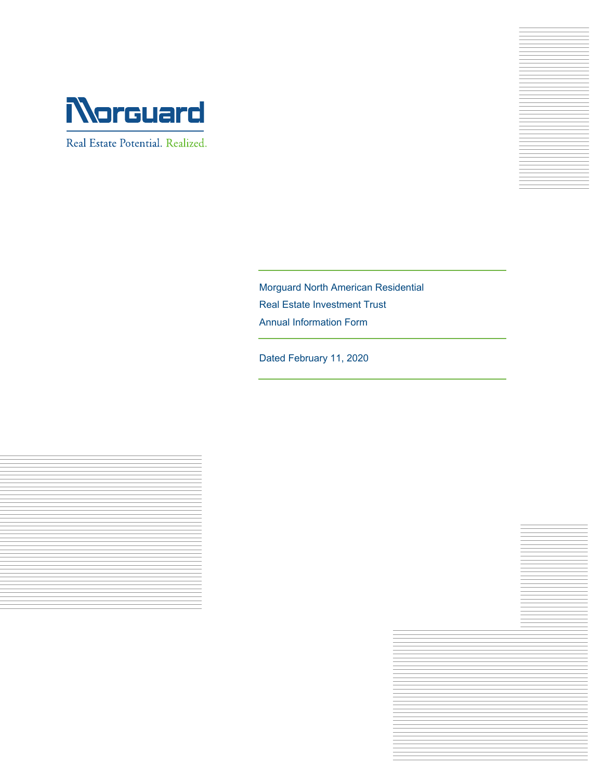

Real Estate Potential. Realized.



Morguard North American Residential Real Estate Investment Trust Annual Information Form

Dated February 11, 2020



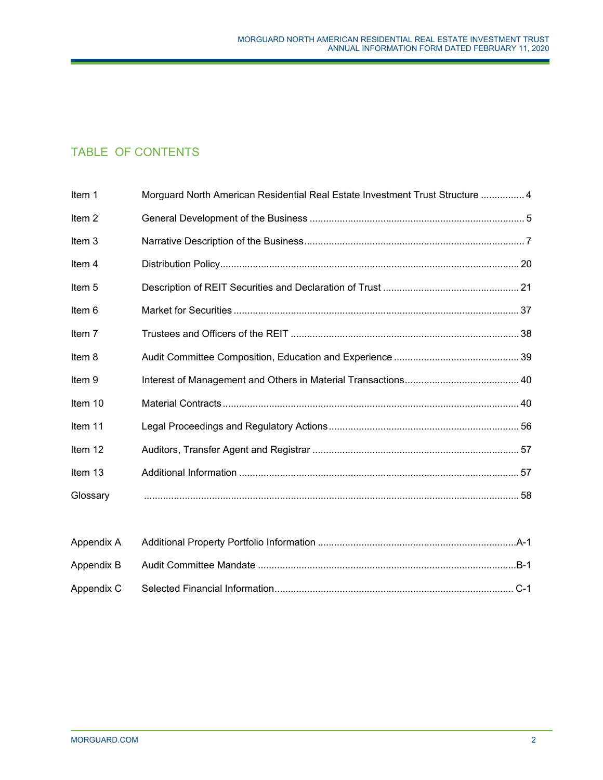# TABLE OF CONTENTS

| Item 1            | Morguard North American Residential Real Estate Investment Trust Structure  4 |  |
|-------------------|-------------------------------------------------------------------------------|--|
| Item <sub>2</sub> |                                                                               |  |
| Item 3            |                                                                               |  |
| Item 4            |                                                                               |  |
| Item 5            |                                                                               |  |
| Item 6            |                                                                               |  |
| Item 7            |                                                                               |  |
| Item 8            |                                                                               |  |
| Item 9            |                                                                               |  |
| Item 10           |                                                                               |  |
| Item 11           |                                                                               |  |
| Item 12           |                                                                               |  |
| Item 13           |                                                                               |  |
| Glossary          |                                                                               |  |
|                   |                                                                               |  |
| Appendix A        |                                                                               |  |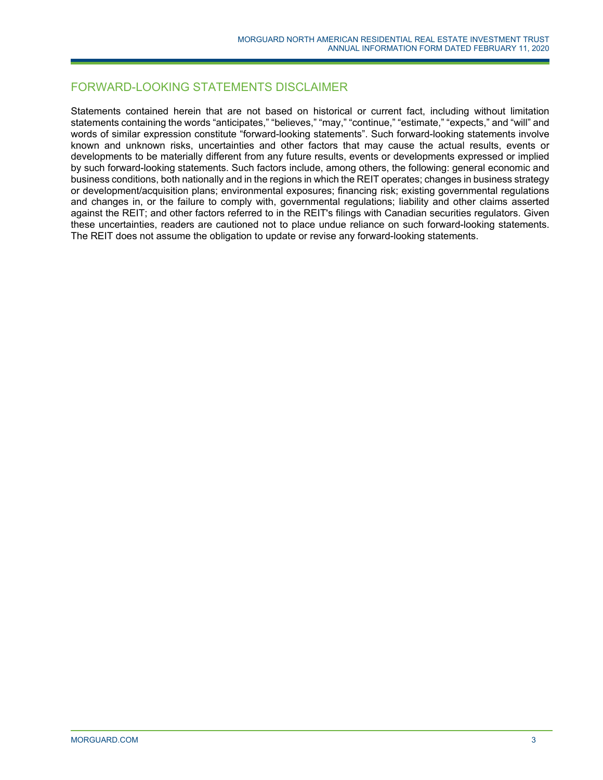## FORWARD-LOOKING STATEMENTS DISCLAIMER

Statements contained herein that are not based on historical or current fact, including without limitation statements containing the words "anticipates," "believes," "may," "continue," "estimate," "expects," and "will" and words of similar expression constitute "forward-looking statements". Such forward-looking statements involve known and unknown risks, uncertainties and other factors that may cause the actual results, events or developments to be materially different from any future results, events or developments expressed or implied by such forward-looking statements. Such factors include, among others, the following: general economic and business conditions, both nationally and in the regions in which the REIT operates; changes in business strategy or development/acquisition plans; environmental exposures; financing risk; existing governmental regulations and changes in, or the failure to comply with, governmental regulations; liability and other claims asserted against the REIT; and other factors referred to in the REIT's filings with Canadian securities regulators. Given these uncertainties, readers are cautioned not to place undue reliance on such forward-looking statements. The REIT does not assume the obligation to update or revise any forward-looking statements.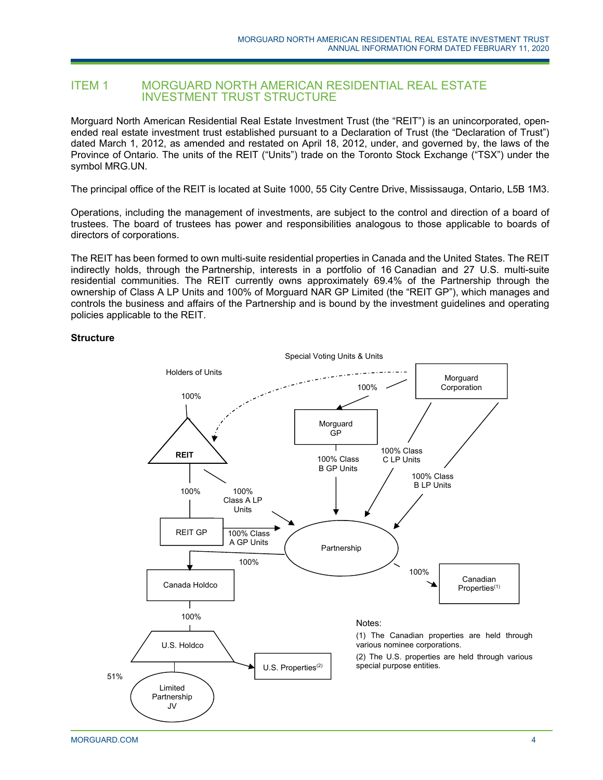## ITEM 1 MORGUARD NORTH AMERICAN RESIDENTIAL REAL ESTATE INVESTMENT TRUST STRUCTURE

Morguard North American Residential Real Estate Investment Trust (the "REIT") is an unincorporated, openended real estate investment trust established pursuant to a Declaration of Trust (the "Declaration of Trust") dated March 1, 2012, as amended and restated on April 18, 2012, under, and governed by, the laws of the Province of Ontario. The units of the REIT ("Units") trade on the Toronto Stock Exchange ("TSX") under the symbol MRG.UN.

The principal office of the REIT is located at Suite 1000, 55 City Centre Drive, Mississauga, Ontario, L5B 1M3.

Operations, including the management of investments, are subject to the control and direction of a board of trustees. The board of trustees has power and responsibilities analogous to those applicable to boards of directors of corporations.

The REIT has been formed to own multi-suite residential properties in Canada and the United States. The REIT indirectly holds, through the Partnership, interests in a portfolio of 16 Canadian and 27 U.S. multi-suite residential communities. The REIT currently owns approximately 69.4% of the Partnership through the ownership of Class A LP Units and 100% of Morguard NAR GP Limited (the "REIT GP"), which manages and controls the business and affairs of the Partnership and is bound by the investment guidelines and operating policies applicable to the REIT.

### **Structure**

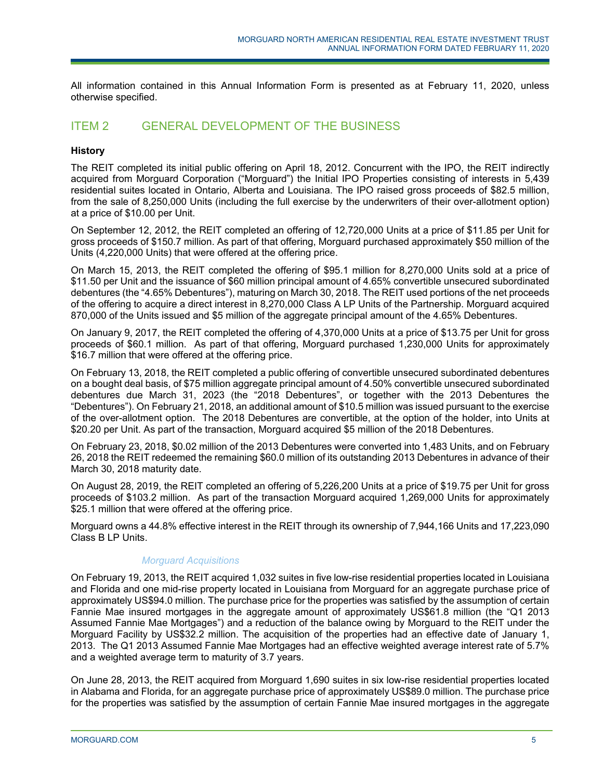All information contained in this Annual Information Form is presented as at February 11, 2020, unless otherwise specified.

## ITEM 2 GENERAL DEVELOPMENT OF THE BUSINESS

### **History**

The REIT completed its initial public offering on April 18, 2012. Concurrent with the IPO, the REIT indirectly acquired from Morguard Corporation ("Morguard") the Initial IPO Properties consisting of interests in 5,439 residential suites located in Ontario, Alberta and Louisiana. The IPO raised gross proceeds of \$82.5 million, from the sale of 8,250,000 Units (including the full exercise by the underwriters of their over-allotment option) at a price of \$10.00 per Unit.

On September 12, 2012, the REIT completed an offering of 12,720,000 Units at a price of \$11.85 per Unit for gross proceeds of \$150.7 million. As part of that offering, Morguard purchased approximately \$50 million of the Units (4,220,000 Units) that were offered at the offering price.

On March 15, 2013, the REIT completed the offering of \$95.1 million for 8,270,000 Units sold at a price of \$11.50 per Unit and the issuance of \$60 million principal amount of 4.65% convertible unsecured subordinated debentures (the "4.65% Debentures"), maturing on March 30, 2018. The REIT used portions of the net proceeds of the offering to acquire a direct interest in 8,270,000 Class A LP Units of the Partnership. Morguard acquired 870,000 of the Units issued and \$5 million of the aggregate principal amount of the 4.65% Debentures.

On January 9, 2017, the REIT completed the offering of 4,370,000 Units at a price of \$13.75 per Unit for gross proceeds of \$60.1 million. As part of that offering, Morguard purchased 1,230,000 Units for approximately \$16.7 million that were offered at the offering price.

On February 13, 2018, the REIT completed a public offering of convertible unsecured subordinated debentures on a bought deal basis, of \$75 million aggregate principal amount of 4.50% convertible unsecured subordinated debentures due March 31, 2023 (the "2018 Debentures", or together with the 2013 Debentures the "Debentures"). On February 21, 2018, an additional amount of \$10.5 million was issued pursuant to the exercise of the over-allotment option. The 2018 Debentures are convertible, at the option of the holder, into Units at \$20.20 per Unit. As part of the transaction, Morguard acquired \$5 million of the 2018 Debentures.

On February 23, 2018, \$0.02 million of the 2013 Debentures were converted into 1,483 Units, and on February 26, 2018 the REIT redeemed the remaining \$60.0 million of its outstanding 2013 Debentures in advance of their March 30, 2018 maturity date.

On August 28, 2019, the REIT completed an offering of 5,226,200 Units at a price of \$19.75 per Unit for gross proceeds of \$103.2 million. As part of the transaction Morguard acquired 1,269,000 Units for approximately \$25.1 million that were offered at the offering price.

Morguard owns a 44.8% effective interest in the REIT through its ownership of 7,944,166 Units and 17,223,090 Class B LP Units.

## *Morguard Acquisitions*

On February 19, 2013, the REIT acquired 1,032 suites in five low-rise residential properties located in Louisiana and Florida and one mid-rise property located in Louisiana from Morguard for an aggregate purchase price of approximately US\$94.0 million. The purchase price for the properties was satisfied by the assumption of certain Fannie Mae insured mortgages in the aggregate amount of approximately US\$61.8 million (the "Q1 2013 Assumed Fannie Mae Mortgages") and a reduction of the balance owing by Morguard to the REIT under the Morguard Facility by US\$32.2 million. The acquisition of the properties had an effective date of January 1, 2013. The Q1 2013 Assumed Fannie Mae Mortgages had an effective weighted average interest rate of 5.7% and a weighted average term to maturity of 3.7 years.

On June 28, 2013, the REIT acquired from Morguard 1,690 suites in six low-rise residential properties located in Alabama and Florida, for an aggregate purchase price of approximately US\$89.0 million. The purchase price for the properties was satisfied by the assumption of certain Fannie Mae insured mortgages in the aggregate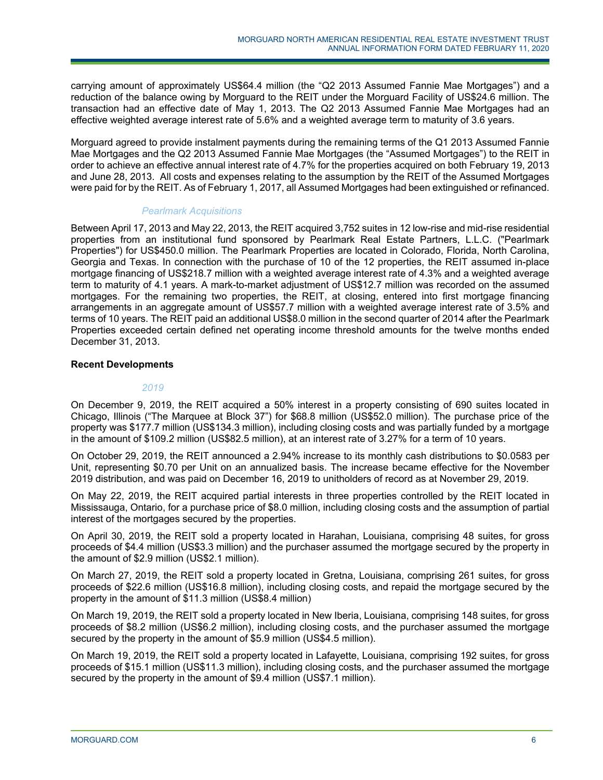carrying amount of approximately US\$64.4 million (the "Q2 2013 Assumed Fannie Mae Mortgages") and a reduction of the balance owing by Morguard to the REIT under the Morguard Facility of US\$24.6 million. The transaction had an effective date of May 1, 2013. The Q2 2013 Assumed Fannie Mae Mortgages had an effective weighted average interest rate of 5.6% and a weighted average term to maturity of 3.6 years.

Morguard agreed to provide instalment payments during the remaining terms of the Q1 2013 Assumed Fannie Mae Mortgages and the Q2 2013 Assumed Fannie Mae Mortgages (the "Assumed Mortgages") to the REIT in order to achieve an effective annual interest rate of 4.7% for the properties acquired on both February 19, 2013 and June 28, 2013. All costs and expenses relating to the assumption by the REIT of the Assumed Mortgages were paid for by the REIT. As of February 1, 2017, all Assumed Mortgages had been extinguished or refinanced.

### *Pearlmark Acquisitions*

Between April 17, 2013 and May 22, 2013, the REIT acquired 3,752 suites in 12 low-rise and mid-rise residential properties from an institutional fund sponsored by Pearlmark Real Estate Partners, L.L.C. ("Pearlmark Properties") for US\$450.0 million. The Pearlmark Properties are located in Colorado, Florida, North Carolina, Georgia and Texas. In connection with the purchase of 10 of the 12 properties, the REIT assumed in-place mortgage financing of US\$218.7 million with a weighted average interest rate of 4.3% and a weighted average term to maturity of 4.1 years. A mark-to-market adjustment of US\$12.7 million was recorded on the assumed mortgages. For the remaining two properties, the REIT, at closing, entered into first mortgage financing arrangements in an aggregate amount of US\$57.7 million with a weighted average interest rate of 3.5% and terms of 10 years. The REIT paid an additional US\$8.0 million in the second quarter of 2014 after the Pearlmark Properties exceeded certain defined net operating income threshold amounts for the twelve months ended December 31, 2013.

### **Recent Developments**

### *2019*

On December 9, 2019, the REIT acquired a 50% interest in a property consisting of 690 suites located in Chicago, Illinois ("The Marquee at Block 37") for \$68.8 million (US\$52.0 million). The purchase price of the property was \$177.7 million (US\$134.3 million), including closing costs and was partially funded by a mortgage in the amount of \$109.2 million (US\$82.5 million), at an interest rate of 3.27% for a term of 10 years.

On October 29, 2019, the REIT announced a 2.94% increase to its monthly cash distributions to \$0.0583 per Unit, representing \$0.70 per Unit on an annualized basis. The increase became effective for the November 2019 distribution, and was paid on December 16, 2019 to unitholders of record as at November 29, 2019.

On May 22, 2019, the REIT acquired partial interests in three properties controlled by the REIT located in Mississauga, Ontario, for a purchase price of \$8.0 million, including closing costs and the assumption of partial interest of the mortgages secured by the properties.

On April 30, 2019, the REIT sold a property located in Harahan, Louisiana, comprising 48 suites, for gross proceeds of \$4.4 million (US\$3.3 million) and the purchaser assumed the mortgage secured by the property in the amount of \$2.9 million (US\$2.1 million).

On March 27, 2019, the REIT sold a property located in Gretna, Louisiana, comprising 261 suites, for gross proceeds of \$22.6 million (US\$16.8 million), including closing costs, and repaid the mortgage secured by the property in the amount of \$11.3 million (US\$8.4 million)

On March 19, 2019, the REIT sold a property located in New Iberia, Louisiana, comprising 148 suites, for gross proceeds of \$8.2 million (US\$6.2 million), including closing costs, and the purchaser assumed the mortgage secured by the property in the amount of \$5.9 million (US\$4.5 million).

On March 19, 2019, the REIT sold a property located in Lafayette, Louisiana, comprising 192 suites, for gross proceeds of \$15.1 million (US\$11.3 million), including closing costs, and the purchaser assumed the mortgage secured by the property in the amount of \$9.4 million (US\$7.1 million).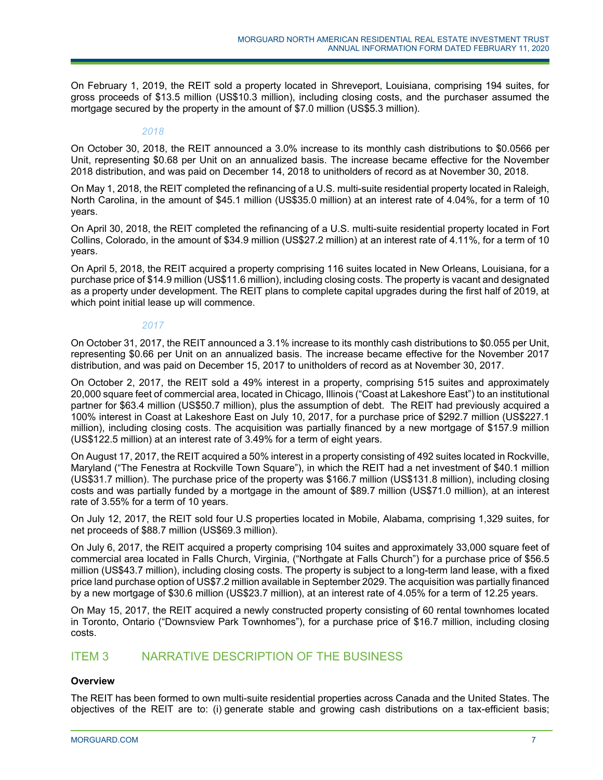On February 1, 2019, the REIT sold a property located in Shreveport, Louisiana, comprising 194 suites, for gross proceeds of \$13.5 million (US\$10.3 million), including closing costs, and the purchaser assumed the mortgage secured by the property in the amount of \$7.0 million (US\$5.3 million).

### *2018*

On October 30, 2018, the REIT announced a 3.0% increase to its monthly cash distributions to \$0.0566 per Unit, representing \$0.68 per Unit on an annualized basis. The increase became effective for the November 2018 distribution, and was paid on December 14, 2018 to unitholders of record as at November 30, 2018.

On May 1, 2018, the REIT completed the refinancing of a U.S. multi-suite residential property located in Raleigh, North Carolina, in the amount of \$45.1 million (US\$35.0 million) at an interest rate of 4.04%, for a term of 10 years.

On April 30, 2018, the REIT completed the refinancing of a U.S. multi-suite residential property located in Fort Collins, Colorado, in the amount of \$34.9 million (US\$27.2 million) at an interest rate of 4.11%, for a term of 10 years.

On April 5, 2018, the REIT acquired a property comprising 116 suites located in New Orleans, Louisiana, for a purchase price of \$14.9 million (US\$11.6 million), including closing costs. The property is vacant and designated as a property under development. The REIT plans to complete capital upgrades during the first half of 2019, at which point initial lease up will commence.

### *2017*

On October 31, 2017, the REIT announced a 3.1% increase to its monthly cash distributions to \$0.055 per Unit, representing \$0.66 per Unit on an annualized basis. The increase became effective for the November 2017 distribution, and was paid on December 15, 2017 to unitholders of record as at November 30, 2017.

On October 2, 2017, the REIT sold a 49% interest in a property, comprising 515 suites and approximately 20,000 square feet of commercial area, located in Chicago, Illinois ("Coast at Lakeshore East") to an institutional partner for \$63.4 million (US\$50.7 million), plus the assumption of debt. The REIT had previously acquired a 100% interest in Coast at Lakeshore East on July 10, 2017, for a purchase price of \$292.7 million (US\$227.1 million), including closing costs. The acquisition was partially financed by a new mortgage of \$157.9 million (US\$122.5 million) at an interest rate of 3.49% for a term of eight years.

On August 17, 2017, the REIT acquired a 50% interest in a property consisting of 492 suites located in Rockville, Maryland ("The Fenestra at Rockville Town Square"), in which the REIT had a net investment of \$40.1 million (US\$31.7 million). The purchase price of the property was \$166.7 million (US\$131.8 million), including closing costs and was partially funded by a mortgage in the amount of \$89.7 million (US\$71.0 million), at an interest rate of 3.55% for a term of 10 years.

On July 12, 2017, the REIT sold four U.S properties located in Mobile, Alabama, comprising 1,329 suites, for net proceeds of \$88.7 million (US\$69.3 million).

On July 6, 2017, the REIT acquired a property comprising 104 suites and approximately 33,000 square feet of commercial area located in Falls Church, Virginia, ("Northgate at Falls Church") for a purchase price of \$56.5 million (US\$43.7 million), including closing costs. The property is subject to a long-term land lease, with a fixed price land purchase option of US\$7.2 million available in September 2029. The acquisition was partially financed by a new mortgage of \$30.6 million (US\$23.7 million), at an interest rate of 4.05% for a term of 12.25 years.

On May 15, 2017, the REIT acquired a newly constructed property consisting of 60 rental townhomes located in Toronto, Ontario ("Downsview Park Townhomes"), for a purchase price of \$16.7 million, including closing costs.

## ITEM 3 NARRATIVE DESCRIPTION OF THE BUSINESS

## **Overview**

The REIT has been formed to own multi-suite residential properties across Canada and the United States. The objectives of the REIT are to: (i) generate stable and growing cash distributions on a tax-efficient basis;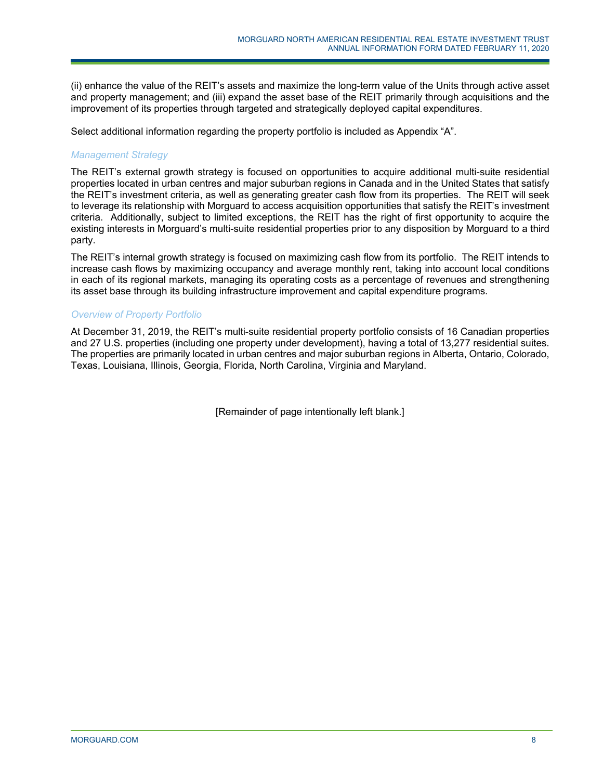(ii) enhance the value of the REIT's assets and maximize the long-term value of the Units through active asset and property management; and (iii) expand the asset base of the REIT primarily through acquisitions and the improvement of its properties through targeted and strategically deployed capital expenditures.

Select additional information regarding the property portfolio is included as Appendix "A".

## *Management Strategy*

The REIT's external growth strategy is focused on opportunities to acquire additional multi-suite residential properties located in urban centres and major suburban regions in Canada and in the United States that satisfy the REIT's investment criteria, as well as generating greater cash flow from its properties. The REIT will seek to leverage its relationship with Morguard to access acquisition opportunities that satisfy the REIT's investment criteria. Additionally, subject to limited exceptions, the REIT has the right of first opportunity to acquire the existing interests in Morguard's multi-suite residential properties prior to any disposition by Morguard to a third party.

The REIT's internal growth strategy is focused on maximizing cash flow from its portfolio. The REIT intends to increase cash flows by maximizing occupancy and average monthly rent, taking into account local conditions in each of its regional markets, managing its operating costs as a percentage of revenues and strengthening its asset base through its building infrastructure improvement and capital expenditure programs.

### *Overview of Property Portfolio*

At December 31, 2019, the REIT's multi-suite residential property portfolio consists of 16 Canadian properties and 27 U.S. properties (including one property under development), having a total of 13,277 residential suites. The properties are primarily located in urban centres and major suburban regions in Alberta, Ontario, Colorado, Texas, Louisiana, Illinois, Georgia, Florida, North Carolina, Virginia and Maryland.

[Remainder of page intentionally left blank.]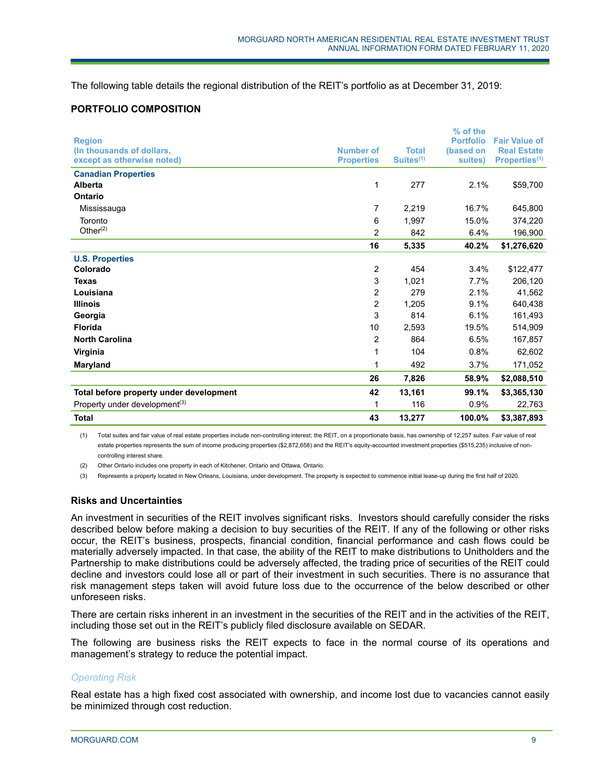The following table details the regional distribution of the REIT's portfolio as at December 31, 2019:

### **PORTFOLIO COMPOSITION**

|                                           |                   |                       | % of the         |                           |
|-------------------------------------------|-------------------|-----------------------|------------------|---------------------------|
| <b>Region</b>                             |                   |                       | <b>Portfolio</b> | <b>Fair Value of</b>      |
| (In thousands of dollars,                 | <b>Number of</b>  | <b>Total</b>          | (based on        | <b>Real Estate</b>        |
| except as otherwise noted)                | <b>Properties</b> | Suites <sup>(1)</sup> | suites)          | Properties <sup>(1)</sup> |
| <b>Canadian Properties</b>                |                   |                       |                  |                           |
| Alberta                                   | 1                 | 277                   | 2.1%             | \$59,700                  |
| Ontario                                   |                   |                       |                  |                           |
| Mississauga                               | 7                 | 2,219                 | 16.7%            | 645,800                   |
| Toronto                                   | 6                 | 1,997                 | 15.0%            | 374,220                   |
| Other $(2)$                               | 2                 | 842                   | 6.4%             | 196,900                   |
|                                           | 16                | 5,335                 | 40.2%            | \$1,276,620               |
| <b>U.S. Properties</b>                    |                   |                       |                  |                           |
| Colorado                                  | $\overline{c}$    | 454                   | 3.4%             | \$122,477                 |
| <b>Texas</b>                              | 3                 | 1,021                 | 7.7%             | 206,120                   |
| Louisiana                                 | 2                 | 279                   | 2.1%             | 41,562                    |
| <b>Illinois</b>                           | 2                 | 1,205                 | 9.1%             | 640,438                   |
| Georgia                                   | 3                 | 814                   | 6.1%             | 161,493                   |
| <b>Florida</b>                            | 10                | 2,593                 | 19.5%            | 514,909                   |
| <b>North Carolina</b>                     | $\overline{2}$    | 864                   | 6.5%             | 167,857                   |
| Virginia                                  | 1                 | 104                   | 0.8%             | 62,602                    |
| Maryland                                  | 1                 | 492                   | 3.7%             | 171,052                   |
|                                           | 26                | 7,826                 | 58.9%            | \$2,088,510               |
| Total before property under development   | 42                | 13,161                | 99.1%            | \$3,365,130               |
| Property under development <sup>(3)</sup> | 1                 | 116                   | 0.9%             | 22,763                    |
| <b>Total</b>                              | 43                | 13,277                | 100.0%           | \$3,387,893               |

(1) Total suites and fair value of real estate properties include non-controlling interest; the REIT, on a proportionate basis, has ownership of 12,257 suites. Fair value of real estate properties represents the sum of income producing properties (\$2,872,658) and the REIT's equity-accounted investment properties (\$515,235) inclusive of noncontrolling interest share.

(2) Other Ontario includes one property in each of Kitchener, Ontario and Ottawa, Ontario.

(3) Represents a property located in New Orleans, Louisiana, under development. The property is expected to commence initial lease-up during the first half of 2020.

### **Risks and Uncertainties**

An investment in securities of the REIT involves significant risks. Investors should carefully consider the risks described below before making a decision to buy securities of the REIT. If any of the following or other risks occur, the REIT's business, prospects, financial condition, financial performance and cash flows could be materially adversely impacted. In that case, the ability of the REIT to make distributions to Unitholders and the Partnership to make distributions could be adversely affected, the trading price of securities of the REIT could decline and investors could lose all or part of their investment in such securities. There is no assurance that risk management steps taken will avoid future loss due to the occurrence of the below described or other unforeseen risks.

There are certain risks inherent in an investment in the securities of the REIT and in the activities of the REIT, including those set out in the REIT's publicly filed disclosure available on SEDAR.

The following are business risks the REIT expects to face in the normal course of its operations and management's strategy to reduce the potential impact.

### *Operating Risk*

Real estate has a high fixed cost associated with ownership, and income lost due to vacancies cannot easily be minimized through cost reduction.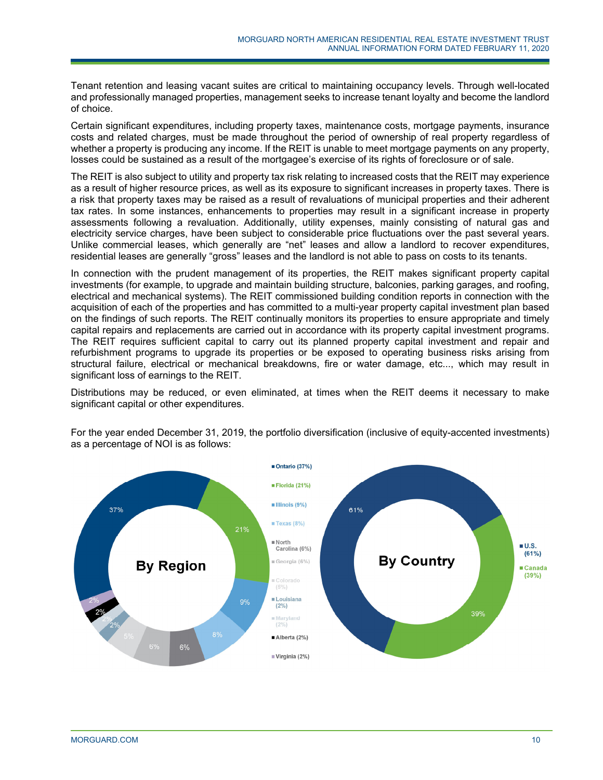Tenant retention and leasing vacant suites are critical to maintaining occupancy levels. Through well-located and professionally managed properties, management seeks to increase tenant loyalty and become the landlord of choice.

Certain significant expenditures, including property taxes, maintenance costs, mortgage payments, insurance costs and related charges, must be made throughout the period of ownership of real property regardless of whether a property is producing any income. If the REIT is unable to meet mortgage payments on any property, losses could be sustained as a result of the mortgagee's exercise of its rights of foreclosure or of sale.

The REIT is also subject to utility and property tax risk relating to increased costs that the REIT may experience as a result of higher resource prices, as well as its exposure to significant increases in property taxes. There is a risk that property taxes may be raised as a result of revaluations of municipal properties and their adherent tax rates. In some instances, enhancements to properties may result in a significant increase in property assessments following a revaluation. Additionally, utility expenses, mainly consisting of natural gas and electricity service charges, have been subject to considerable price fluctuations over the past several years. Unlike commercial leases, which generally are "net" leases and allow a landlord to recover expenditures, residential leases are generally "gross" leases and the landlord is not able to pass on costs to its tenants.

In connection with the prudent management of its properties, the REIT makes significant property capital investments (for example, to upgrade and maintain building structure, balconies, parking garages, and roofing, electrical and mechanical systems). The REIT commissioned building condition reports in connection with the acquisition of each of the properties and has committed to a multi-year property capital investment plan based on the findings of such reports. The REIT continually monitors its properties to ensure appropriate and timely capital repairs and replacements are carried out in accordance with its property capital investment programs. The REIT requires sufficient capital to carry out its planned property capital investment and repair and refurbishment programs to upgrade its properties or be exposed to operating business risks arising from structural failure, electrical or mechanical breakdowns, fire or water damage, etc..., which may result in significant loss of earnings to the REIT.

Distributions may be reduced, or even eliminated, at times when the REIT deems it necessary to make significant capital or other expenditures.



For the year ended December 31, 2019, the portfolio diversification (inclusive of equity-accented investments) as a percentage of NOI is as follows: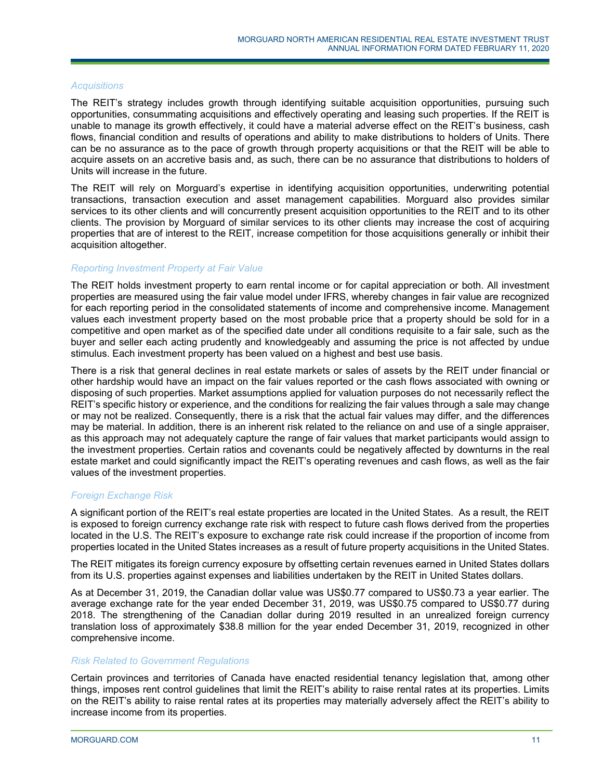### *Acquisitions*

The REIT's strategy includes growth through identifying suitable acquisition opportunities, pursuing such opportunities, consummating acquisitions and effectively operating and leasing such properties. If the REIT is unable to manage its growth effectively, it could have a material adverse effect on the REIT's business, cash flows, financial condition and results of operations and ability to make distributions to holders of Units. There can be no assurance as to the pace of growth through property acquisitions or that the REIT will be able to acquire assets on an accretive basis and, as such, there can be no assurance that distributions to holders of Units will increase in the future.

The REIT will rely on Morguard's expertise in identifying acquisition opportunities, underwriting potential transactions, transaction execution and asset management capabilities. Morguard also provides similar services to its other clients and will concurrently present acquisition opportunities to the REIT and to its other clients. The provision by Morguard of similar services to its other clients may increase the cost of acquiring properties that are of interest to the REIT, increase competition for those acquisitions generally or inhibit their acquisition altogether.

### *Reporting Investment Property at Fair Value*

The REIT holds investment property to earn rental income or for capital appreciation or both. All investment properties are measured using the fair value model under IFRS, whereby changes in fair value are recognized for each reporting period in the consolidated statements of income and comprehensive income. Management values each investment property based on the most probable price that a property should be sold for in a competitive and open market as of the specified date under all conditions requisite to a fair sale, such as the buyer and seller each acting prudently and knowledgeably and assuming the price is not affected by undue stimulus. Each investment property has been valued on a highest and best use basis.

There is a risk that general declines in real estate markets or sales of assets by the REIT under financial or other hardship would have an impact on the fair values reported or the cash flows associated with owning or disposing of such properties. Market assumptions applied for valuation purposes do not necessarily reflect the REIT's specific history or experience, and the conditions for realizing the fair values through a sale may change or may not be realized. Consequently, there is a risk that the actual fair values may differ, and the differences may be material. In addition, there is an inherent risk related to the reliance on and use of a single appraiser, as this approach may not adequately capture the range of fair values that market participants would assign to the investment properties. Certain ratios and covenants could be negatively affected by downturns in the real estate market and could significantly impact the REIT's operating revenues and cash flows, as well as the fair values of the investment properties.

### *Foreign Exchange Risk*

A significant portion of the REIT's real estate properties are located in the United States. As a result, the REIT is exposed to foreign currency exchange rate risk with respect to future cash flows derived from the properties located in the U.S. The REIT's exposure to exchange rate risk could increase if the proportion of income from properties located in the United States increases as a result of future property acquisitions in the United States.

The REIT mitigates its foreign currency exposure by offsetting certain revenues earned in United States dollars from its U.S. properties against expenses and liabilities undertaken by the REIT in United States dollars.

As at December 31, 2019, the Canadian dollar value was US\$0.77 compared to US\$0.73 a year earlier. The average exchange rate for the year ended December 31, 2019, was US\$0.75 compared to US\$0.77 during 2018. The strengthening of the Canadian dollar during 2019 resulted in an unrealized foreign currency translation loss of approximately \$38.8 million for the year ended December 31, 2019, recognized in other comprehensive income.

### *Risk Related to Government Regulations*

Certain provinces and territories of Canada have enacted residential tenancy legislation that, among other things, imposes rent control guidelines that limit the REIT's ability to raise rental rates at its properties. Limits on the REIT's ability to raise rental rates at its properties may materially adversely affect the REIT's ability to increase income from its properties.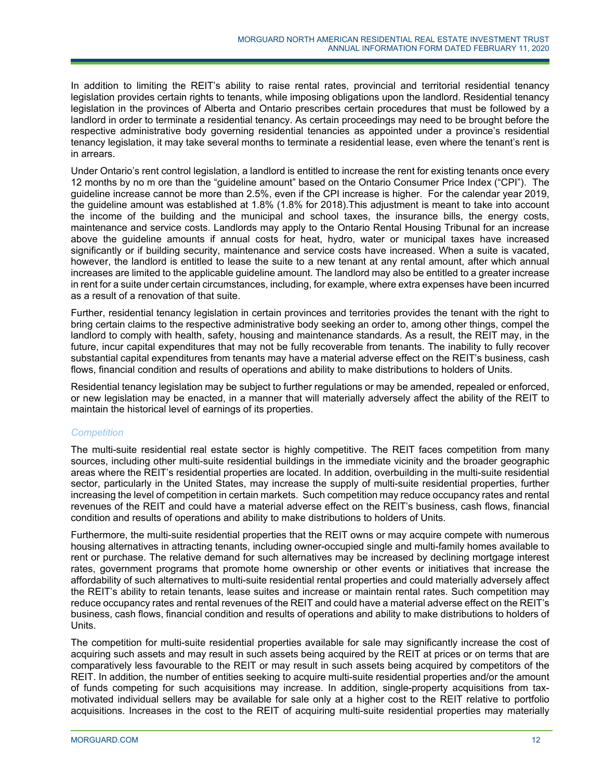In addition to limiting the REIT's ability to raise rental rates, provincial and territorial residential tenancy legislation provides certain rights to tenants, while imposing obligations upon the landlord. Residential tenancy legislation in the provinces of Alberta and Ontario prescribes certain procedures that must be followed by a landlord in order to terminate a residential tenancy. As certain proceedings may need to be brought before the respective administrative body governing residential tenancies as appointed under a province's residential tenancy legislation, it may take several months to terminate a residential lease, even where the tenant's rent is in arrears.

Under Ontario's rent control legislation, a landlord is entitled to increase the rent for existing tenants once every 12 months by no m ore than the "guideline amount" based on the Ontario Consumer Price Index ("CPI"). The guideline increase cannot be more than 2.5%, even if the CPI increase is higher. For the calendar year 2019, the guideline amount was established at 1.8% (1.8% for 2018).This adjustment is meant to take into account the income of the building and the municipal and school taxes, the insurance bills, the energy costs, maintenance and service costs. Landlords may apply to the Ontario Rental Housing Tribunal for an increase above the guideline amounts if annual costs for heat, hydro, water or municipal taxes have increased significantly or if building security, maintenance and service costs have increased. When a suite is vacated, however, the landlord is entitled to lease the suite to a new tenant at any rental amount, after which annual increases are limited to the applicable guideline amount. The landlord may also be entitled to a greater increase in rent for a suite under certain circumstances, including, for example, where extra expenses have been incurred as a result of a renovation of that suite.

Further, residential tenancy legislation in certain provinces and territories provides the tenant with the right to bring certain claims to the respective administrative body seeking an order to, among other things, compel the landlord to comply with health, safety, housing and maintenance standards. As a result, the REIT may, in the future, incur capital expenditures that may not be fully recoverable from tenants. The inability to fully recover substantial capital expenditures from tenants may have a material adverse effect on the REIT's business, cash flows, financial condition and results of operations and ability to make distributions to holders of Units.

Residential tenancy legislation may be subject to further regulations or may be amended, repealed or enforced, or new legislation may be enacted, in a manner that will materially adversely affect the ability of the REIT to maintain the historical level of earnings of its properties.

### *Competition*

The multi-suite residential real estate sector is highly competitive. The REIT faces competition from many sources, including other multi-suite residential buildings in the immediate vicinity and the broader geographic areas where the REIT's residential properties are located. In addition, overbuilding in the multi-suite residential sector, particularly in the United States, may increase the supply of multi-suite residential properties, further increasing the level of competition in certain markets. Such competition may reduce occupancy rates and rental revenues of the REIT and could have a material adverse effect on the REIT's business, cash flows, financial condition and results of operations and ability to make distributions to holders of Units.

Furthermore, the multi-suite residential properties that the REIT owns or may acquire compete with numerous housing alternatives in attracting tenants, including owner-occupied single and multi-family homes available to rent or purchase. The relative demand for such alternatives may be increased by declining mortgage interest rates, government programs that promote home ownership or other events or initiatives that increase the affordability of such alternatives to multi-suite residential rental properties and could materially adversely affect the REIT's ability to retain tenants, lease suites and increase or maintain rental rates. Such competition may reduce occupancy rates and rental revenues of the REIT and could have a material adverse effect on the REIT's business, cash flows, financial condition and results of operations and ability to make distributions to holders of Units.

The competition for multi-suite residential properties available for sale may significantly increase the cost of acquiring such assets and may result in such assets being acquired by the REIT at prices or on terms that are comparatively less favourable to the REIT or may result in such assets being acquired by competitors of the REIT. In addition, the number of entities seeking to acquire multi-suite residential properties and/or the amount of funds competing for such acquisitions may increase. In addition, single-property acquisitions from taxmotivated individual sellers may be available for sale only at a higher cost to the REIT relative to portfolio acquisitions. Increases in the cost to the REIT of acquiring multi-suite residential properties may materially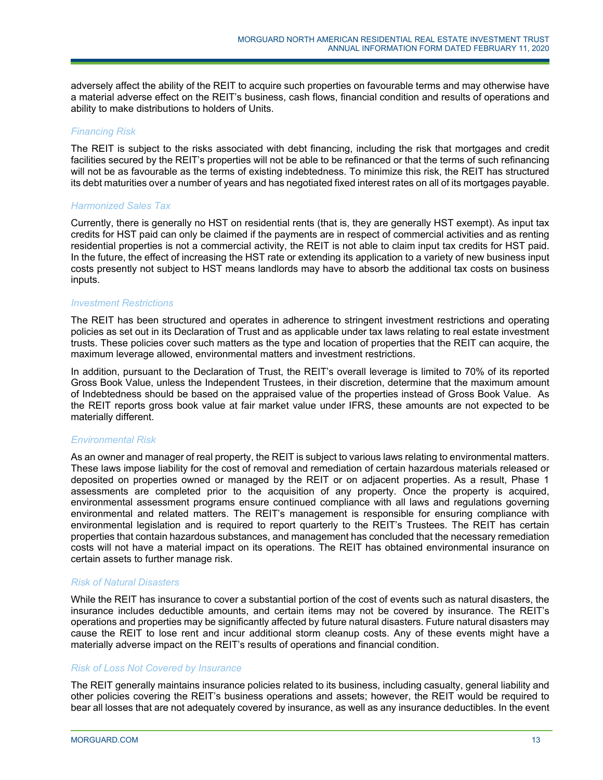adversely affect the ability of the REIT to acquire such properties on favourable terms and may otherwise have a material adverse effect on the REIT's business, cash flows, financial condition and results of operations and ability to make distributions to holders of Units.

### *Financing Risk*

The REIT is subject to the risks associated with debt financing, including the risk that mortgages and credit facilities secured by the REIT's properties will not be able to be refinanced or that the terms of such refinancing will not be as favourable as the terms of existing indebtedness. To minimize this risk, the REIT has structured its debt maturities over a number of years and has negotiated fixed interest rates on all of its mortgages payable.

### *Harmonized Sales Tax*

Currently, there is generally no HST on residential rents (that is, they are generally HST exempt). As input tax credits for HST paid can only be claimed if the payments are in respect of commercial activities and as renting residential properties is not a commercial activity, the REIT is not able to claim input tax credits for HST paid. In the future, the effect of increasing the HST rate or extending its application to a variety of new business input costs presently not subject to HST means landlords may have to absorb the additional tax costs on business inputs.

### *Investment Restrictions*

The REIT has been structured and operates in adherence to stringent investment restrictions and operating policies as set out in its Declaration of Trust and as applicable under tax laws relating to real estate investment trusts. These policies cover such matters as the type and location of properties that the REIT can acquire, the maximum leverage allowed, environmental matters and investment restrictions.

In addition, pursuant to the Declaration of Trust, the REIT's overall leverage is limited to 70% of its reported Gross Book Value, unless the Independent Trustees, in their discretion, determine that the maximum amount of Indebtedness should be based on the appraised value of the properties instead of Gross Book Value. As the REIT reports gross book value at fair market value under IFRS, these amounts are not expected to be materially different.

### *Environmental Risk*

As an owner and manager of real property, the REIT is subject to various laws relating to environmental matters. These laws impose liability for the cost of removal and remediation of certain hazardous materials released or deposited on properties owned or managed by the REIT or on adjacent properties. As a result, Phase 1 assessments are completed prior to the acquisition of any property. Once the property is acquired, environmental assessment programs ensure continued compliance with all laws and regulations governing environmental and related matters. The REIT's management is responsible for ensuring compliance with environmental legislation and is required to report quarterly to the REIT's Trustees. The REIT has certain properties that contain hazardous substances, and management has concluded that the necessary remediation costs will not have a material impact on its operations. The REIT has obtained environmental insurance on certain assets to further manage risk.

### *Risk of Natural Disasters*

While the REIT has insurance to cover a substantial portion of the cost of events such as natural disasters, the insurance includes deductible amounts, and certain items may not be covered by insurance. The REIT's operations and properties may be significantly affected by future natural disasters. Future natural disasters may cause the REIT to lose rent and incur additional storm cleanup costs. Any of these events might have a materially adverse impact on the REIT's results of operations and financial condition.

### *Risk of Loss Not Covered by Insurance*

The REIT generally maintains insurance policies related to its business, including casualty, general liability and other policies covering the REIT's business operations and assets; however, the REIT would be required to bear all losses that are not adequately covered by insurance, as well as any insurance deductibles. In the event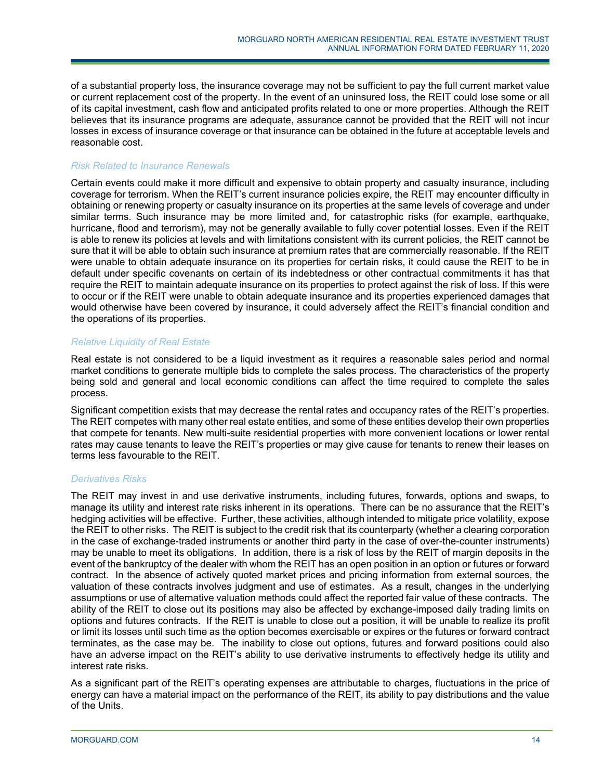of a substantial property loss, the insurance coverage may not be sufficient to pay the full current market value or current replacement cost of the property. In the event of an uninsured loss, the REIT could lose some or all of its capital investment, cash flow and anticipated profits related to one or more properties. Although the REIT believes that its insurance programs are adequate, assurance cannot be provided that the REIT will not incur losses in excess of insurance coverage or that insurance can be obtained in the future at acceptable levels and reasonable cost.

### *Risk Related to Insurance Renewals*

Certain events could make it more difficult and expensive to obtain property and casualty insurance, including coverage for terrorism. When the REIT's current insurance policies expire, the REIT may encounter difficulty in obtaining or renewing property or casualty insurance on its properties at the same levels of coverage and under similar terms. Such insurance may be more limited and, for catastrophic risks (for example, earthquake, hurricane, flood and terrorism), may not be generally available to fully cover potential losses. Even if the REIT is able to renew its policies at levels and with limitations consistent with its current policies, the REIT cannot be sure that it will be able to obtain such insurance at premium rates that are commercially reasonable. If the REIT were unable to obtain adequate insurance on its properties for certain risks, it could cause the REIT to be in default under specific covenants on certain of its indebtedness or other contractual commitments it has that require the REIT to maintain adequate insurance on its properties to protect against the risk of loss. If this were to occur or if the REIT were unable to obtain adequate insurance and its properties experienced damages that would otherwise have been covered by insurance, it could adversely affect the REIT's financial condition and the operations of its properties.

### *Relative Liquidity of Real Estate*

Real estate is not considered to be a liquid investment as it requires a reasonable sales period and normal market conditions to generate multiple bids to complete the sales process. The characteristics of the property being sold and general and local economic conditions can affect the time required to complete the sales process.

Significant competition exists that may decrease the rental rates and occupancy rates of the REIT's properties. The REIT competes with many other real estate entities, and some of these entities develop their own properties that compete for tenants. New multi-suite residential properties with more convenient locations or lower rental rates may cause tenants to leave the REIT's properties or may give cause for tenants to renew their leases on terms less favourable to the REIT.

### *Derivatives Risks*

The REIT may invest in and use derivative instruments, including futures, forwards, options and swaps, to manage its utility and interest rate risks inherent in its operations. There can be no assurance that the REIT's hedging activities will be effective. Further, these activities, although intended to mitigate price volatility, expose the REIT to other risks. The REIT is subject to the credit risk that its counterparty (whether a clearing corporation in the case of exchange-traded instruments or another third party in the case of over-the-counter instruments) may be unable to meet its obligations. In addition, there is a risk of loss by the REIT of margin deposits in the event of the bankruptcy of the dealer with whom the REIT has an open position in an option or futures or forward contract. In the absence of actively quoted market prices and pricing information from external sources, the valuation of these contracts involves judgment and use of estimates. As a result, changes in the underlying assumptions or use of alternative valuation methods could affect the reported fair value of these contracts. The ability of the REIT to close out its positions may also be affected by exchange-imposed daily trading limits on options and futures contracts. If the REIT is unable to close out a position, it will be unable to realize its profit or limit its losses until such time as the option becomes exercisable or expires or the futures or forward contract terminates, as the case may be. The inability to close out options, futures and forward positions could also have an adverse impact on the REIT's ability to use derivative instruments to effectively hedge its utility and interest rate risks.

As a significant part of the REIT's operating expenses are attributable to charges, fluctuations in the price of energy can have a material impact on the performance of the REIT, its ability to pay distributions and the value of the Units.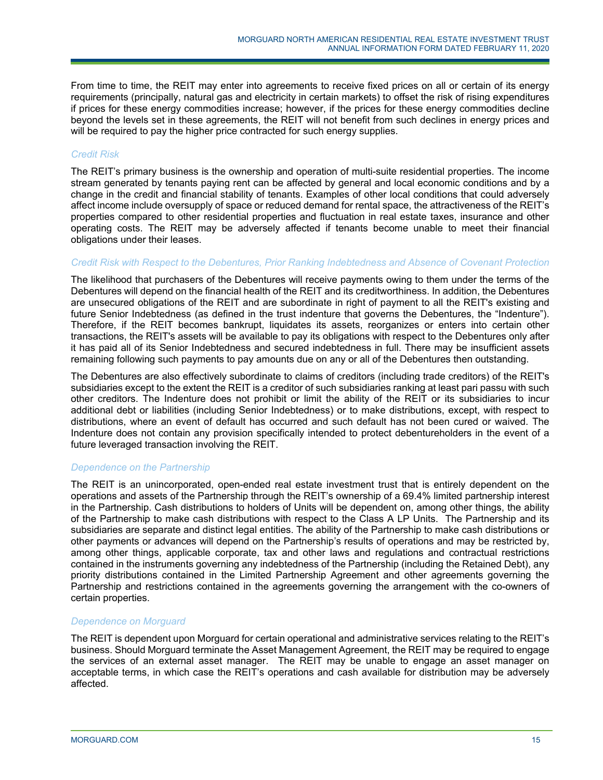From time to time, the REIT may enter into agreements to receive fixed prices on all or certain of its energy requirements (principally, natural gas and electricity in certain markets) to offset the risk of rising expenditures if prices for these energy commodities increase; however, if the prices for these energy commodities decline beyond the levels set in these agreements, the REIT will not benefit from such declines in energy prices and will be required to pay the higher price contracted for such energy supplies.

### *Credit Risk*

The REIT's primary business is the ownership and operation of multi-suite residential properties. The income stream generated by tenants paying rent can be affected by general and local economic conditions and by a change in the credit and financial stability of tenants. Examples of other local conditions that could adversely affect income include oversupply of space or reduced demand for rental space, the attractiveness of the REIT's properties compared to other residential properties and fluctuation in real estate taxes, insurance and other operating costs. The REIT may be adversely affected if tenants become unable to meet their financial obligations under their leases.

### *Credit Risk with Respect to the Debentures, Prior Ranking Indebtedness and Absence of Covenant Protection*

The likelihood that purchasers of the Debentures will receive payments owing to them under the terms of the Debentures will depend on the financial health of the REIT and its creditworthiness. In addition, the Debentures are unsecured obligations of the REIT and are subordinate in right of payment to all the REIT's existing and future Senior Indebtedness (as defined in the trust indenture that governs the Debentures, the "Indenture"). Therefore, if the REIT becomes bankrupt, liquidates its assets, reorganizes or enters into certain other transactions, the REIT's assets will be available to pay its obligations with respect to the Debentures only after it has paid all of its Senior Indebtedness and secured indebtedness in full. There may be insufficient assets remaining following such payments to pay amounts due on any or all of the Debentures then outstanding.

The Debentures are also effectively subordinate to claims of creditors (including trade creditors) of the REIT's subsidiaries except to the extent the REIT is a creditor of such subsidiaries ranking at least pari passu with such other creditors. The Indenture does not prohibit or limit the ability of the REIT or its subsidiaries to incur additional debt or liabilities (including Senior Indebtedness) or to make distributions, except, with respect to distributions, where an event of default has occurred and such default has not been cured or waived. The Indenture does not contain any provision specifically intended to protect debentureholders in the event of a future leveraged transaction involving the REIT.

### *Dependence on the Partnership*

The REIT is an unincorporated, open-ended real estate investment trust that is entirely dependent on the operations and assets of the Partnership through the REIT's ownership of a 69.4% limited partnership interest in the Partnership. Cash distributions to holders of Units will be dependent on, among other things, the ability of the Partnership to make cash distributions with respect to the Class A LP Units. The Partnership and its subsidiaries are separate and distinct legal entities. The ability of the Partnership to make cash distributions or other payments or advances will depend on the Partnership's results of operations and may be restricted by, among other things, applicable corporate, tax and other laws and regulations and contractual restrictions contained in the instruments governing any indebtedness of the Partnership (including the Retained Debt), any priority distributions contained in the Limited Partnership Agreement and other agreements governing the Partnership and restrictions contained in the agreements governing the arrangement with the co-owners of certain properties.

### *Dependence on Morguard*

The REIT is dependent upon Morguard for certain operational and administrative services relating to the REIT's business. Should Morguard terminate the Asset Management Agreement, the REIT may be required to engage the services of an external asset manager. The REIT may be unable to engage an asset manager on acceptable terms, in which case the REIT's operations and cash available for distribution may be adversely affected.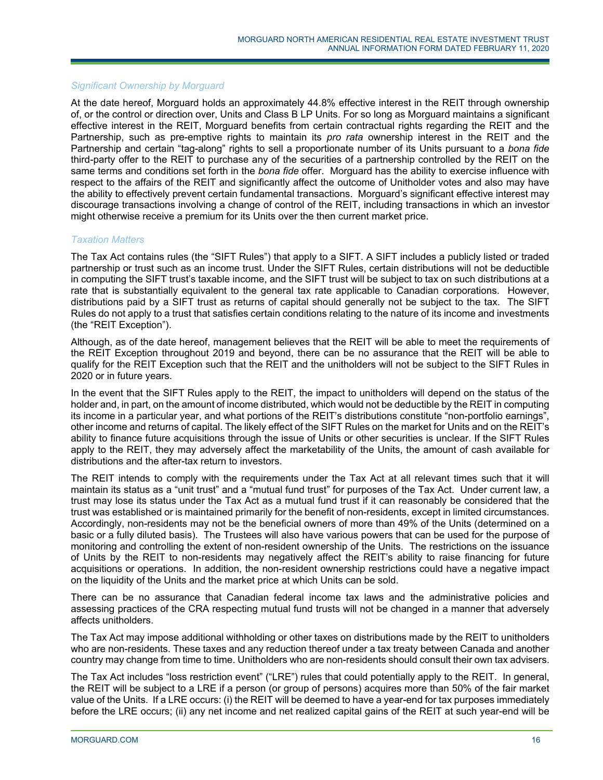### *Significant Ownership by Morguard*

At the date hereof, Morguard holds an approximately 44.8% effective interest in the REIT through ownership of, or the control or direction over, Units and Class B LP Units. For so long as Morguard maintains a significant effective interest in the REIT, Morguard benefits from certain contractual rights regarding the REIT and the Partnership, such as pre-emptive rights to maintain its *pro rata* ownership interest in the REIT and the Partnership and certain "tag-along" rights to sell a proportionate number of its Units pursuant to a *bona fide* third-party offer to the REIT to purchase any of the securities of a partnership controlled by the REIT on the same terms and conditions set forth in the *bona fide* offer. Morguard has the ability to exercise influence with respect to the affairs of the REIT and significantly affect the outcome of Unitholder votes and also may have the ability to effectively prevent certain fundamental transactions. Morguard's significant effective interest may discourage transactions involving a change of control of the REIT, including transactions in which an investor might otherwise receive a premium for its Units over the then current market price.

### *Taxation Matters*

The Tax Act contains rules (the "SIFT Rules") that apply to a SIFT. A SIFT includes a publicly listed or traded partnership or trust such as an income trust. Under the SIFT Rules, certain distributions will not be deductible in computing the SIFT trust's taxable income, and the SIFT trust will be subject to tax on such distributions at a rate that is substantially equivalent to the general tax rate applicable to Canadian corporations. However, distributions paid by a SIFT trust as returns of capital should generally not be subject to the tax. The SIFT Rules do not apply to a trust that satisfies certain conditions relating to the nature of its income and investments (the "REIT Exception").

Although, as of the date hereof, management believes that the REIT will be able to meet the requirements of the REIT Exception throughout 2019 and beyond, there can be no assurance that the REIT will be able to qualify for the REIT Exception such that the REIT and the unitholders will not be subject to the SIFT Rules in 2020 or in future years.

In the event that the SIFT Rules apply to the REIT, the impact to unitholders will depend on the status of the holder and, in part, on the amount of income distributed, which would not be deductible by the REIT in computing its income in a particular year, and what portions of the REIT's distributions constitute "non-portfolio earnings", other income and returns of capital. The likely effect of the SIFT Rules on the market for Units and on the REIT's ability to finance future acquisitions through the issue of Units or other securities is unclear. If the SIFT Rules apply to the REIT, they may adversely affect the marketability of the Units, the amount of cash available for distributions and the after-tax return to investors.

The REIT intends to comply with the requirements under the Tax Act at all relevant times such that it will maintain its status as a "unit trust" and a "mutual fund trust" for purposes of the Tax Act. Under current law, a trust may lose its status under the Tax Act as a mutual fund trust if it can reasonably be considered that the trust was established or is maintained primarily for the benefit of non-residents, except in limited circumstances. Accordingly, non-residents may not be the beneficial owners of more than 49% of the Units (determined on a basic or a fully diluted basis). The Trustees will also have various powers that can be used for the purpose of monitoring and controlling the extent of non-resident ownership of the Units. The restrictions on the issuance of Units by the REIT to non-residents may negatively affect the REIT's ability to raise financing for future acquisitions or operations. In addition, the non-resident ownership restrictions could have a negative impact on the liquidity of the Units and the market price at which Units can be sold.

There can be no assurance that Canadian federal income tax laws and the administrative policies and assessing practices of the CRA respecting mutual fund trusts will not be changed in a manner that adversely affects unitholders.

The Tax Act may impose additional withholding or other taxes on distributions made by the REIT to unitholders who are non-residents. These taxes and any reduction thereof under a tax treaty between Canada and another country may change from time to time. Unitholders who are non-residents should consult their own tax advisers.

The Tax Act includes "loss restriction event" ("LRE") rules that could potentially apply to the REIT. In general, the REIT will be subject to a LRE if a person (or group of persons) acquires more than 50% of the fair market value of the Units. If a LRE occurs: (i) the REIT will be deemed to have a year-end for tax purposes immediately before the LRE occurs; (ii) any net income and net realized capital gains of the REIT at such year-end will be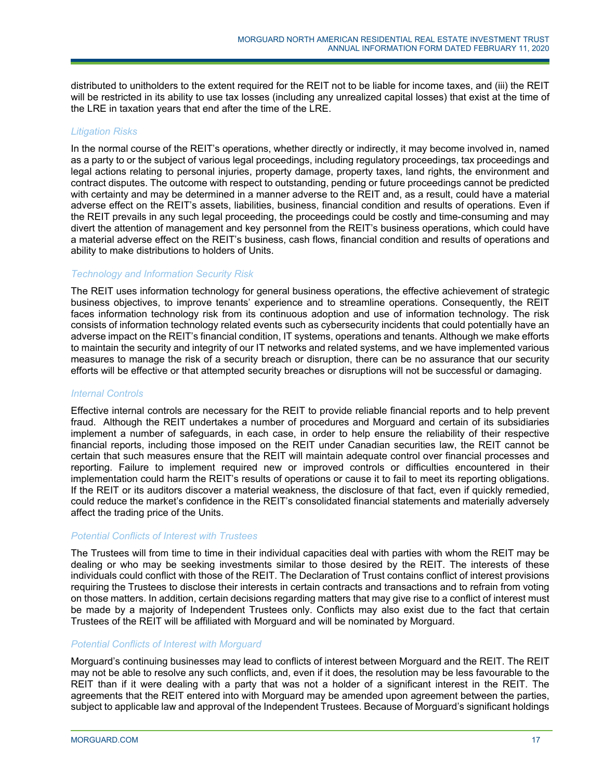distributed to unitholders to the extent required for the REIT not to be liable for income taxes, and (iii) the REIT will be restricted in its ability to use tax losses (including any unrealized capital losses) that exist at the time of the LRE in taxation years that end after the time of the LRE.

### *Litigation Risks*

In the normal course of the REIT's operations, whether directly or indirectly, it may become involved in, named as a party to or the subject of various legal proceedings, including regulatory proceedings, tax proceedings and legal actions relating to personal injuries, property damage, property taxes, land rights, the environment and contract disputes. The outcome with respect to outstanding, pending or future proceedings cannot be predicted with certainty and may be determined in a manner adverse to the REIT and, as a result, could have a material adverse effect on the REIT's assets, liabilities, business, financial condition and results of operations. Even if the REIT prevails in any such legal proceeding, the proceedings could be costly and time-consuming and may divert the attention of management and key personnel from the REIT's business operations, which could have a material adverse effect on the REIT's business, cash flows, financial condition and results of operations and ability to make distributions to holders of Units.

### *Technology and Information Security Risk*

The REIT uses information technology for general business operations, the effective achievement of strategic business objectives, to improve tenants' experience and to streamline operations. Consequently, the REIT faces information technology risk from its continuous adoption and use of information technology. The risk consists of information technology related events such as cybersecurity incidents that could potentially have an adverse impact on the REIT's financial condition, IT systems, operations and tenants. Although we make efforts to maintain the security and integrity of our IT networks and related systems, and we have implemented various measures to manage the risk of a security breach or disruption, there can be no assurance that our security efforts will be effective or that attempted security breaches or disruptions will not be successful or damaging.

### *Internal Controls*

Effective internal controls are necessary for the REIT to provide reliable financial reports and to help prevent fraud. Although the REIT undertakes a number of procedures and Morguard and certain of its subsidiaries implement a number of safeguards, in each case, in order to help ensure the reliability of their respective financial reports, including those imposed on the REIT under Canadian securities law, the REIT cannot be certain that such measures ensure that the REIT will maintain adequate control over financial processes and reporting. Failure to implement required new or improved controls or difficulties encountered in their implementation could harm the REIT's results of operations or cause it to fail to meet its reporting obligations. If the REIT or its auditors discover a material weakness, the disclosure of that fact, even if quickly remedied, could reduce the market's confidence in the REIT's consolidated financial statements and materially adversely affect the trading price of the Units.

### *Potential Conflicts of Interest with Trustees*

The Trustees will from time to time in their individual capacities deal with parties with whom the REIT may be dealing or who may be seeking investments similar to those desired by the REIT. The interests of these individuals could conflict with those of the REIT. The Declaration of Trust contains conflict of interest provisions requiring the Trustees to disclose their interests in certain contracts and transactions and to refrain from voting on those matters. In addition, certain decisions regarding matters that may give rise to a conflict of interest must be made by a majority of Independent Trustees only. Conflicts may also exist due to the fact that certain Trustees of the REIT will be affiliated with Morguard and will be nominated by Morguard.

### *Potential Conflicts of Interest with Morguard*

Morguard's continuing businesses may lead to conflicts of interest between Morguard and the REIT. The REIT may not be able to resolve any such conflicts, and, even if it does, the resolution may be less favourable to the REIT than if it were dealing with a party that was not a holder of a significant interest in the REIT. The agreements that the REIT entered into with Morguard may be amended upon agreement between the parties, subject to applicable law and approval of the Independent Trustees. Because of Morguard's significant holdings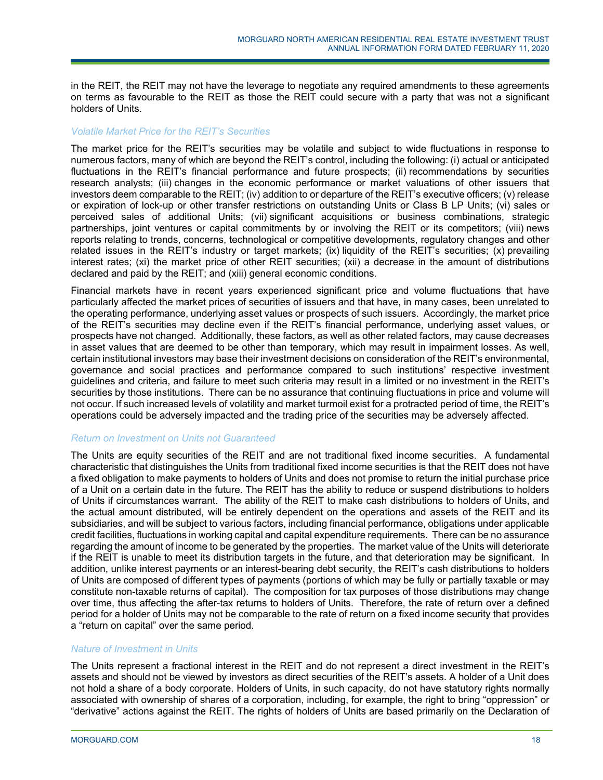in the REIT, the REIT may not have the leverage to negotiate any required amendments to these agreements on terms as favourable to the REIT as those the REIT could secure with a party that was not a significant holders of Units.

### *Volatile Market Price for the REIT's Securities*

The market price for the REIT's securities may be volatile and subject to wide fluctuations in response to numerous factors, many of which are beyond the REIT's control, including the following: (i) actual or anticipated fluctuations in the REIT's financial performance and future prospects; (ii) recommendations by securities research analysts; (iii) changes in the economic performance or market valuations of other issuers that investors deem comparable to the REIT; (iv) addition to or departure of the REIT's executive officers; (v) release or expiration of lock-up or other transfer restrictions on outstanding Units or Class B LP Units; (vi) sales or perceived sales of additional Units; (vii) significant acquisitions or business combinations, strategic partnerships, joint ventures or capital commitments by or involving the REIT or its competitors; (viii) news reports relating to trends, concerns, technological or competitive developments, regulatory changes and other related issues in the REIT's industry or target markets; (ix) liquidity of the REIT's securities; (x) prevailing interest rates; (xi) the market price of other REIT securities; (xii) a decrease in the amount of distributions declared and paid by the REIT; and (xiii) general economic conditions.

Financial markets have in recent years experienced significant price and volume fluctuations that have particularly affected the market prices of securities of issuers and that have, in many cases, been unrelated to the operating performance, underlying asset values or prospects of such issuers. Accordingly, the market price of the REIT's securities may decline even if the REIT's financial performance, underlying asset values, or prospects have not changed. Additionally, these factors, as well as other related factors, may cause decreases in asset values that are deemed to be other than temporary, which may result in impairment losses. As well, certain institutional investors may base their investment decisions on consideration of the REIT's environmental, governance and social practices and performance compared to such institutions' respective investment guidelines and criteria, and failure to meet such criteria may result in a limited or no investment in the REIT's securities by those institutions. There can be no assurance that continuing fluctuations in price and volume will not occur. If such increased levels of volatility and market turmoil exist for a protracted period of time, the REIT's operations could be adversely impacted and the trading price of the securities may be adversely affected.

### *Return on Investment on Units not Guaranteed*

The Units are equity securities of the REIT and are not traditional fixed income securities. A fundamental characteristic that distinguishes the Units from traditional fixed income securities is that the REIT does not have a fixed obligation to make payments to holders of Units and does not promise to return the initial purchase price of a Unit on a certain date in the future. The REIT has the ability to reduce or suspend distributions to holders of Units if circumstances warrant. The ability of the REIT to make cash distributions to holders of Units, and the actual amount distributed, will be entirely dependent on the operations and assets of the REIT and its subsidiaries, and will be subject to various factors, including financial performance, obligations under applicable credit facilities, fluctuations in working capital and capital expenditure requirements. There can be no assurance regarding the amount of income to be generated by the properties. The market value of the Units will deteriorate if the REIT is unable to meet its distribution targets in the future, and that deterioration may be significant. In addition, unlike interest payments or an interest-bearing debt security, the REIT's cash distributions to holders of Units are composed of different types of payments (portions of which may be fully or partially taxable or may constitute non-taxable returns of capital). The composition for tax purposes of those distributions may change over time, thus affecting the after-tax returns to holders of Units. Therefore, the rate of return over a defined period for a holder of Units may not be comparable to the rate of return on a fixed income security that provides a "return on capital" over the same period.

### *Nature of Investment in Units*

The Units represent a fractional interest in the REIT and do not represent a direct investment in the REIT's assets and should not be viewed by investors as direct securities of the REIT's assets. A holder of a Unit does not hold a share of a body corporate. Holders of Units, in such capacity, do not have statutory rights normally associated with ownership of shares of a corporation, including, for example, the right to bring "oppression" or "derivative" actions against the REIT. The rights of holders of Units are based primarily on the Declaration of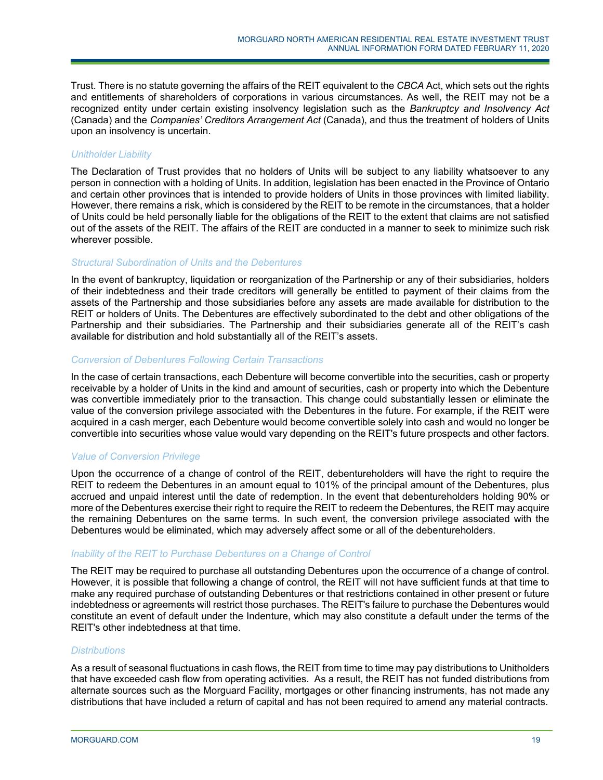Trust. There is no statute governing the affairs of the REIT equivalent to the *CBCA* Act, which sets out the rights and entitlements of shareholders of corporations in various circumstances. As well, the REIT may not be a recognized entity under certain existing insolvency legislation such as the *Bankruptcy and Insolvency Act* (Canada) and the *Companies' Creditors Arrangement Act* (Canada), and thus the treatment of holders of Units upon an insolvency is uncertain.

## *Unitholder Liability*

The Declaration of Trust provides that no holders of Units will be subject to any liability whatsoever to any person in connection with a holding of Units. In addition, legislation has been enacted in the Province of Ontario and certain other provinces that is intended to provide holders of Units in those provinces with limited liability. However, there remains a risk, which is considered by the REIT to be remote in the circumstances, that a holder of Units could be held personally liable for the obligations of the REIT to the extent that claims are not satisfied out of the assets of the REIT. The affairs of the REIT are conducted in a manner to seek to minimize such risk wherever possible.

### *Structural Subordination of Units and the Debentures*

In the event of bankruptcy, liquidation or reorganization of the Partnership or any of their subsidiaries, holders of their indebtedness and their trade creditors will generally be entitled to payment of their claims from the assets of the Partnership and those subsidiaries before any assets are made available for distribution to the REIT or holders of Units. The Debentures are effectively subordinated to the debt and other obligations of the Partnership and their subsidiaries. The Partnership and their subsidiaries generate all of the REIT's cash available for distribution and hold substantially all of the REIT's assets.

### *Conversion of Debentures Following Certain Transactions*

In the case of certain transactions, each Debenture will become convertible into the securities, cash or property receivable by a holder of Units in the kind and amount of securities, cash or property into which the Debenture was convertible immediately prior to the transaction. This change could substantially lessen or eliminate the value of the conversion privilege associated with the Debentures in the future. For example, if the REIT were acquired in a cash merger, each Debenture would become convertible solely into cash and would no longer be convertible into securities whose value would vary depending on the REIT's future prospects and other factors.

### *Value of Conversion Privilege*

Upon the occurrence of a change of control of the REIT, debentureholders will have the right to require the REIT to redeem the Debentures in an amount equal to 101% of the principal amount of the Debentures, plus accrued and unpaid interest until the date of redemption. In the event that debentureholders holding 90% or more of the Debentures exercise their right to require the REIT to redeem the Debentures, the REIT may acquire the remaining Debentures on the same terms. In such event, the conversion privilege associated with the Debentures would be eliminated, which may adversely affect some or all of the debentureholders.

### *Inability of the REIT to Purchase Debentures on a Change of Control*

The REIT may be required to purchase all outstanding Debentures upon the occurrence of a change of control. However, it is possible that following a change of control, the REIT will not have sufficient funds at that time to make any required purchase of outstanding Debentures or that restrictions contained in other present or future indebtedness or agreements will restrict those purchases. The REIT's failure to purchase the Debentures would constitute an event of default under the Indenture, which may also constitute a default under the terms of the REIT's other indebtedness at that time.

### *Distributions*

As a result of seasonal fluctuations in cash flows, the REIT from time to time may pay distributions to Unitholders that have exceeded cash flow from operating activities. As a result, the REIT has not funded distributions from alternate sources such as the Morguard Facility, mortgages or other financing instruments, has not made any distributions that have included a return of capital and has not been required to amend any material contracts.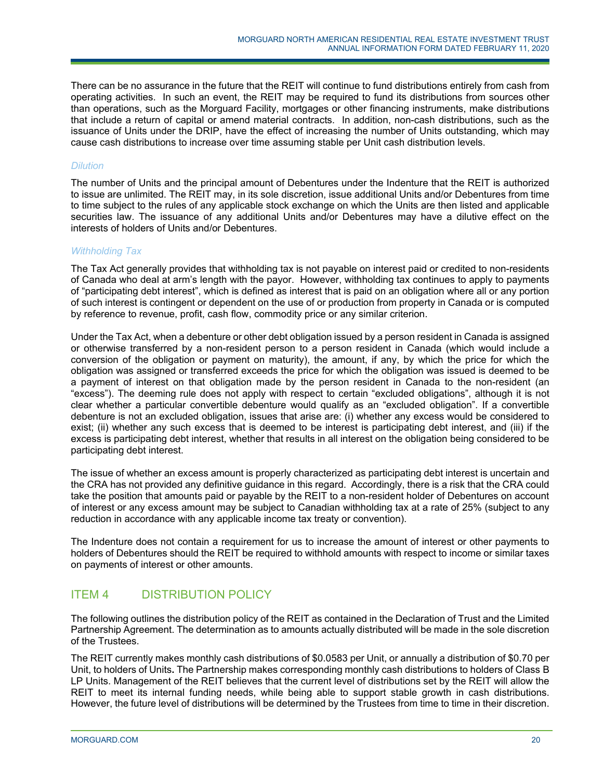There can be no assurance in the future that the REIT will continue to fund distributions entirely from cash from operating activities. In such an event, the REIT may be required to fund its distributions from sources other than operations, such as the Morguard Facility, mortgages or other financing instruments, make distributions that include a return of capital or amend material contracts. In addition, non-cash distributions, such as the issuance of Units under the DRIP, have the effect of increasing the number of Units outstanding, which may cause cash distributions to increase over time assuming stable per Unit cash distribution levels.

## *Dilution*

The number of Units and the principal amount of Debentures under the Indenture that the REIT is authorized to issue are unlimited. The REIT may, in its sole discretion, issue additional Units and/or Debentures from time to time subject to the rules of any applicable stock exchange on which the Units are then listed and applicable securities law. The issuance of any additional Units and/or Debentures may have a dilutive effect on the interests of holders of Units and/or Debentures.

### *Withholding Tax*

The Tax Act generally provides that withholding tax is not payable on interest paid or credited to non-residents of Canada who deal at arm's length with the payor. However, withholding tax continues to apply to payments of "participating debt interest", which is defined as interest that is paid on an obligation where all or any portion of such interest is contingent or dependent on the use of or production from property in Canada or is computed by reference to revenue, profit, cash flow, commodity price or any similar criterion.

Under the Tax Act, when a debenture or other debt obligation issued by a person resident in Canada is assigned or otherwise transferred by a non-resident person to a person resident in Canada (which would include a conversion of the obligation or payment on maturity), the amount, if any, by which the price for which the obligation was assigned or transferred exceeds the price for which the obligation was issued is deemed to be a payment of interest on that obligation made by the person resident in Canada to the non-resident (an "excess"). The deeming rule does not apply with respect to certain "excluded obligations", although it is not clear whether a particular convertible debenture would qualify as an "excluded obligation". If a convertible debenture is not an excluded obligation, issues that arise are: (i) whether any excess would be considered to exist; (ii) whether any such excess that is deemed to be interest is participating debt interest, and (iii) if the excess is participating debt interest, whether that results in all interest on the obligation being considered to be participating debt interest.

The issue of whether an excess amount is properly characterized as participating debt interest is uncertain and the CRA has not provided any definitive guidance in this regard. Accordingly, there is a risk that the CRA could take the position that amounts paid or payable by the REIT to a non-resident holder of Debentures on account of interest or any excess amount may be subject to Canadian withholding tax at a rate of 25% (subject to any reduction in accordance with any applicable income tax treaty or convention).

The Indenture does not contain a requirement for us to increase the amount of interest or other payments to holders of Debentures should the REIT be required to withhold amounts with respect to income or similar taxes on payments of interest or other amounts.

# ITEM 4 DISTRIBUTION POLICY

The following outlines the distribution policy of the REIT as contained in the Declaration of Trust and the Limited Partnership Agreement. The determination as to amounts actually distributed will be made in the sole discretion of the Trustees.

The REIT currently makes monthly cash distributions of \$0.0583 per Unit, or annually a distribution of \$0.70 per Unit, to holders of Units**.** The Partnership makes corresponding monthly cash distributions to holders of Class B LP Units. Management of the REIT believes that the current level of distributions set by the REIT will allow the REIT to meet its internal funding needs, while being able to support stable growth in cash distributions. However, the future level of distributions will be determined by the Trustees from time to time in their discretion.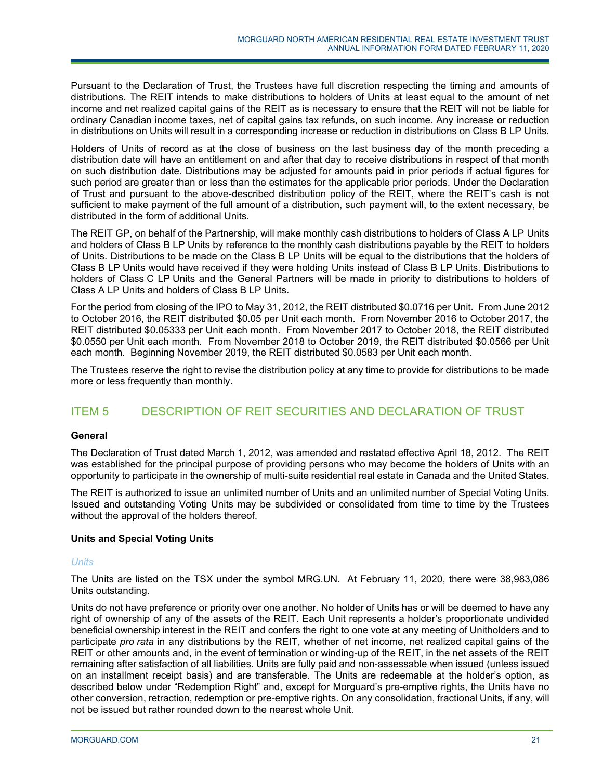Pursuant to the Declaration of Trust, the Trustees have full discretion respecting the timing and amounts of distributions. The REIT intends to make distributions to holders of Units at least equal to the amount of net income and net realized capital gains of the REIT as is necessary to ensure that the REIT will not be liable for ordinary Canadian income taxes, net of capital gains tax refunds, on such income. Any increase or reduction in distributions on Units will result in a corresponding increase or reduction in distributions on Class B LP Units.

Holders of Units of record as at the close of business on the last business day of the month preceding a distribution date will have an entitlement on and after that day to receive distributions in respect of that month on such distribution date. Distributions may be adjusted for amounts paid in prior periods if actual figures for such period are greater than or less than the estimates for the applicable prior periods. Under the Declaration of Trust and pursuant to the above-described distribution policy of the REIT, where the REIT's cash is not sufficient to make payment of the full amount of a distribution, such payment will, to the extent necessary, be distributed in the form of additional Units.

The REIT GP, on behalf of the Partnership, will make monthly cash distributions to holders of Class A LP Units and holders of Class B LP Units by reference to the monthly cash distributions payable by the REIT to holders of Units. Distributions to be made on the Class B LP Units will be equal to the distributions that the holders of Class B LP Units would have received if they were holding Units instead of Class B LP Units. Distributions to holders of Class C LP Units and the General Partners will be made in priority to distributions to holders of Class A LP Units and holders of Class B LP Units.

For the period from closing of the IPO to May 31, 2012, the REIT distributed \$0.0716 per Unit. From June 2012 to October 2016, the REIT distributed \$0.05 per Unit each month. From November 2016 to October 2017, the REIT distributed \$0.05333 per Unit each month. From November 2017 to October 2018, the REIT distributed \$0.0550 per Unit each month. From November 2018 to October 2019, the REIT distributed \$0.0566 per Unit each month. Beginning November 2019, the REIT distributed \$0.0583 per Unit each month.

The Trustees reserve the right to revise the distribution policy at any time to provide for distributions to be made more or less frequently than monthly.

# ITEM 5 DESCRIPTION OF REIT SECURITIES AND DECLARATION OF TRUST

## **General**

The Declaration of Trust dated March 1, 2012, was amended and restated effective April 18, 2012. The REIT was established for the principal purpose of providing persons who may become the holders of Units with an opportunity to participate in the ownership of multi-suite residential real estate in Canada and the United States.

The REIT is authorized to issue an unlimited number of Units and an unlimited number of Special Voting Units. Issued and outstanding Voting Units may be subdivided or consolidated from time to time by the Trustees without the approval of the holders thereof.

## **Units and Special Voting Units**

### *Units*

The Units are listed on the TSX under the symbol MRG.UN. At February 11, 2020, there were 38,983,086 Units outstanding.

Units do not have preference or priority over one another. No holder of Units has or will be deemed to have any right of ownership of any of the assets of the REIT. Each Unit represents a holder's proportionate undivided beneficial ownership interest in the REIT and confers the right to one vote at any meeting of Unitholders and to participate *pro rata* in any distributions by the REIT, whether of net income, net realized capital gains of the REIT or other amounts and, in the event of termination or winding-up of the REIT, in the net assets of the REIT remaining after satisfaction of all liabilities. Units are fully paid and non-assessable when issued (unless issued on an installment receipt basis) and are transferable. The Units are redeemable at the holder's option, as described below under "Redemption Right" and, except for Morguard's pre-emptive rights, the Units have no other conversion, retraction, redemption or pre-emptive rights. On any consolidation, fractional Units, if any, will not be issued but rather rounded down to the nearest whole Unit.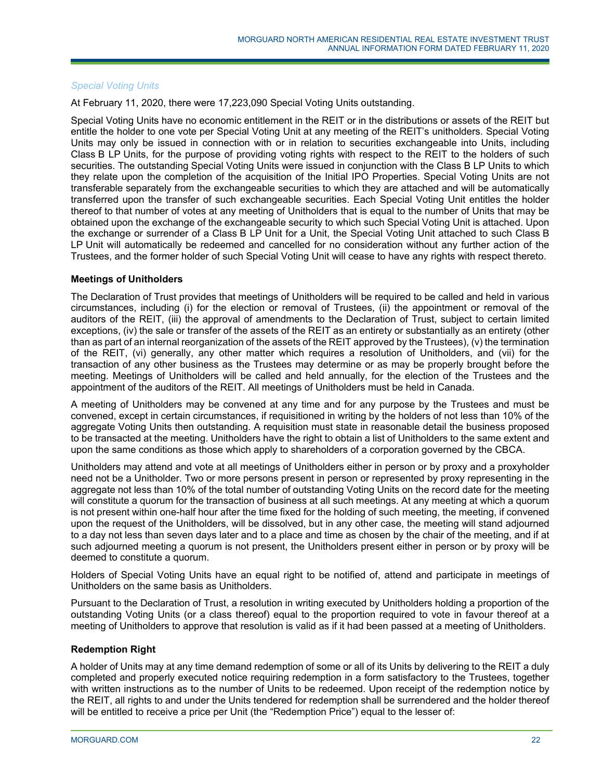### *Special Voting Units*

At February 11, 2020, there were 17,223,090 Special Voting Units outstanding.

Special Voting Units have no economic entitlement in the REIT or in the distributions or assets of the REIT but entitle the holder to one vote per Special Voting Unit at any meeting of the REIT's unitholders. Special Voting Units may only be issued in connection with or in relation to securities exchangeable into Units, including Class B LP Units, for the purpose of providing voting rights with respect to the REIT to the holders of such securities. The outstanding Special Voting Units were issued in conjunction with the Class B LP Units to which they relate upon the completion of the acquisition of the Initial IPO Properties. Special Voting Units are not transferable separately from the exchangeable securities to which they are attached and will be automatically transferred upon the transfer of such exchangeable securities. Each Special Voting Unit entitles the holder thereof to that number of votes at any meeting of Unitholders that is equal to the number of Units that may be obtained upon the exchange of the exchangeable security to which such Special Voting Unit is attached. Upon the exchange or surrender of a Class B LP Unit for a Unit, the Special Voting Unit attached to such Class B LP Unit will automatically be redeemed and cancelled for no consideration without any further action of the Trustees, and the former holder of such Special Voting Unit will cease to have any rights with respect thereto.

### **Meetings of Unitholders**

The Declaration of Trust provides that meetings of Unitholders will be required to be called and held in various circumstances, including (i) for the election or removal of Trustees, (ii) the appointment or removal of the auditors of the REIT, (iii) the approval of amendments to the Declaration of Trust, subject to certain limited exceptions, (iv) the sale or transfer of the assets of the REIT as an entirety or substantially as an entirety (other than as part of an internal reorganization of the assets of the REIT approved by the Trustees), (v) the termination of the REIT, (vi) generally, any other matter which requires a resolution of Unitholders, and (vii) for the transaction of any other business as the Trustees may determine or as may be properly brought before the meeting. Meetings of Unitholders will be called and held annually, for the election of the Trustees and the appointment of the auditors of the REIT. All meetings of Unitholders must be held in Canada.

A meeting of Unitholders may be convened at any time and for any purpose by the Trustees and must be convened, except in certain circumstances, if requisitioned in writing by the holders of not less than 10% of the aggregate Voting Units then outstanding. A requisition must state in reasonable detail the business proposed to be transacted at the meeting. Unitholders have the right to obtain a list of Unitholders to the same extent and upon the same conditions as those which apply to shareholders of a corporation governed by the CBCA.

Unitholders may attend and vote at all meetings of Unitholders either in person or by proxy and a proxyholder need not be a Unitholder. Two or more persons present in person or represented by proxy representing in the aggregate not less than 10% of the total number of outstanding Voting Units on the record date for the meeting will constitute a quorum for the transaction of business at all such meetings. At any meeting at which a quorum is not present within one-half hour after the time fixed for the holding of such meeting, the meeting, if convened upon the request of the Unitholders, will be dissolved, but in any other case, the meeting will stand adjourned to a day not less than seven days later and to a place and time as chosen by the chair of the meeting, and if at such adjourned meeting a quorum is not present, the Unitholders present either in person or by proxy will be deemed to constitute a quorum.

Holders of Special Voting Units have an equal right to be notified of, attend and participate in meetings of Unitholders on the same basis as Unitholders.

Pursuant to the Declaration of Trust, a resolution in writing executed by Unitholders holding a proportion of the outstanding Voting Units (or a class thereof) equal to the proportion required to vote in favour thereof at a meeting of Unitholders to approve that resolution is valid as if it had been passed at a meeting of Unitholders.

## **Redemption Right**

A holder of Units may at any time demand redemption of some or all of its Units by delivering to the REIT a duly completed and properly executed notice requiring redemption in a form satisfactory to the Trustees, together with written instructions as to the number of Units to be redeemed. Upon receipt of the redemption notice by the REIT, all rights to and under the Units tendered for redemption shall be surrendered and the holder thereof will be entitled to receive a price per Unit (the "Redemption Price") equal to the lesser of: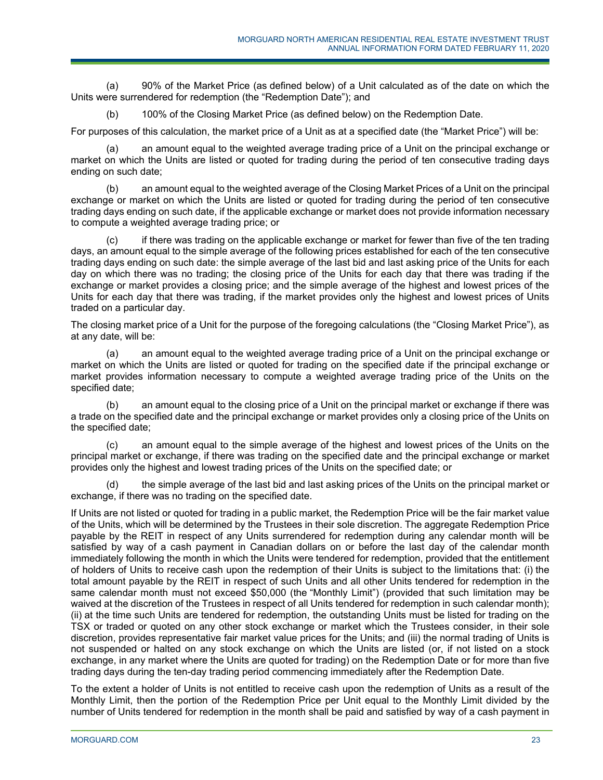(a) 90% of the Market Price (as defined below) of a Unit calculated as of the date on which the Units were surrendered for redemption (the "Redemption Date"); and

(b) 100% of the Closing Market Price (as defined below) on the Redemption Date.

For purposes of this calculation, the market price of a Unit as at a specified date (the "Market Price") will be:

(a) an amount equal to the weighted average trading price of a Unit on the principal exchange or market on which the Units are listed or quoted for trading during the period of ten consecutive trading days ending on such date;

(b) an amount equal to the weighted average of the Closing Market Prices of a Unit on the principal exchange or market on which the Units are listed or quoted for trading during the period of ten consecutive trading days ending on such date, if the applicable exchange or market does not provide information necessary to compute a weighted average trading price; or

(c) if there was trading on the applicable exchange or market for fewer than five of the ten trading days, an amount equal to the simple average of the following prices established for each of the ten consecutive trading days ending on such date: the simple average of the last bid and last asking price of the Units for each day on which there was no trading; the closing price of the Units for each day that there was trading if the exchange or market provides a closing price; and the simple average of the highest and lowest prices of the Units for each day that there was trading, if the market provides only the highest and lowest prices of Units traded on a particular day.

The closing market price of a Unit for the purpose of the foregoing calculations (the "Closing Market Price"), as at any date, will be:

(a) an amount equal to the weighted average trading price of a Unit on the principal exchange or market on which the Units are listed or quoted for trading on the specified date if the principal exchange or market provides information necessary to compute a weighted average trading price of the Units on the specified date;

(b) an amount equal to the closing price of a Unit on the principal market or exchange if there was a trade on the specified date and the principal exchange or market provides only a closing price of the Units on the specified date;

(c) an amount equal to the simple average of the highest and lowest prices of the Units on the principal market or exchange, if there was trading on the specified date and the principal exchange or market provides only the highest and lowest trading prices of the Units on the specified date; or

(d) the simple average of the last bid and last asking prices of the Units on the principal market or exchange, if there was no trading on the specified date.

If Units are not listed or quoted for trading in a public market, the Redemption Price will be the fair market value of the Units, which will be determined by the Trustees in their sole discretion. The aggregate Redemption Price payable by the REIT in respect of any Units surrendered for redemption during any calendar month will be satisfied by way of a cash payment in Canadian dollars on or before the last day of the calendar month immediately following the month in which the Units were tendered for redemption, provided that the entitlement of holders of Units to receive cash upon the redemption of their Units is subject to the limitations that: (i) the total amount payable by the REIT in respect of such Units and all other Units tendered for redemption in the same calendar month must not exceed \$50,000 (the "Monthly Limit") (provided that such limitation may be waived at the discretion of the Trustees in respect of all Units tendered for redemption in such calendar month); (ii) at the time such Units are tendered for redemption, the outstanding Units must be listed for trading on the TSX or traded or quoted on any other stock exchange or market which the Trustees consider, in their sole discretion, provides representative fair market value prices for the Units; and (iii) the normal trading of Units is not suspended or halted on any stock exchange on which the Units are listed (or, if not listed on a stock exchange, in any market where the Units are quoted for trading) on the Redemption Date or for more than five trading days during the ten-day trading period commencing immediately after the Redemption Date.

To the extent a holder of Units is not entitled to receive cash upon the redemption of Units as a result of the Monthly Limit, then the portion of the Redemption Price per Unit equal to the Monthly Limit divided by the number of Units tendered for redemption in the month shall be paid and satisfied by way of a cash payment in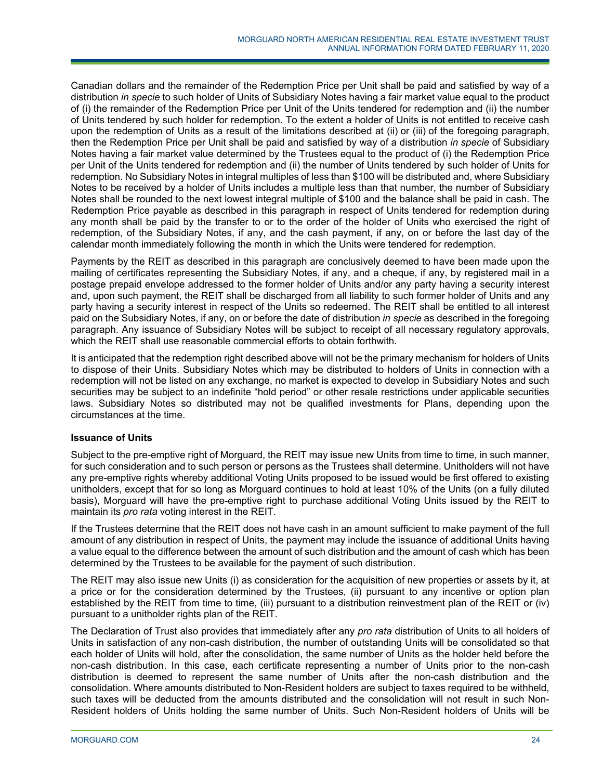Canadian dollars and the remainder of the Redemption Price per Unit shall be paid and satisfied by way of a distribution *in specie* to such holder of Units of Subsidiary Notes having a fair market value equal to the product of (i) the remainder of the Redemption Price per Unit of the Units tendered for redemption and (ii) the number of Units tendered by such holder for redemption. To the extent a holder of Units is not entitled to receive cash upon the redemption of Units as a result of the limitations described at (ii) or (iii) of the foregoing paragraph, then the Redemption Price per Unit shall be paid and satisfied by way of a distribution *in specie* of Subsidiary Notes having a fair market value determined by the Trustees equal to the product of (i) the Redemption Price per Unit of the Units tendered for redemption and (ii) the number of Units tendered by such holder of Units for redemption. No Subsidiary Notes in integral multiples of less than \$100 will be distributed and, where Subsidiary Notes to be received by a holder of Units includes a multiple less than that number, the number of Subsidiary Notes shall be rounded to the next lowest integral multiple of \$100 and the balance shall be paid in cash. The Redemption Price payable as described in this paragraph in respect of Units tendered for redemption during any month shall be paid by the transfer to or to the order of the holder of Units who exercised the right of redemption, of the Subsidiary Notes, if any, and the cash payment, if any, on or before the last day of the calendar month immediately following the month in which the Units were tendered for redemption.

Payments by the REIT as described in this paragraph are conclusively deemed to have been made upon the mailing of certificates representing the Subsidiary Notes, if any, and a cheque, if any, by registered mail in a postage prepaid envelope addressed to the former holder of Units and/or any party having a security interest and, upon such payment, the REIT shall be discharged from all liability to such former holder of Units and any party having a security interest in respect of the Units so redeemed. The REIT shall be entitled to all interest paid on the Subsidiary Notes, if any, on or before the date of distribution *in specie* as described in the foregoing paragraph. Any issuance of Subsidiary Notes will be subject to receipt of all necessary regulatory approvals, which the REIT shall use reasonable commercial efforts to obtain forthwith.

It is anticipated that the redemption right described above will not be the primary mechanism for holders of Units to dispose of their Units. Subsidiary Notes which may be distributed to holders of Units in connection with a redemption will not be listed on any exchange, no market is expected to develop in Subsidiary Notes and such securities may be subject to an indefinite "hold period" or other resale restrictions under applicable securities laws. Subsidiary Notes so distributed may not be qualified investments for Plans, depending upon the circumstances at the time.

## **Issuance of Units**

Subject to the pre-emptive right of Morguard, the REIT may issue new Units from time to time, in such manner, for such consideration and to such person or persons as the Trustees shall determine. Unitholders will not have any pre-emptive rights whereby additional Voting Units proposed to be issued would be first offered to existing unitholders, except that for so long as Morguard continues to hold at least 10% of the Units (on a fully diluted basis), Morguard will have the pre-emptive right to purchase additional Voting Units issued by the REIT to maintain its *pro rata* voting interest in the REIT.

If the Trustees determine that the REIT does not have cash in an amount sufficient to make payment of the full amount of any distribution in respect of Units, the payment may include the issuance of additional Units having a value equal to the difference between the amount of such distribution and the amount of cash which has been determined by the Trustees to be available for the payment of such distribution.

The REIT may also issue new Units (i) as consideration for the acquisition of new properties or assets by it, at a price or for the consideration determined by the Trustees, (ii) pursuant to any incentive or option plan established by the REIT from time to time, (iii) pursuant to a distribution reinvestment plan of the REIT or (iv) pursuant to a unitholder rights plan of the REIT.

The Declaration of Trust also provides that immediately after any *pro rata* distribution of Units to all holders of Units in satisfaction of any non-cash distribution, the number of outstanding Units will be consolidated so that each holder of Units will hold, after the consolidation, the same number of Units as the holder held before the non-cash distribution. In this case, each certificate representing a number of Units prior to the non-cash distribution is deemed to represent the same number of Units after the non-cash distribution and the consolidation. Where amounts distributed to Non-Resident holders are subject to taxes required to be withheld, such taxes will be deducted from the amounts distributed and the consolidation will not result in such Non-Resident holders of Units holding the same number of Units. Such Non-Resident holders of Units will be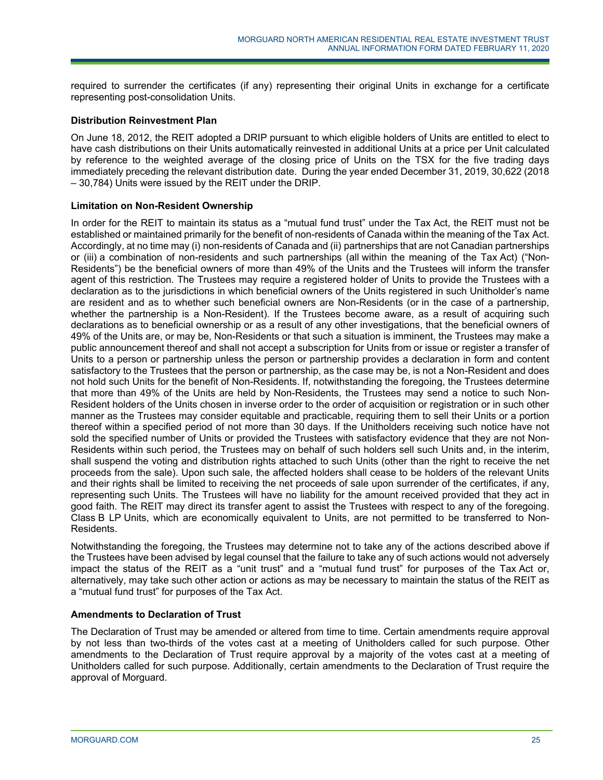required to surrender the certificates (if any) representing their original Units in exchange for a certificate representing post-consolidation Units.

### **Distribution Reinvestment Plan**

On June 18, 2012, the REIT adopted a DRIP pursuant to which eligible holders of Units are entitled to elect to have cash distributions on their Units automatically reinvested in additional Units at a price per Unit calculated by reference to the weighted average of the closing price of Units on the TSX for the five trading days immediately preceding the relevant distribution date. During the year ended December 31, 2019, 30,622 (2018 – 30,784) Units were issued by the REIT under the DRIP.

### **Limitation on Non-Resident Ownership**

In order for the REIT to maintain its status as a "mutual fund trust" under the Tax Act, the REIT must not be established or maintained primarily for the benefit of non-residents of Canada within the meaning of the Tax Act. Accordingly, at no time may (i) non-residents of Canada and (ii) partnerships that are not Canadian partnerships or (iii) a combination of non-residents and such partnerships (all within the meaning of the Tax Act) ("Non-Residents") be the beneficial owners of more than 49% of the Units and the Trustees will inform the transfer agent of this restriction. The Trustees may require a registered holder of Units to provide the Trustees with a declaration as to the jurisdictions in which beneficial owners of the Units registered in such Unitholder's name are resident and as to whether such beneficial owners are Non-Residents (or in the case of a partnership, whether the partnership is a Non-Resident). If the Trustees become aware, as a result of acquiring such declarations as to beneficial ownership or as a result of any other investigations, that the beneficial owners of 49% of the Units are, or may be, Non-Residents or that such a situation is imminent, the Trustees may make a public announcement thereof and shall not accept a subscription for Units from or issue or register a transfer of Units to a person or partnership unless the person or partnership provides a declaration in form and content satisfactory to the Trustees that the person or partnership, as the case may be, is not a Non-Resident and does not hold such Units for the benefit of Non-Residents. If, notwithstanding the foregoing, the Trustees determine that more than 49% of the Units are held by Non-Residents, the Trustees may send a notice to such Non-Resident holders of the Units chosen in inverse order to the order of acquisition or registration or in such other manner as the Trustees may consider equitable and practicable, requiring them to sell their Units or a portion thereof within a specified period of not more than 30 days. If the Unitholders receiving such notice have not sold the specified number of Units or provided the Trustees with satisfactory evidence that they are not Non-Residents within such period, the Trustees may on behalf of such holders sell such Units and, in the interim, shall suspend the voting and distribution rights attached to such Units (other than the right to receive the net proceeds from the sale). Upon such sale, the affected holders shall cease to be holders of the relevant Units and their rights shall be limited to receiving the net proceeds of sale upon surrender of the certificates, if any, representing such Units. The Trustees will have no liability for the amount received provided that they act in good faith. The REIT may direct its transfer agent to assist the Trustees with respect to any of the foregoing. Class B LP Units, which are economically equivalent to Units, are not permitted to be transferred to Non-Residents.

Notwithstanding the foregoing, the Trustees may determine not to take any of the actions described above if the Trustees have been advised by legal counsel that the failure to take any of such actions would not adversely impact the status of the REIT as a "unit trust" and a "mutual fund trust" for purposes of the Tax Act or, alternatively, may take such other action or actions as may be necessary to maintain the status of the REIT as a "mutual fund trust" for purposes of the Tax Act.

### **Amendments to Declaration of Trust**

The Declaration of Trust may be amended or altered from time to time. Certain amendments require approval by not less than two-thirds of the votes cast at a meeting of Unitholders called for such purpose. Other amendments to the Declaration of Trust require approval by a majority of the votes cast at a meeting of Unitholders called for such purpose. Additionally, certain amendments to the Declaration of Trust require the approval of Morguard.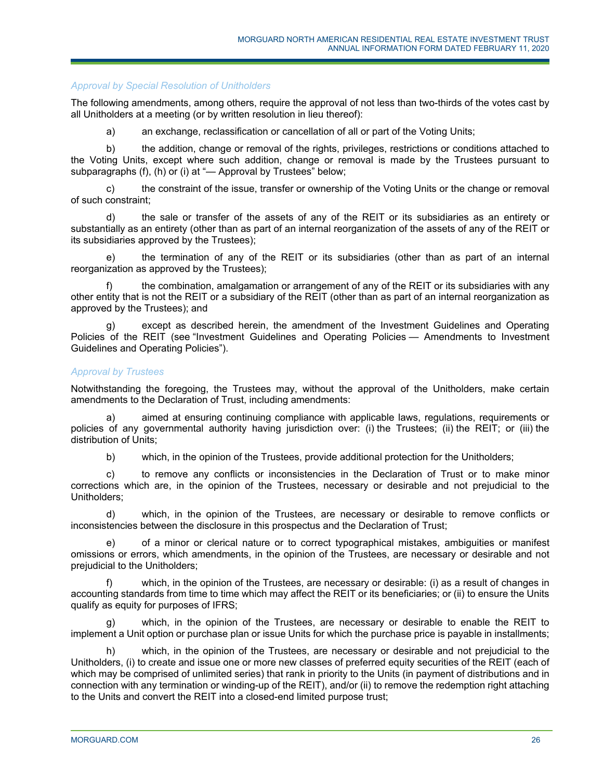### *Approval by Special Resolution of Unitholders*

The following amendments, among others, require the approval of not less than two-thirds of the votes cast by all Unitholders at a meeting (or by written resolution in lieu thereof):

a) an exchange, reclassification or cancellation of all or part of the Voting Units;

b) the addition, change or removal of the rights, privileges, restrictions or conditions attached to the Voting Units, except where such addition, change or removal is made by the Trustees pursuant to subparagraphs (f), (h) or (i) at "— Approval by Trustees" below;

c) the constraint of the issue, transfer or ownership of the Voting Units or the change or removal of such constraint;

d) the sale or transfer of the assets of any of the REIT or its subsidiaries as an entirety or substantially as an entirety (other than as part of an internal reorganization of the assets of any of the REIT or its subsidiaries approved by the Trustees);

e) the termination of any of the REIT or its subsidiaries (other than as part of an internal reorganization as approved by the Trustees);

the combination, amalgamation or arrangement of any of the REIT or its subsidiaries with any other entity that is not the REIT or a subsidiary of the REIT (other than as part of an internal reorganization as approved by the Trustees); and

except as described herein, the amendment of the Investment Guidelines and Operating Policies of the REIT (see "Investment Guidelines and Operating Policies — Amendments to Investment Guidelines and Operating Policies").

### *Approval by Trustees*

Notwithstanding the foregoing, the Trustees may, without the approval of the Unitholders, make certain amendments to the Declaration of Trust, including amendments:

a) aimed at ensuring continuing compliance with applicable laws, regulations, requirements or policies of any governmental authority having jurisdiction over: (i) the Trustees; (ii) the REIT; or (iii) the distribution of Units;

b) which, in the opinion of the Trustees, provide additional protection for the Unitholders;

c) to remove any conflicts or inconsistencies in the Declaration of Trust or to make minor corrections which are, in the opinion of the Trustees, necessary or desirable and not prejudicial to the Unitholders;

d) which, in the opinion of the Trustees, are necessary or desirable to remove conflicts or inconsistencies between the disclosure in this prospectus and the Declaration of Trust;

e) of a minor or clerical nature or to correct typographical mistakes, ambiguities or manifest omissions or errors, which amendments, in the opinion of the Trustees, are necessary or desirable and not prejudicial to the Unitholders;

f) which, in the opinion of the Trustees, are necessary or desirable: (i) as a result of changes in accounting standards from time to time which may affect the REIT or its beneficiaries; or (ii) to ensure the Units qualify as equity for purposes of IFRS;

g) which, in the opinion of the Trustees, are necessary or desirable to enable the REIT to implement a Unit option or purchase plan or issue Units for which the purchase price is payable in installments;

h) which, in the opinion of the Trustees, are necessary or desirable and not prejudicial to the Unitholders, (i) to create and issue one or more new classes of preferred equity securities of the REIT (each of which may be comprised of unlimited series) that rank in priority to the Units (in payment of distributions and in connection with any termination or winding-up of the REIT), and/or (ii) to remove the redemption right attaching to the Units and convert the REIT into a closed-end limited purpose trust;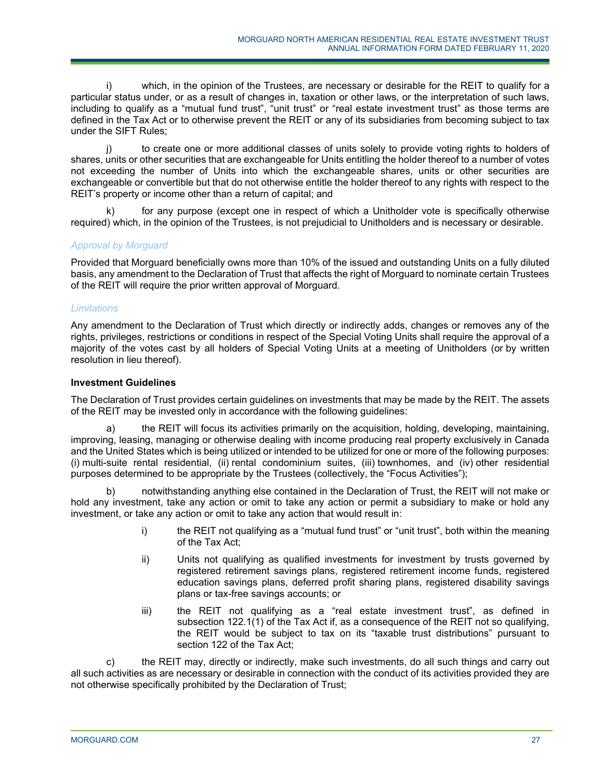i) which, in the opinion of the Trustees, are necessary or desirable for the REIT to qualify for a particular status under, or as a result of changes in, taxation or other laws, or the interpretation of such laws, including to qualify as a "mutual fund trust", "unit trust" or "real estate investment trust" as those terms are defined in the Tax Act or to otherwise prevent the REIT or any of its subsidiaries from becoming subject to tax under the SIFT Rules;

j) to create one or more additional classes of units solely to provide voting rights to holders of shares, units or other securities that are exchangeable for Units entitling the holder thereof to a number of votes not exceeding the number of Units into which the exchangeable shares, units or other securities are exchangeable or convertible but that do not otherwise entitle the holder thereof to any rights with respect to the REIT's property or income other than a return of capital; and

k) for any purpose (except one in respect of which a Unitholder vote is specifically otherwise required) which, in the opinion of the Trustees, is not prejudicial to Unitholders and is necessary or desirable.

### *Approval by Morguard*

Provided that Morguard beneficially owns more than 10% of the issued and outstanding Units on a fully diluted basis, any amendment to the Declaration of Trust that affects the right of Morguard to nominate certain Trustees of the REIT will require the prior written approval of Morguard.

### *Limitations*

Any amendment to the Declaration of Trust which directly or indirectly adds, changes or removes any of the rights, privileges, restrictions or conditions in respect of the Special Voting Units shall require the approval of a majority of the votes cast by all holders of Special Voting Units at a meeting of Unitholders (or by written resolution in lieu thereof).

### **Investment Guidelines**

The Declaration of Trust provides certain guidelines on investments that may be made by the REIT. The assets of the REIT may be invested only in accordance with the following guidelines:

the REIT will focus its activities primarily on the acquisition, holding, developing, maintaining, improving, leasing, managing or otherwise dealing with income producing real property exclusively in Canada and the United States which is being utilized or intended to be utilized for one or more of the following purposes: (i) multi-suite rental residential, (ii) rental condominium suites, (iii) townhomes, and (iv) other residential purposes determined to be appropriate by the Trustees (collectively, the "Focus Activities");

notwithstanding anything else contained in the Declaration of Trust, the REIT will not make or hold any investment, take any action or omit to take any action or permit a subsidiary to make or hold any investment, or take any action or omit to take any action that would result in:

- i) the REIT not qualifying as a "mutual fund trust" or "unit trust", both within the meaning of the Tax Act;
- ii) Units not qualifying as qualified investments for investment by trusts governed by registered retirement savings plans, registered retirement income funds, registered education savings plans, deferred profit sharing plans, registered disability savings plans or tax-free savings accounts; or
- iii) the REIT not qualifying as a "real estate investment trust", as defined in subsection 122.1(1) of the Tax Act if, as a consequence of the REIT not so qualifying, the REIT would be subject to tax on its "taxable trust distributions" pursuant to section 122 of the Tax Act;

c) the REIT may, directly or indirectly, make such investments, do all such things and carry out all such activities as are necessary or desirable in connection with the conduct of its activities provided they are not otherwise specifically prohibited by the Declaration of Trust;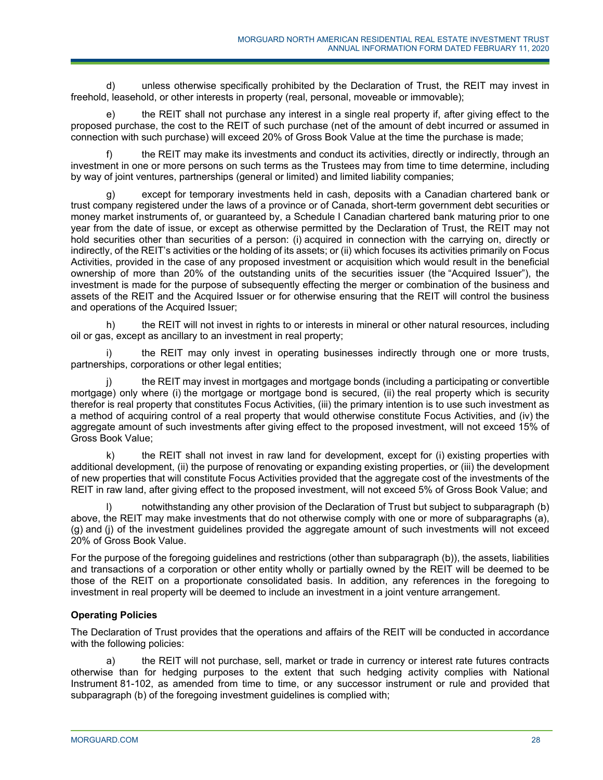d) unless otherwise specifically prohibited by the Declaration of Trust, the REIT may invest in freehold, leasehold, or other interests in property (real, personal, moveable or immovable);

e) the REIT shall not purchase any interest in a single real property if, after giving effect to the proposed purchase, the cost to the REIT of such purchase (net of the amount of debt incurred or assumed in connection with such purchase) will exceed 20% of Gross Book Value at the time the purchase is made;

f) the REIT may make its investments and conduct its activities, directly or indirectly, through an investment in one or more persons on such terms as the Trustees may from time to time determine, including by way of joint ventures, partnerships (general or limited) and limited liability companies;

g) except for temporary investments held in cash, deposits with a Canadian chartered bank or trust company registered under the laws of a province or of Canada, short-term government debt securities or money market instruments of, or guaranteed by, a Schedule I Canadian chartered bank maturing prior to one year from the date of issue, or except as otherwise permitted by the Declaration of Trust, the REIT may not hold securities other than securities of a person: (i) acquired in connection with the carrying on, directly or indirectly, of the REIT's activities or the holding of its assets; or (ii) which focuses its activities primarily on Focus Activities, provided in the case of any proposed investment or acquisition which would result in the beneficial ownership of more than 20% of the outstanding units of the securities issuer (the "Acquired Issuer"), the investment is made for the purpose of subsequently effecting the merger or combination of the business and assets of the REIT and the Acquired Issuer or for otherwise ensuring that the REIT will control the business and operations of the Acquired Issuer;

h) the REIT will not invest in rights to or interests in mineral or other natural resources, including oil or gas, except as ancillary to an investment in real property;

the REIT may only invest in operating businesses indirectly through one or more trusts, partnerships, corporations or other legal entities;

j) the REIT may invest in mortgages and mortgage bonds (including a participating or convertible mortgage) only where (i) the mortgage or mortgage bond is secured, (ii) the real property which is security therefor is real property that constitutes Focus Activities, (iii) the primary intention is to use such investment as a method of acquiring control of a real property that would otherwise constitute Focus Activities, and (iv) the aggregate amount of such investments after giving effect to the proposed investment, will not exceed 15% of Gross Book Value;

k) the REIT shall not invest in raw land for development, except for (i) existing properties with additional development, (ii) the purpose of renovating or expanding existing properties, or (iii) the development of new properties that will constitute Focus Activities provided that the aggregate cost of the investments of the REIT in raw land, after giving effect to the proposed investment, will not exceed 5% of Gross Book Value; and

notwithstanding any other provision of the Declaration of Trust but subject to subparagraph (b) above, the REIT may make investments that do not otherwise comply with one or more of subparagraphs (a), (g) and (j) of the investment guidelines provided the aggregate amount of such investments will not exceed 20% of Gross Book Value.

For the purpose of the foregoing guidelines and restrictions (other than subparagraph (b)), the assets, liabilities and transactions of a corporation or other entity wholly or partially owned by the REIT will be deemed to be those of the REIT on a proportionate consolidated basis. In addition, any references in the foregoing to investment in real property will be deemed to include an investment in a joint venture arrangement.

## **Operating Policies**

The Declaration of Trust provides that the operations and affairs of the REIT will be conducted in accordance with the following policies:

a) the REIT will not purchase, sell, market or trade in currency or interest rate futures contracts otherwise than for hedging purposes to the extent that such hedging activity complies with National Instrument 81-102, as amended from time to time, or any successor instrument or rule and provided that subparagraph (b) of the foregoing investment guidelines is complied with;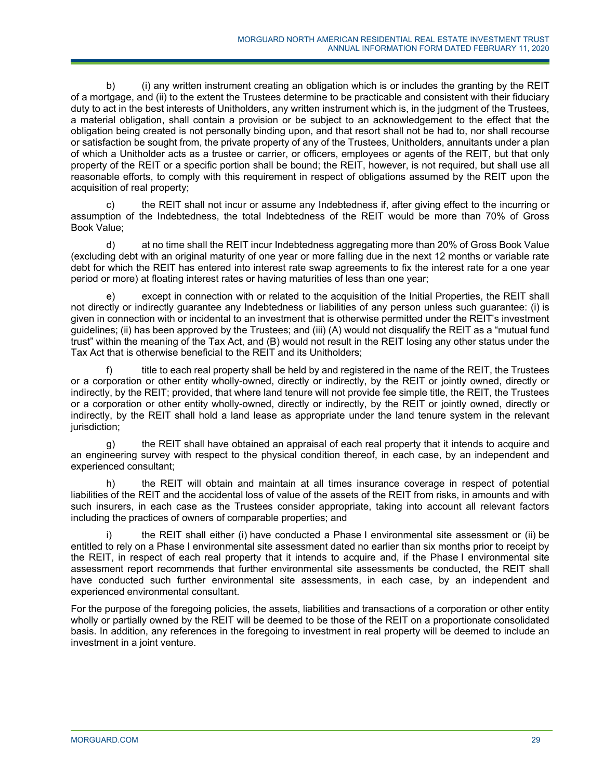b) (i) any written instrument creating an obligation which is or includes the granting by the REIT of a mortgage, and (ii) to the extent the Trustees determine to be practicable and consistent with their fiduciary duty to act in the best interests of Unitholders, any written instrument which is, in the judgment of the Trustees, a material obligation, shall contain a provision or be subject to an acknowledgement to the effect that the obligation being created is not personally binding upon, and that resort shall not be had to, nor shall recourse or satisfaction be sought from, the private property of any of the Trustees, Unitholders, annuitants under a plan of which a Unitholder acts as a trustee or carrier, or officers, employees or agents of the REIT, but that only property of the REIT or a specific portion shall be bound; the REIT, however, is not required, but shall use all reasonable efforts, to comply with this requirement in respect of obligations assumed by the REIT upon the acquisition of real property;

c) the REIT shall not incur or assume any Indebtedness if, after giving effect to the incurring or assumption of the Indebtedness, the total Indebtedness of the REIT would be more than 70% of Gross Book Value;

d) at no time shall the REIT incur Indebtedness aggregating more than 20% of Gross Book Value (excluding debt with an original maturity of one year or more falling due in the next 12 months or variable rate debt for which the REIT has entered into interest rate swap agreements to fix the interest rate for a one year period or more) at floating interest rates or having maturities of less than one year;

e) except in connection with or related to the acquisition of the Initial Properties, the REIT shall not directly or indirectly guarantee any Indebtedness or liabilities of any person unless such guarantee: (i) is given in connection with or incidental to an investment that is otherwise permitted under the REIT's investment guidelines; (ii) has been approved by the Trustees; and (iii) (A) would not disqualify the REIT as a "mutual fund trust" within the meaning of the Tax Act, and (B) would not result in the REIT losing any other status under the Tax Act that is otherwise beneficial to the REIT and its Unitholders;

f) title to each real property shall be held by and registered in the name of the REIT, the Trustees or a corporation or other entity wholly-owned, directly or indirectly, by the REIT or jointly owned, directly or indirectly, by the REIT; provided, that where land tenure will not provide fee simple title, the REIT, the Trustees or a corporation or other entity wholly-owned, directly or indirectly, by the REIT or jointly owned, directly or indirectly, by the REIT shall hold a land lease as appropriate under the land tenure system in the relevant jurisdiction;

g) the REIT shall have obtained an appraisal of each real property that it intends to acquire and an engineering survey with respect to the physical condition thereof, in each case, by an independent and experienced consultant;

h) the REIT will obtain and maintain at all times insurance coverage in respect of potential liabilities of the REIT and the accidental loss of value of the assets of the REIT from risks, in amounts and with such insurers, in each case as the Trustees consider appropriate, taking into account all relevant factors including the practices of owners of comparable properties; and

the REIT shall either (i) have conducted a Phase I environmental site assessment or (ii) be entitled to rely on a Phase I environmental site assessment dated no earlier than six months prior to receipt by the REIT, in respect of each real property that it intends to acquire and, if the Phase I environmental site assessment report recommends that further environmental site assessments be conducted, the REIT shall have conducted such further environmental site assessments, in each case, by an independent and experienced environmental consultant.

For the purpose of the foregoing policies, the assets, liabilities and transactions of a corporation or other entity wholly or partially owned by the REIT will be deemed to be those of the REIT on a proportionate consolidated basis. In addition, any references in the foregoing to investment in real property will be deemed to include an investment in a joint venture.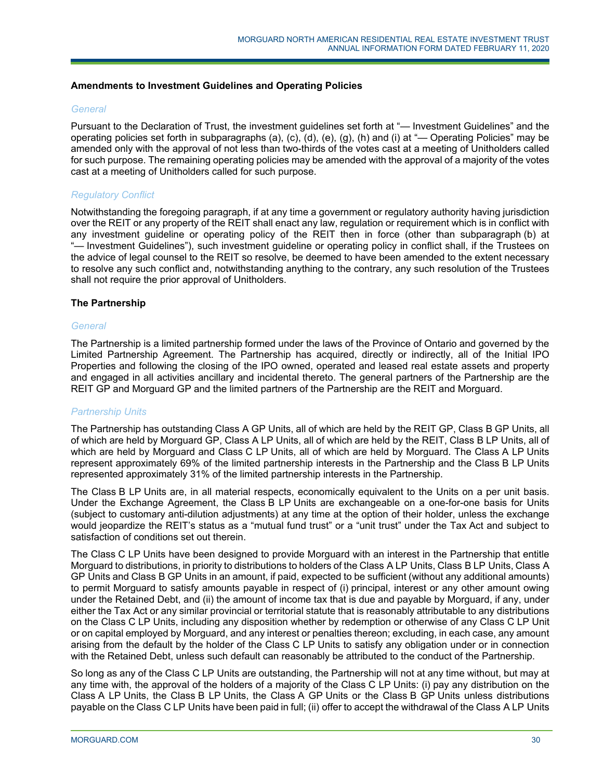### **Amendments to Investment Guidelines and Operating Policies**

### *General*

Pursuant to the Declaration of Trust, the investment guidelines set forth at "— Investment Guidelines" and the operating policies set forth in subparagraphs (a), (c), (d), (e), (g), (h) and (i) at "— Operating Policies" may be amended only with the approval of not less than two-thirds of the votes cast at a meeting of Unitholders called for such purpose. The remaining operating policies may be amended with the approval of a majority of the votes cast at a meeting of Unitholders called for such purpose.

### *Regulatory Conflict*

Notwithstanding the foregoing paragraph, if at any time a government or regulatory authority having jurisdiction over the REIT or any property of the REIT shall enact any law, regulation or requirement which is in conflict with any investment guideline or operating policy of the REIT then in force (other than subparagraph (b) at "- Investment Guidelines"), such investment guideline or operating policy in conflict shall, if the Trustees on the advice of legal counsel to the REIT so resolve, be deemed to have been amended to the extent necessary to resolve any such conflict and, notwithstanding anything to the contrary, any such resolution of the Trustees shall not require the prior approval of Unitholders.

### **The Partnership**

### *General*

The Partnership is a limited partnership formed under the laws of the Province of Ontario and governed by the Limited Partnership Agreement. The Partnership has acquired, directly or indirectly, all of the Initial IPO Properties and following the closing of the IPO owned, operated and leased real estate assets and property and engaged in all activities ancillary and incidental thereto. The general partners of the Partnership are the REIT GP and Morguard GP and the limited partners of the Partnership are the REIT and Morguard.

### *Partnership Units*

The Partnership has outstanding Class A GP Units, all of which are held by the REIT GP, Class B GP Units, all of which are held by Morguard GP, Class A LP Units, all of which are held by the REIT, Class B LP Units, all of which are held by Morguard and Class C LP Units, all of which are held by Morguard. The Class A LP Units represent approximately 69% of the limited partnership interests in the Partnership and the Class B LP Units represented approximately 31% of the limited partnership interests in the Partnership.

The Class B LP Units are, in all material respects, economically equivalent to the Units on a per unit basis. Under the Exchange Agreement, the Class B LP Units are exchangeable on a one-for-one basis for Units (subject to customary anti-dilution adjustments) at any time at the option of their holder, unless the exchange would jeopardize the REIT's status as a "mutual fund trust" or a "unit trust" under the Tax Act and subject to satisfaction of conditions set out therein.

The Class C LP Units have been designed to provide Morguard with an interest in the Partnership that entitle Morguard to distributions, in priority to distributions to holders of the Class A LP Units, Class B LP Units, Class A GP Units and Class B GP Units in an amount, if paid, expected to be sufficient (without any additional amounts) to permit Morguard to satisfy amounts payable in respect of (i) principal, interest or any other amount owing under the Retained Debt, and (ii) the amount of income tax that is due and payable by Morguard, if any, under either the Tax Act or any similar provincial or territorial statute that is reasonably attributable to any distributions on the Class C LP Units, including any disposition whether by redemption or otherwise of any Class C LP Unit or on capital employed by Morguard, and any interest or penalties thereon; excluding, in each case, any amount arising from the default by the holder of the Class C LP Units to satisfy any obligation under or in connection with the Retained Debt, unless such default can reasonably be attributed to the conduct of the Partnership.

So long as any of the Class C LP Units are outstanding, the Partnership will not at any time without, but may at any time with, the approval of the holders of a majority of the Class C LP Units: (i) pay any distribution on the Class A LP Units, the Class B LP Units, the Class A GP Units or the Class B GP Units unless distributions payable on the Class C LP Units have been paid in full; (ii) offer to accept the withdrawal of the Class A LP Units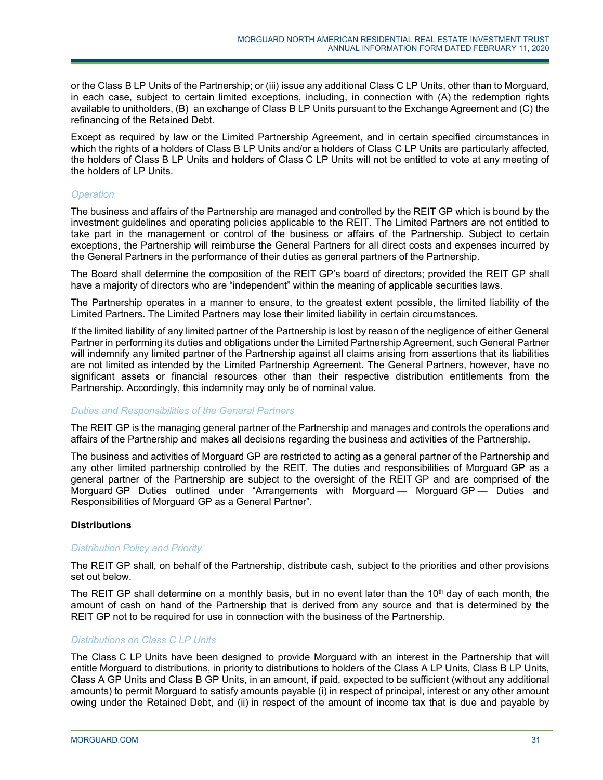or the Class B LP Units of the Partnership; or (iii) issue any additional Class C LP Units, other than to Morguard, in each case, subject to certain limited exceptions, including, in connection with (A) the redemption rights available to unitholders, (B) an exchange of Class B LP Units pursuant to the Exchange Agreement and (C) the refinancing of the Retained Debt.

Except as required by law or the Limited Partnership Agreement, and in certain specified circumstances in which the rights of a holders of Class B LP Units and/or a holders of Class C LP Units are particularly affected, the holders of Class B LP Units and holders of Class C LP Units will not be entitled to vote at any meeting of the holders of LP Units.

### *Operation*

The business and affairs of the Partnership are managed and controlled by the REIT GP which is bound by the investment guidelines and operating policies applicable to the REIT. The Limited Partners are not entitled to take part in the management or control of the business or affairs of the Partnership. Subject to certain exceptions, the Partnership will reimburse the General Partners for all direct costs and expenses incurred by the General Partners in the performance of their duties as general partners of the Partnership.

The Board shall determine the composition of the REIT GP's board of directors; provided the REIT GP shall have a majority of directors who are "independent" within the meaning of applicable securities laws.

The Partnership operates in a manner to ensure, to the greatest extent possible, the limited liability of the Limited Partners. The Limited Partners may lose their limited liability in certain circumstances.

If the limited liability of any limited partner of the Partnership is lost by reason of the negligence of either General Partner in performing its duties and obligations under the Limited Partnership Agreement, such General Partner will indemnify any limited partner of the Partnership against all claims arising from assertions that its liabilities are not limited as intended by the Limited Partnership Agreement. The General Partners, however, have no significant assets or financial resources other than their respective distribution entitlements from the Partnership. Accordingly, this indemnity may only be of nominal value.

### *Duties and Responsibilities of the General Partners*

The REIT GP is the managing general partner of the Partnership and manages and controls the operations and affairs of the Partnership and makes all decisions regarding the business and activities of the Partnership.

The business and activities of Morguard GP are restricted to acting as a general partner of the Partnership and any other limited partnership controlled by the REIT. The duties and responsibilities of Morguard GP as a general partner of the Partnership are subject to the oversight of the REIT GP and are comprised of the Morguard GP Duties outlined under "Arrangements with Morguard — Morguard GP — Duties and Responsibilities of Morguard GP as a General Partner".

## **Distributions**

### *Distribution Policy and Priority*

The REIT GP shall, on behalf of the Partnership, distribute cash, subject to the priorities and other provisions set out below.

The REIT GP shall determine on a monthly basis, but in no event later than the 10<sup>th</sup> day of each month, the amount of cash on hand of the Partnership that is derived from any source and that is determined by the REIT GP not to be required for use in connection with the business of the Partnership.

### *Distributions on Class C LP Units*

The Class C LP Units have been designed to provide Morguard with an interest in the Partnership that will entitle Morguard to distributions, in priority to distributions to holders of the Class A LP Units, Class B LP Units, Class A GP Units and Class B GP Units, in an amount, if paid, expected to be sufficient (without any additional amounts) to permit Morguard to satisfy amounts payable (i) in respect of principal, interest or any other amount owing under the Retained Debt, and (ii) in respect of the amount of income tax that is due and payable by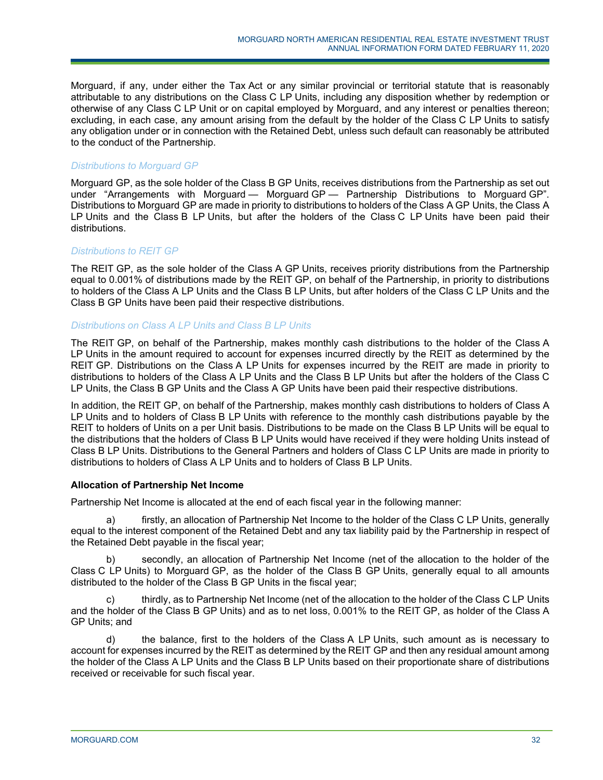Morguard, if any, under either the Tax Act or any similar provincial or territorial statute that is reasonably attributable to any distributions on the Class C LP Units, including any disposition whether by redemption or otherwise of any Class C LP Unit or on capital employed by Morguard, and any interest or penalties thereon; excluding, in each case, any amount arising from the default by the holder of the Class C LP Units to satisfy any obligation under or in connection with the Retained Debt, unless such default can reasonably be attributed to the conduct of the Partnership.

### *Distributions to Morguard GP*

Morguard GP, as the sole holder of the Class B GP Units, receives distributions from the Partnership as set out under "Arrangements with Morguard — Morguard GP — Partnership Distributions to Morguard GP". Distributions to Morguard GP are made in priority to distributions to holders of the Class A GP Units, the Class A LP Units and the Class B LP Units, but after the holders of the Class C LP Units have been paid their distributions.

### *Distributions to REIT GP*

The REIT GP, as the sole holder of the Class A GP Units, receives priority distributions from the Partnership equal to 0.001% of distributions made by the REIT GP, on behalf of the Partnership, in priority to distributions to holders of the Class A LP Units and the Class B LP Units, but after holders of the Class C LP Units and the Class B GP Units have been paid their respective distributions.

### *Distributions on Class A LP Units and Class B LP Units*

The REIT GP, on behalf of the Partnership, makes monthly cash distributions to the holder of the Class A LP Units in the amount required to account for expenses incurred directly by the REIT as determined by the REIT GP. Distributions on the Class A LP Units for expenses incurred by the REIT are made in priority to distributions to holders of the Class A LP Units and the Class B LP Units but after the holders of the Class C LP Units, the Class B GP Units and the Class A GP Units have been paid their respective distributions.

In addition, the REIT GP, on behalf of the Partnership, makes monthly cash distributions to holders of Class A LP Units and to holders of Class B LP Units with reference to the monthly cash distributions payable by the REIT to holders of Units on a per Unit basis. Distributions to be made on the Class B LP Units will be equal to the distributions that the holders of Class B LP Units would have received if they were holding Units instead of Class B LP Units. Distributions to the General Partners and holders of Class C LP Units are made in priority to distributions to holders of Class A LP Units and to holders of Class B LP Units.

### **Allocation of Partnership Net Income**

Partnership Net Income is allocated at the end of each fiscal year in the following manner:

a) firstly, an allocation of Partnership Net Income to the holder of the Class C LP Units, generally equal to the interest component of the Retained Debt and any tax liability paid by the Partnership in respect of the Retained Debt payable in the fiscal year;

b) secondly, an allocation of Partnership Net Income (net of the allocation to the holder of the Class C LP Units) to Morguard GP, as the holder of the Class B GP Units, generally equal to all amounts distributed to the holder of the Class B GP Units in the fiscal year;

c) thirdly, as to Partnership Net Income (net of the allocation to the holder of the Class C LP Units and the holder of the Class B GP Units) and as to net loss, 0.001% to the REIT GP, as holder of the Class A GP Units; and

d) the balance, first to the holders of the Class A LP Units, such amount as is necessary to account for expenses incurred by the REIT as determined by the REIT GP and then any residual amount among the holder of the Class A LP Units and the Class B LP Units based on their proportionate share of distributions received or receivable for such fiscal year.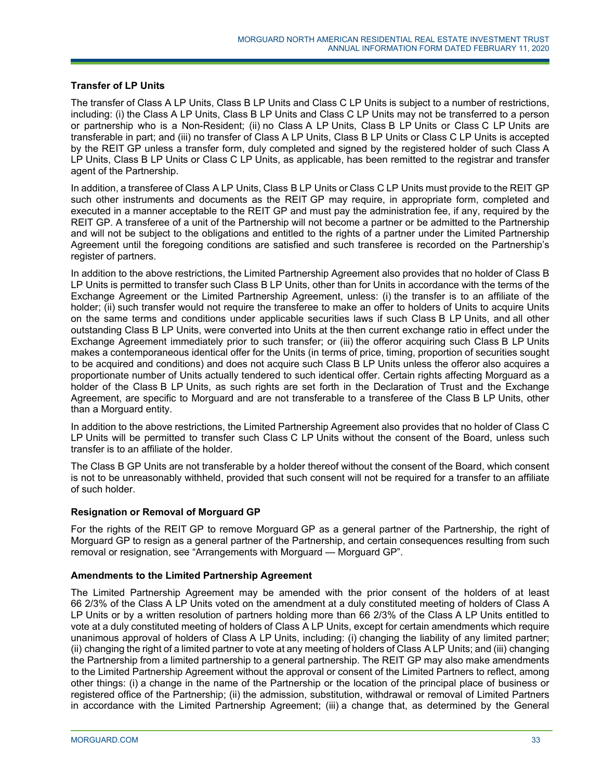## **Transfer of LP Units**

The transfer of Class A LP Units, Class B LP Units and Class C LP Units is subject to a number of restrictions, including: (i) the Class A LP Units, Class B LP Units and Class C LP Units may not be transferred to a person or partnership who is a Non-Resident; (ii) no Class A LP Units, Class B LP Units or Class C LP Units are transferable in part; and (iii) no transfer of Class A LP Units, Class B LP Units or Class C LP Units is accepted by the REIT GP unless a transfer form, duly completed and signed by the registered holder of such Class A LP Units, Class B LP Units or Class C LP Units, as applicable, has been remitted to the registrar and transfer agent of the Partnership.

In addition, a transferee of Class A LP Units, Class B LP Units or Class C LP Units must provide to the REIT GP such other instruments and documents as the REIT GP may require, in appropriate form, completed and executed in a manner acceptable to the REIT GP and must pay the administration fee, if any, required by the REIT GP. A transferee of a unit of the Partnership will not become a partner or be admitted to the Partnership and will not be subject to the obligations and entitled to the rights of a partner under the Limited Partnership Agreement until the foregoing conditions are satisfied and such transferee is recorded on the Partnership's register of partners.

In addition to the above restrictions, the Limited Partnership Agreement also provides that no holder of Class B LP Units is permitted to transfer such Class B LP Units, other than for Units in accordance with the terms of the Exchange Agreement or the Limited Partnership Agreement, unless: (i) the transfer is to an affiliate of the holder; (ii) such transfer would not require the transferee to make an offer to holders of Units to acquire Units on the same terms and conditions under applicable securities laws if such Class B LP Units, and all other outstanding Class B LP Units, were converted into Units at the then current exchange ratio in effect under the Exchange Agreement immediately prior to such transfer; or (iii) the offeror acquiring such Class B LP Units makes a contemporaneous identical offer for the Units (in terms of price, timing, proportion of securities sought to be acquired and conditions) and does not acquire such Class B LP Units unless the offeror also acquires a proportionate number of Units actually tendered to such identical offer. Certain rights affecting Morguard as a holder of the Class B LP Units, as such rights are set forth in the Declaration of Trust and the Exchange Agreement, are specific to Morguard and are not transferable to a transferee of the Class B LP Units, other than a Morguard entity.

In addition to the above restrictions, the Limited Partnership Agreement also provides that no holder of Class C LP Units will be permitted to transfer such Class C LP Units without the consent of the Board, unless such transfer is to an affiliate of the holder.

The Class B GP Units are not transferable by a holder thereof without the consent of the Board, which consent is not to be unreasonably withheld, provided that such consent will not be required for a transfer to an affiliate of such holder.

### **Resignation or Removal of Morguard GP**

For the rights of the REIT GP to remove Morguard GP as a general partner of the Partnership, the right of Morguard GP to resign as a general partner of the Partnership, and certain consequences resulting from such removal or resignation, see "Arrangements with Morguard — Morguard GP".

### **Amendments to the Limited Partnership Agreement**

The Limited Partnership Agreement may be amended with the prior consent of the holders of at least 66 2/3% of the Class A LP Units voted on the amendment at a duly constituted meeting of holders of Class A LP Units or by a written resolution of partners holding more than 66 2/3% of the Class A LP Units entitled to vote at a duly constituted meeting of holders of Class A LP Units, except for certain amendments which require unanimous approval of holders of Class A LP Units, including: (i) changing the liability of any limited partner; (ii) changing the right of a limited partner to vote at any meeting of holders of Class A LP Units; and (iii) changing the Partnership from a limited partnership to a general partnership. The REIT GP may also make amendments to the Limited Partnership Agreement without the approval or consent of the Limited Partners to reflect, among other things: (i) a change in the name of the Partnership or the location of the principal place of business or registered office of the Partnership; (ii) the admission, substitution, withdrawal or removal of Limited Partners in accordance with the Limited Partnership Agreement; (iii) a change that, as determined by the General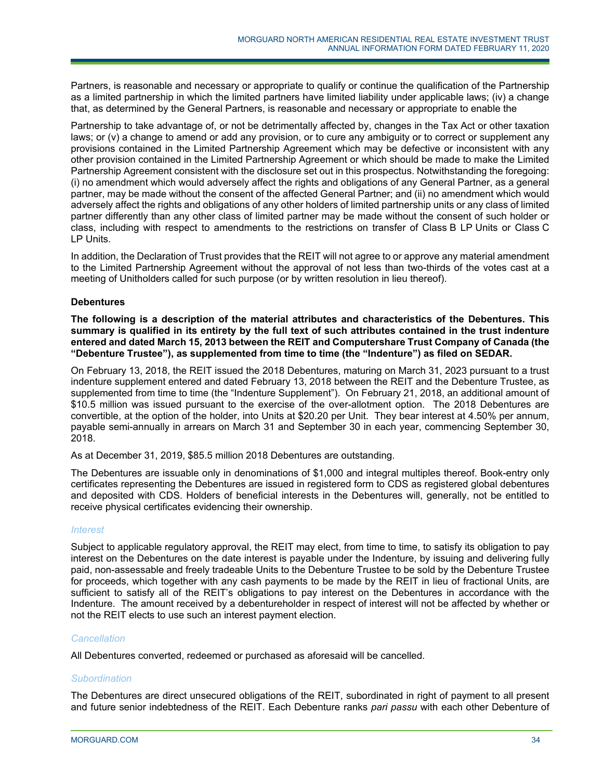Partners, is reasonable and necessary or appropriate to qualify or continue the qualification of the Partnership as a limited partnership in which the limited partners have limited liability under applicable laws; (iv) a change that, as determined by the General Partners, is reasonable and necessary or appropriate to enable the

Partnership to take advantage of, or not be detrimentally affected by, changes in the Tax Act or other taxation laws; or (v) a change to amend or add any provision, or to cure any ambiguity or to correct or supplement any provisions contained in the Limited Partnership Agreement which may be defective or inconsistent with any other provision contained in the Limited Partnership Agreement or which should be made to make the Limited Partnership Agreement consistent with the disclosure set out in this prospectus. Notwithstanding the foregoing: (i) no amendment which would adversely affect the rights and obligations of any General Partner, as a general partner, may be made without the consent of the affected General Partner; and (ii) no amendment which would adversely affect the rights and obligations of any other holders of limited partnership units or any class of limited partner differently than any other class of limited partner may be made without the consent of such holder or class, including with respect to amendments to the restrictions on transfer of Class B LP Units or Class C LP Units.

In addition, the Declaration of Trust provides that the REIT will not agree to or approve any material amendment to the Limited Partnership Agreement without the approval of not less than two-thirds of the votes cast at a meeting of Unitholders called for such purpose (or by written resolution in lieu thereof).

### **Debentures**

**The following is a description of the material attributes and characteristics of the Debentures. This summary is qualified in its entirety by the full text of such attributes contained in the trust indenture entered and dated March 15, 2013 between the REIT and Computershare Trust Company of Canada (the "Debenture Trustee"), as supplemented from time to time (the "Indenture") as filed on SEDAR.** 

On February 13, 2018, the REIT issued the 2018 Debentures, maturing on March 31, 2023 pursuant to a trust indenture supplement entered and dated February 13, 2018 between the REIT and the Debenture Trustee, as supplemented from time to time (the "Indenture Supplement"). On February 21, 2018, an additional amount of \$10.5 million was issued pursuant to the exercise of the over-allotment option. The 2018 Debentures are convertible, at the option of the holder, into Units at \$20.20 per Unit. They bear interest at 4.50% per annum, payable semi-annually in arrears on March 31 and September 30 in each year, commencing September 30, 2018.

As at December 31, 2019, \$85.5 million 2018 Debentures are outstanding.

The Debentures are issuable only in denominations of \$1,000 and integral multiples thereof. Book-entry only certificates representing the Debentures are issued in registered form to CDS as registered global debentures and deposited with CDS. Holders of beneficial interests in the Debentures will, generally, not be entitled to receive physical certificates evidencing their ownership.

### *Interest*

Subject to applicable regulatory approval, the REIT may elect, from time to time, to satisfy its obligation to pay interest on the Debentures on the date interest is payable under the Indenture, by issuing and delivering fully paid, non-assessable and freely tradeable Units to the Debenture Trustee to be sold by the Debenture Trustee for proceeds, which together with any cash payments to be made by the REIT in lieu of fractional Units, are sufficient to satisfy all of the REIT's obligations to pay interest on the Debentures in accordance with the Indenture. The amount received by a debentureholder in respect of interest will not be affected by whether or not the REIT elects to use such an interest payment election.

### *Cancellation*

All Debentures converted, redeemed or purchased as aforesaid will be cancelled.

### *Subordination*

The Debentures are direct unsecured obligations of the REIT, subordinated in right of payment to all present and future senior indebtedness of the REIT. Each Debenture ranks *pari passu* with each other Debenture of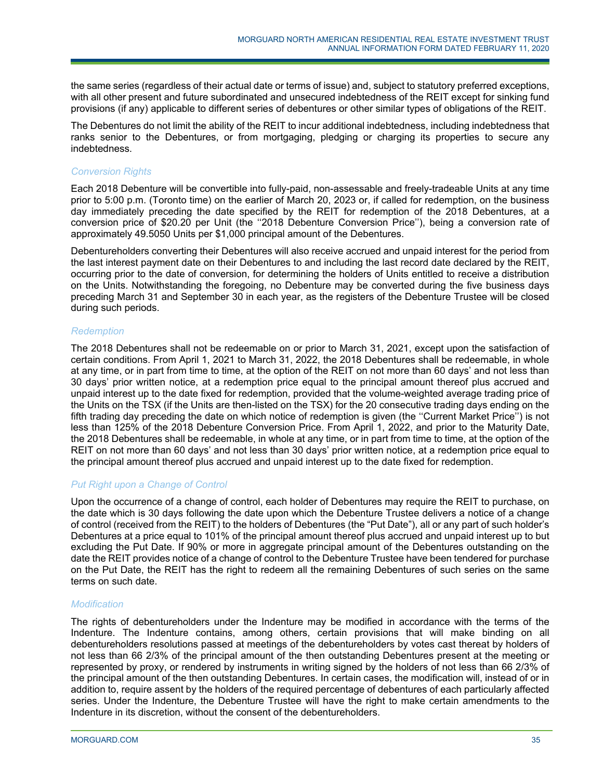the same series (regardless of their actual date or terms of issue) and, subject to statutory preferred exceptions, with all other present and future subordinated and unsecured indebtedness of the REIT except for sinking fund provisions (if any) applicable to different series of debentures or other similar types of obligations of the REIT.

The Debentures do not limit the ability of the REIT to incur additional indebtedness, including indebtedness that ranks senior to the Debentures, or from mortgaging, pledging or charging its properties to secure any indebtedness.

### *Conversion Rights*

Each 2018 Debenture will be convertible into fully-paid, non-assessable and freely-tradeable Units at any time prior to 5:00 p.m. (Toronto time) on the earlier of March 20, 2023 or, if called for redemption, on the business day immediately preceding the date specified by the REIT for redemption of the 2018 Debentures, at a conversion price of \$20.20 per Unit (the ''2018 Debenture Conversion Price''), being a conversion rate of approximately 49.5050 Units per \$1,000 principal amount of the Debentures.

Debentureholders converting their Debentures will also receive accrued and unpaid interest for the period from the last interest payment date on their Debentures to and including the last record date declared by the REIT, occurring prior to the date of conversion, for determining the holders of Units entitled to receive a distribution on the Units. Notwithstanding the foregoing, no Debenture may be converted during the five business days preceding March 31 and September 30 in each year, as the registers of the Debenture Trustee will be closed during such periods.

### *Redemption*

The 2018 Debentures shall not be redeemable on or prior to March 31, 2021, except upon the satisfaction of certain conditions. From April 1, 2021 to March 31, 2022, the 2018 Debentures shall be redeemable, in whole at any time, or in part from time to time, at the option of the REIT on not more than 60 days' and not less than 30 days' prior written notice, at a redemption price equal to the principal amount thereof plus accrued and unpaid interest up to the date fixed for redemption, provided that the volume-weighted average trading price of the Units on the TSX (if the Units are then-listed on the TSX) for the 20 consecutive trading days ending on the fifth trading day preceding the date on which notice of redemption is given (the ''Current Market Price'') is not less than 125% of the 2018 Debenture Conversion Price. From April 1, 2022, and prior to the Maturity Date, the 2018 Debentures shall be redeemable, in whole at any time, or in part from time to time, at the option of the REIT on not more than 60 days' and not less than 30 days' prior written notice, at a redemption price equal to the principal amount thereof plus accrued and unpaid interest up to the date fixed for redemption.

## *Put Right upon a Change of Control*

Upon the occurrence of a change of control, each holder of Debentures may require the REIT to purchase, on the date which is 30 days following the date upon which the Debenture Trustee delivers a notice of a change of control (received from the REIT) to the holders of Debentures (the "Put Date"), all or any part of such holder's Debentures at a price equal to 101% of the principal amount thereof plus accrued and unpaid interest up to but excluding the Put Date. If 90% or more in aggregate principal amount of the Debentures outstanding on the date the REIT provides notice of a change of control to the Debenture Trustee have been tendered for purchase on the Put Date, the REIT has the right to redeem all the remaining Debentures of such series on the same terms on such date.

### *Modification*

The rights of debentureholders under the Indenture may be modified in accordance with the terms of the Indenture. The Indenture contains, among others, certain provisions that will make binding on all debentureholders resolutions passed at meetings of the debentureholders by votes cast thereat by holders of not less than 66 2/3% of the principal amount of the then outstanding Debentures present at the meeting or represented by proxy, or rendered by instruments in writing signed by the holders of not less than 66 2/3% of the principal amount of the then outstanding Debentures. In certain cases, the modification will, instead of or in addition to, require assent by the holders of the required percentage of debentures of each particularly affected series. Under the Indenture, the Debenture Trustee will have the right to make certain amendments to the Indenture in its discretion, without the consent of the debentureholders.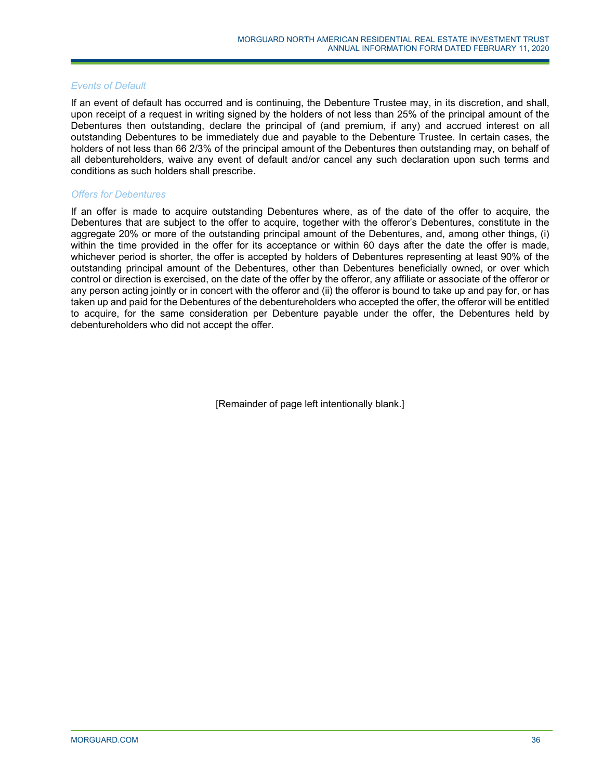### *Events of Default*

If an event of default has occurred and is continuing, the Debenture Trustee may, in its discretion, and shall, upon receipt of a request in writing signed by the holders of not less than 25% of the principal amount of the Debentures then outstanding, declare the principal of (and premium, if any) and accrued interest on all outstanding Debentures to be immediately due and payable to the Debenture Trustee. In certain cases, the holders of not less than 66 2/3% of the principal amount of the Debentures then outstanding may, on behalf of all debentureholders, waive any event of default and/or cancel any such declaration upon such terms and conditions as such holders shall prescribe.

### *Offers for Debentures*

If an offer is made to acquire outstanding Debentures where, as of the date of the offer to acquire, the Debentures that are subject to the offer to acquire, together with the offeror's Debentures, constitute in the aggregate 20% or more of the outstanding principal amount of the Debentures, and, among other things, (i) within the time provided in the offer for its acceptance or within 60 days after the date the offer is made, whichever period is shorter, the offer is accepted by holders of Debentures representing at least 90% of the outstanding principal amount of the Debentures, other than Debentures beneficially owned, or over which control or direction is exercised, on the date of the offer by the offeror, any affiliate or associate of the offeror or any person acting jointly or in concert with the offeror and (ii) the offeror is bound to take up and pay for, or has taken up and paid for the Debentures of the debentureholders who accepted the offer, the offeror will be entitled to acquire, for the same consideration per Debenture payable under the offer, the Debentures held by debentureholders who did not accept the offer.

[Remainder of page left intentionally blank.]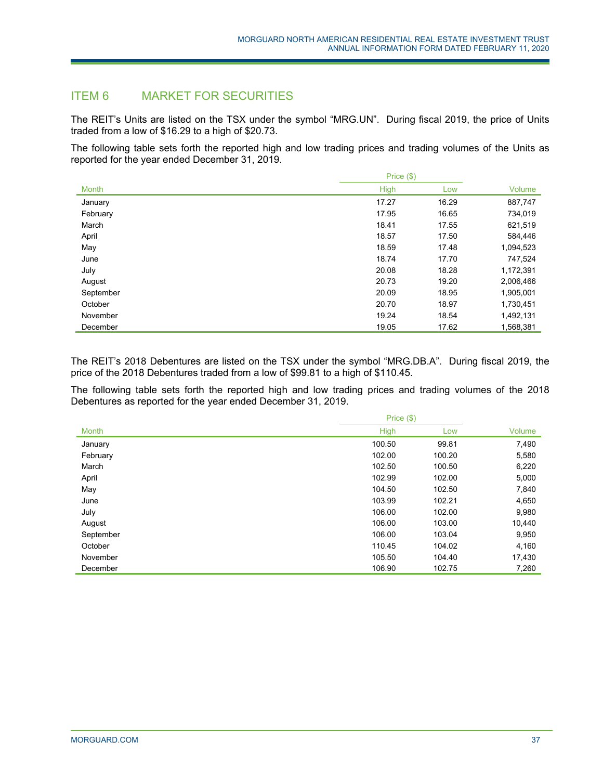# ITEM 6 MARKET FOR SECURITIES

The REIT's Units are listed on the TSX under the symbol "MRG.UN". During fiscal 2019, the price of Units traded from a low of \$16.29 to a high of \$20.73.

The following table sets forth the reported high and low trading prices and trading volumes of the Units as reported for the year ended December 31, 2019.

|              |             | Price (\$) |           |  |
|--------------|-------------|------------|-----------|--|
| <b>Month</b> | <b>High</b> | Low        | Volume    |  |
| January      | 17.27       | 16.29      | 887,747   |  |
| February     | 17.95       | 16.65      | 734,019   |  |
| March        | 18.41       | 17.55      | 621,519   |  |
| April        | 18.57       | 17.50      | 584,446   |  |
| May          | 18.59       | 17.48      | 1,094,523 |  |
| June         | 18.74       | 17.70      | 747,524   |  |
| July         | 20.08       | 18.28      | 1,172,391 |  |
| August       | 20.73       | 19.20      | 2,006,466 |  |
| September    | 20.09       | 18.95      | 1,905,001 |  |
| October      | 20.70       | 18.97      | 1,730,451 |  |
| November     | 19.24       | 18.54      | 1,492,131 |  |
| December     | 19.05       | 17.62      | 1,568,381 |  |

The REIT's 2018 Debentures are listed on the TSX under the symbol "MRG.DB.A". During fiscal 2019, the price of the 2018 Debentures traded from a low of \$99.81 to a high of \$110.45.

The following table sets forth the reported high and low trading prices and trading volumes of the 2018 Debentures as reported for the year ended December 31, 2019.

|              | Price (\$)  |        |        |  |
|--------------|-------------|--------|--------|--|
| <b>Month</b> | <b>High</b> | Low    | Volume |  |
| January      | 100.50      | 99.81  | 7,490  |  |
| February     | 102.00      | 100.20 | 5,580  |  |
| March        | 102.50      | 100.50 | 6,220  |  |
| April        | 102.99      | 102.00 | 5,000  |  |
| May          | 104.50      | 102.50 | 7,840  |  |
| June         | 103.99      | 102.21 | 4,650  |  |
| July         | 106.00      | 102.00 | 9,980  |  |
| August       | 106.00      | 103.00 | 10,440 |  |
| September    | 106.00      | 103.04 | 9,950  |  |
| October      | 110.45      | 104.02 | 4,160  |  |
| November     | 105.50      | 104.40 | 17,430 |  |
| December     | 106.90      | 102.75 | 7,260  |  |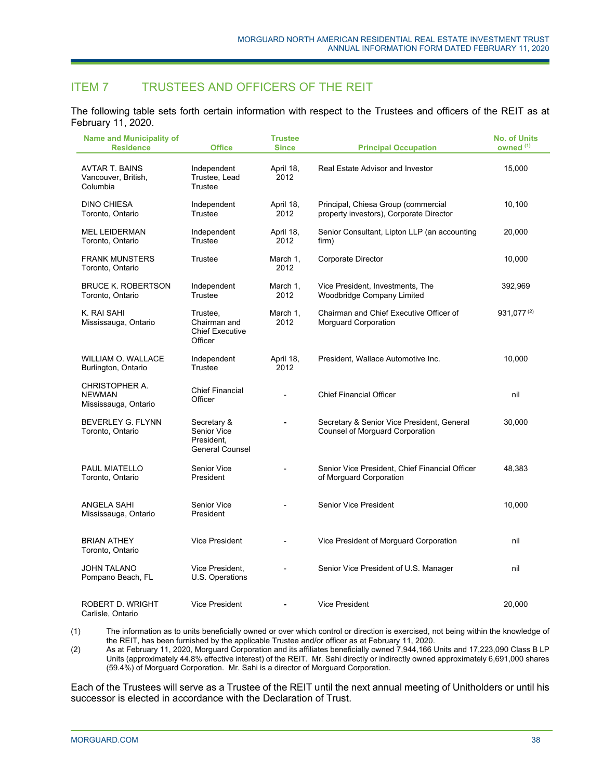# ITEM 7 TRUSTEES AND OFFICERS OF THE REIT

The following table sets forth certain information with respect to the Trustees and officers of the REIT as at February 11, 2020.

| <b>Name and Municipality of</b><br><b>Residence</b>            | <b>Office</b>                                                      | <b>Trustee</b><br><b>Since</b> | <b>Principal Occupation</b>                                                          | <b>No. of Units</b><br>owned <sup>(1)</sup> |
|----------------------------------------------------------------|--------------------------------------------------------------------|--------------------------------|--------------------------------------------------------------------------------------|---------------------------------------------|
| AVTAR T. BAINS<br>Vancouver, British,<br>Columbia              | Independent<br>Trustee, Lead<br>Trustee                            | April 18,<br>2012              | Real Estate Advisor and Investor                                                     | 15,000                                      |
| <b>DINO CHIESA</b><br>Toronto, Ontario                         | Independent<br>Trustee                                             | April 18,<br>2012              | Principal, Chiesa Group (commercial<br>property investors), Corporate Director       | 10,100                                      |
| <b>MEL LEIDERMAN</b><br>Toronto, Ontario                       | Independent<br>Trustee                                             | April 18,<br>2012              | Senior Consultant, Lipton LLP (an accounting<br>firm)                                | 20,000                                      |
| <b>FRANK MUNSTERS</b><br>Toronto, Ontario                      | Trustee                                                            | March 1.<br>2012               | <b>Corporate Director</b>                                                            | 10,000                                      |
| <b>BRUCE K. ROBERTSON</b><br>Toronto, Ontario                  | Independent<br>Trustee                                             | March 1,<br>2012               | Vice President, Investments, The<br>Woodbridge Company Limited                       | 392,969                                     |
| K. RAI SAHI<br>Mississauga, Ontario                            | Trustee,<br>Chairman and<br><b>Chief Executive</b><br>Officer      | March 1,<br>2012               | Chairman and Chief Executive Officer of<br>Morguard Corporation                      | $931,077^{(2)}$                             |
| <b>WILLIAM O. WALLACE</b><br>Burlington, Ontario               | Independent<br>Trustee                                             | April 18,<br>2012              | President, Wallace Automotive Inc.                                                   | 10,000                                      |
| <b>CHRISTOPHER A.</b><br><b>NEWMAN</b><br>Mississauga, Ontario | <b>Chief Financial</b><br>Officer                                  | $\overline{\phantom{a}}$       | <b>Chief Financial Officer</b>                                                       | nil                                         |
| BEVERLEY G. FLYNN<br>Toronto, Ontario                          | Secretary &<br>Senior Vice<br>President.<br><b>General Counsel</b> | ÷.                             | Secretary & Senior Vice President, General<br><b>Counsel of Morguard Corporation</b> | 30,000                                      |
| <b>PAUL MIATELLO</b><br>Toronto, Ontario                       | Senior Vice<br>President                                           | $\overline{\phantom{a}}$       | Senior Vice President, Chief Financial Officer<br>of Morguard Corporation            | 48,383                                      |
| ANGELA SAHI<br>Mississauga, Ontario                            | Senior Vice<br>President                                           |                                | Senior Vice President                                                                | 10,000                                      |
| <b>BRIAN ATHEY</b><br>Toronto, Ontario                         | Vice President                                                     | $\overline{a}$                 | Vice President of Morguard Corporation                                               | nil                                         |
| <b>JOHN TALANO</b><br>Pompano Beach, FL                        | Vice President,<br>U.S. Operations                                 |                                | Senior Vice President of U.S. Manager                                                | nil                                         |
| <b>ROBERT D. WRIGHT</b><br>Carlisle, Ontario                   | Vice President                                                     |                                | <b>Vice President</b>                                                                | 20,000                                      |

(1) The information as to units beneficially owned or over which control or direction is exercised, not being within the knowledge of the REIT, has been furnished by the applicable Trustee and/or officer as at February 11, 2020.

(2) As at February 11, 2020, Morguard Corporation and its affiliates beneficially owned 7,944,166 Units and 17,223,090 Class B LP Units (approximately 44.8% effective interest) of the REIT. Mr. Sahi directly or indirectly owned approximately 6,691,000 shares (59.4%) of Morguard Corporation. Mr. Sahi is a director of Morguard Corporation.

Each of the Trustees will serve as a Trustee of the REIT until the next annual meeting of Unitholders or until his successor is elected in accordance with the Declaration of Trust.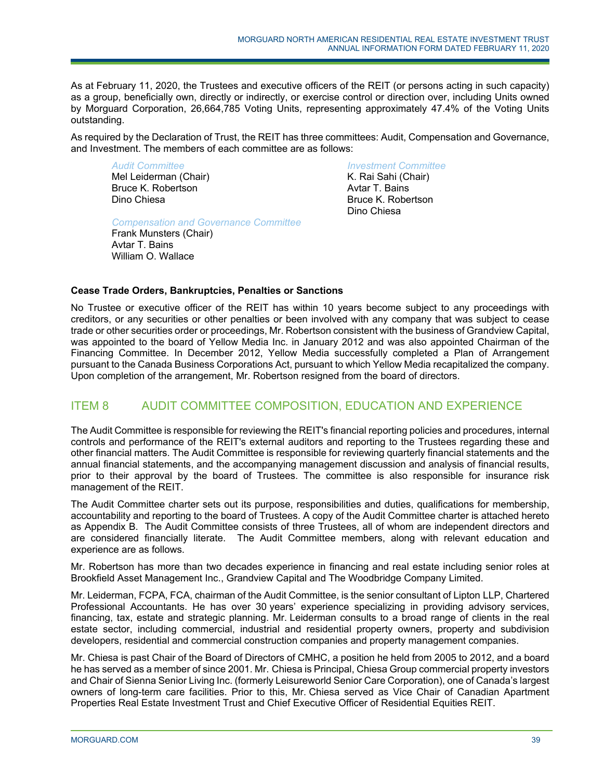As at February 11, 2020, the Trustees and executive officers of the REIT (or persons acting in such capacity) as a group, beneficially own, directly or indirectly, or exercise control or direction over, including Units owned by Morguard Corporation, 26,664,785 Voting Units, representing approximately 47.4% of the Voting Units outstanding.

As required by the Declaration of Trust, the REIT has three committees: Audit, Compensation and Governance, and Investment. The members of each committee are as follows:

*Audit Committee*  Mel Leiderman (Chair) Bruce K. Robertson Dino Chiesa

*Compensation and Governance Committee* 

Frank Munsters (Chair) Avtar T. Bains William O. Wallace

*Investment Committee*  K. Rai Sahi (Chair) Avtar T. Bains Bruce K. Robertson Dino Chiesa

# **Cease Trade Orders, Bankruptcies, Penalties or Sanctions**

No Trustee or executive officer of the REIT has within 10 years become subject to any proceedings with creditors, or any securities or other penalties or been involved with any company that was subject to cease trade or other securities order or proceedings, Mr. Robertson consistent with the business of Grandview Capital, was appointed to the board of Yellow Media Inc. in January 2012 and was also appointed Chairman of the Financing Committee. In December 2012, Yellow Media successfully completed a Plan of Arrangement pursuant to the Canada Business Corporations Act, pursuant to which Yellow Media recapitalized the company. Upon completion of the arrangement, Mr. Robertson resigned from the board of directors.

# ITEM 8 AUDIT COMMITTEE COMPOSITION, EDUCATION AND EXPERIENCE

The Audit Committee is responsible for reviewing the REIT's financial reporting policies and procedures, internal controls and performance of the REIT's external auditors and reporting to the Trustees regarding these and other financial matters. The Audit Committee is responsible for reviewing quarterly financial statements and the annual financial statements, and the accompanying management discussion and analysis of financial results, prior to their approval by the board of Trustees. The committee is also responsible for insurance risk management of the REIT.

The Audit Committee charter sets out its purpose, responsibilities and duties, qualifications for membership, accountability and reporting to the board of Trustees. A copy of the Audit Committee charter is attached hereto as Appendix B. The Audit Committee consists of three Trustees, all of whom are independent directors and are considered financially literate. The Audit Committee members, along with relevant education and experience are as follows.

Mr. Robertson has more than two decades experience in financing and real estate including senior roles at Brookfield Asset Management Inc., Grandview Capital and The Woodbridge Company Limited.

Mr. Leiderman, FCPA, FCA, chairman of the Audit Committee, is the senior consultant of Lipton LLP, Chartered Professional Accountants. He has over 30 years' experience specializing in providing advisory services, financing, tax, estate and strategic planning. Mr. Leiderman consults to a broad range of clients in the real estate sector, including commercial, industrial and residential property owners, property and subdivision developers, residential and commercial construction companies and property management companies.

Mr. Chiesa is past Chair of the Board of Directors of CMHC, a position he held from 2005 to 2012, and a board he has served as a member of since 2001. Mr. Chiesa is Principal, Chiesa Group commercial property investors and Chair of Sienna Senior Living Inc. (formerly Leisureworld Senior Care Corporation), one of Canada's largest owners of long-term care facilities. Prior to this, Mr. Chiesa served as Vice Chair of Canadian Apartment Properties Real Estate Investment Trust and Chief Executive Officer of Residential Equities REIT.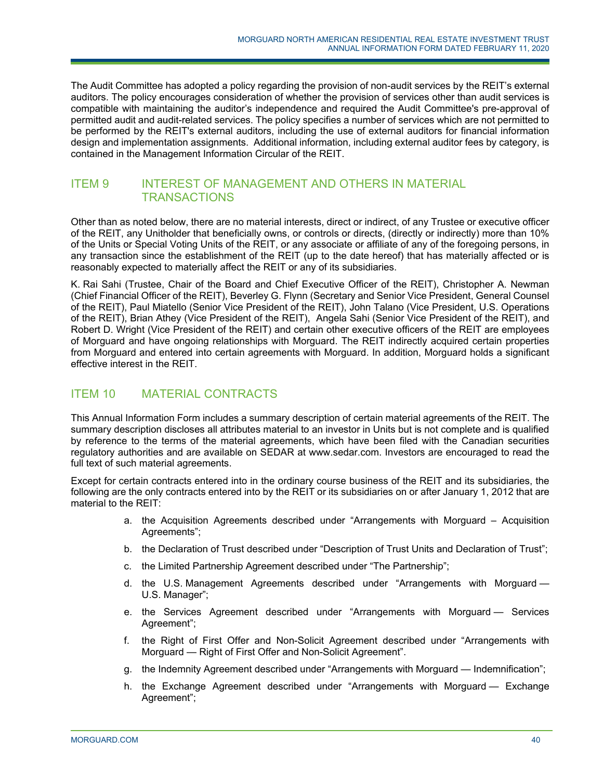The Audit Committee has adopted a policy regarding the provision of non-audit services by the REIT's external auditors. The policy encourages consideration of whether the provision of services other than audit services is compatible with maintaining the auditor's independence and required the Audit Committee's pre-approval of permitted audit and audit-related services. The policy specifies a number of services which are not permitted to be performed by the REIT's external auditors, including the use of external auditors for financial information design and implementation assignments. Additional information, including external auditor fees by category, is contained in the Management Information Circular of the REIT.

# ITEM 9 INTEREST OF MANAGEMENT AND OTHERS IN MATERIAL **TRANSACTIONS**

Other than as noted below, there are no material interests, direct or indirect, of any Trustee or executive officer of the REIT, any Unitholder that beneficially owns, or controls or directs, (directly or indirectly) more than 10% of the Units or Special Voting Units of the REIT, or any associate or affiliate of any of the foregoing persons, in any transaction since the establishment of the REIT (up to the date hereof) that has materially affected or is reasonably expected to materially affect the REIT or any of its subsidiaries.

K. Rai Sahi (Trustee, Chair of the Board and Chief Executive Officer of the REIT), Christopher A. Newman (Chief Financial Officer of the REIT), Beverley G. Flynn (Secretary and Senior Vice President, General Counsel of the REIT), Paul Miatello (Senior Vice President of the REIT), John Talano (Vice President, U.S. Operations of the REIT), Brian Athey (Vice President of the REIT), Angela Sahi (Senior Vice President of the REIT), and Robert D. Wright (Vice President of the REIT) and certain other executive officers of the REIT are employees of Morguard and have ongoing relationships with Morguard. The REIT indirectly acquired certain properties from Morguard and entered into certain agreements with Morguard. In addition, Morguard holds a significant effective interest in the REIT.

# ITEM 10 MATERIAL CONTRACTS

This Annual Information Form includes a summary description of certain material agreements of the REIT. The summary description discloses all attributes material to an investor in Units but is not complete and is qualified by reference to the terms of the material agreements, which have been filed with the Canadian securities regulatory authorities and are available on SEDAR at www.sedar.com. Investors are encouraged to read the full text of such material agreements.

Except for certain contracts entered into in the ordinary course business of the REIT and its subsidiaries, the following are the only contracts entered into by the REIT or its subsidiaries on or after January 1, 2012 that are material to the REIT:

- a. the Acquisition Agreements described under "Arrangements with Morguard Acquisition Agreements";
- b. the Declaration of Trust described under "Description of Trust Units and Declaration of Trust";
- c. the Limited Partnership Agreement described under "The Partnership";
- d. the U.S. Management Agreements described under "Arrangements with Morguard U.S. Manager";
- e. the Services Agreement described under "Arrangements with Morguard Services Agreement";
- f. the Right of First Offer and Non-Solicit Agreement described under "Arrangements with Morguard — Right of First Offer and Non-Solicit Agreement".
- g. the Indemnity Agreement described under "Arrangements with Morguard Indemnification";
- h. the Exchange Agreement described under "Arrangements with Morguard Exchange Agreement";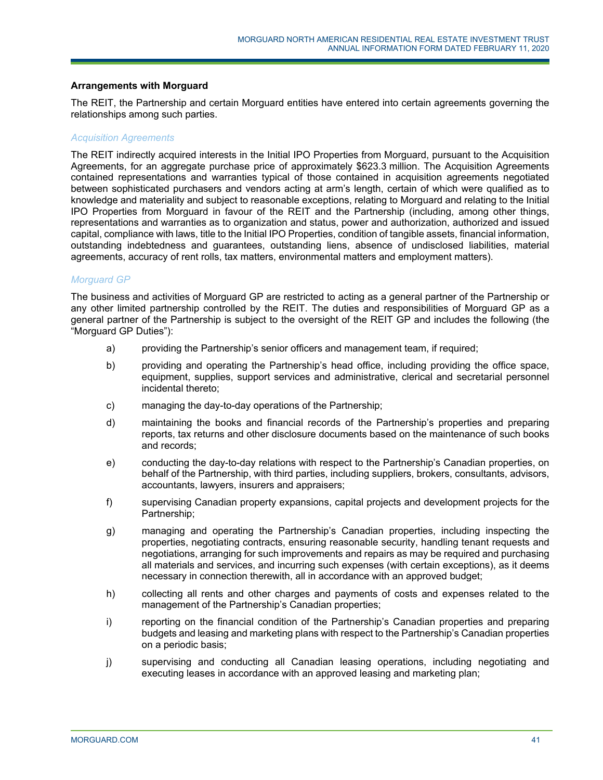#### **Arrangements with Morguard**

The REIT, the Partnership and certain Morguard entities have entered into certain agreements governing the relationships among such parties.

#### *Acquisition Agreements*

The REIT indirectly acquired interests in the Initial IPO Properties from Morguard, pursuant to the Acquisition Agreements, for an aggregate purchase price of approximately \$623.3 million. The Acquisition Agreements contained representations and warranties typical of those contained in acquisition agreements negotiated between sophisticated purchasers and vendors acting at arm's length, certain of which were qualified as to knowledge and materiality and subject to reasonable exceptions, relating to Morguard and relating to the Initial IPO Properties from Morguard in favour of the REIT and the Partnership (including, among other things, representations and warranties as to organization and status, power and authorization, authorized and issued capital, compliance with laws, title to the Initial IPO Properties, condition of tangible assets, financial information, outstanding indebtedness and guarantees, outstanding liens, absence of undisclosed liabilities, material agreements, accuracy of rent rolls, tax matters, environmental matters and employment matters).

#### *Morguard GP*

The business and activities of Morguard GP are restricted to acting as a general partner of the Partnership or any other limited partnership controlled by the REIT. The duties and responsibilities of Morguard GP as a general partner of the Partnership is subject to the oversight of the REIT GP and includes the following (the "Morguard GP Duties"):

- a) providing the Partnership's senior officers and management team, if required;
- b) providing and operating the Partnership's head office, including providing the office space, equipment, supplies, support services and administrative, clerical and secretarial personnel incidental thereto;
- c) managing the day-to-day operations of the Partnership;
- d) maintaining the books and financial records of the Partnership's properties and preparing reports, tax returns and other disclosure documents based on the maintenance of such books and records;
- e) conducting the day-to-day relations with respect to the Partnership's Canadian properties, on behalf of the Partnership, with third parties, including suppliers, brokers, consultants, advisors, accountants, lawyers, insurers and appraisers;
- f) supervising Canadian property expansions, capital projects and development projects for the Partnership;
- g) managing and operating the Partnership's Canadian properties, including inspecting the properties, negotiating contracts, ensuring reasonable security, handling tenant requests and negotiations, arranging for such improvements and repairs as may be required and purchasing all materials and services, and incurring such expenses (with certain exceptions), as it deems necessary in connection therewith, all in accordance with an approved budget;
- h) collecting all rents and other charges and payments of costs and expenses related to the management of the Partnership's Canadian properties;
- i) reporting on the financial condition of the Partnership's Canadian properties and preparing budgets and leasing and marketing plans with respect to the Partnership's Canadian properties on a periodic basis;
- j) supervising and conducting all Canadian leasing operations, including negotiating and executing leases in accordance with an approved leasing and marketing plan;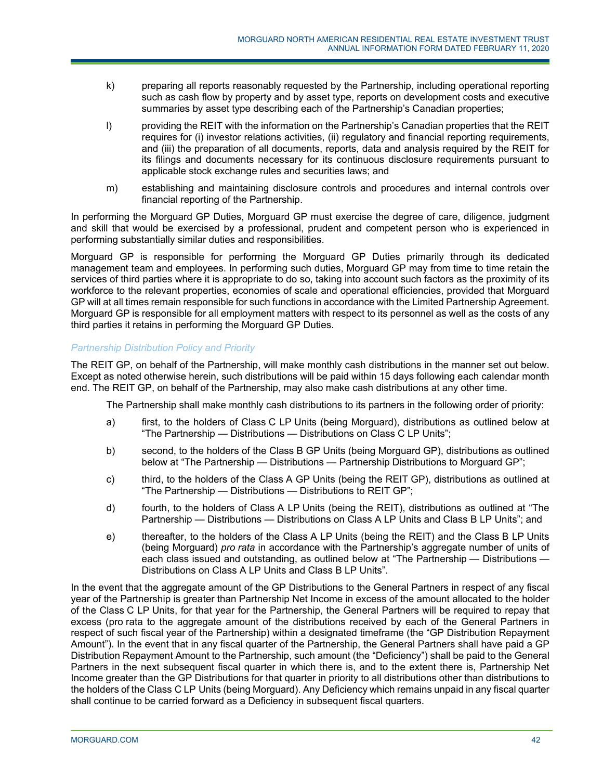- k) preparing all reports reasonably requested by the Partnership, including operational reporting such as cash flow by property and by asset type, reports on development costs and executive summaries by asset type describing each of the Partnership's Canadian properties;
- l) providing the REIT with the information on the Partnership's Canadian properties that the REIT requires for (i) investor relations activities, (ii) regulatory and financial reporting requirements, and (iii) the preparation of all documents, reports, data and analysis required by the REIT for its filings and documents necessary for its continuous disclosure requirements pursuant to applicable stock exchange rules and securities laws; and
- m) establishing and maintaining disclosure controls and procedures and internal controls over financial reporting of the Partnership.

In performing the Morguard GP Duties, Morguard GP must exercise the degree of care, diligence, judgment and skill that would be exercised by a professional, prudent and competent person who is experienced in performing substantially similar duties and responsibilities.

Morguard GP is responsible for performing the Morguard GP Duties primarily through its dedicated management team and employees. In performing such duties, Morguard GP may from time to time retain the services of third parties where it is appropriate to do so, taking into account such factors as the proximity of its workforce to the relevant properties, economies of scale and operational efficiencies, provided that Morguard GP will at all times remain responsible for such functions in accordance with the Limited Partnership Agreement. Morguard GP is responsible for all employment matters with respect to its personnel as well as the costs of any third parties it retains in performing the Morguard GP Duties.

# *Partnership Distribution Policy and Priority*

The REIT GP, on behalf of the Partnership, will make monthly cash distributions in the manner set out below. Except as noted otherwise herein, such distributions will be paid within 15 days following each calendar month end. The REIT GP, on behalf of the Partnership, may also make cash distributions at any other time.

The Partnership shall make monthly cash distributions to its partners in the following order of priority:

- a) first, to the holders of Class C LP Units (being Morguard), distributions as outlined below at "The Partnership — Distributions — Distributions on Class C LP Units";
- b) second, to the holders of the Class B GP Units (being Morguard GP), distributions as outlined below at "The Partnership — Distributions — Partnership Distributions to Morguard GP";
- c) third, to the holders of the Class A GP Units (being the REIT GP), distributions as outlined at "The Partnership — Distributions — Distributions to REIT GP";
- d) fourth, to the holders of Class A LP Units (being the REIT), distributions as outlined at "The Partnership — Distributions — Distributions on Class A LP Units and Class B LP Units"; and
- e) thereafter, to the holders of the Class A LP Units (being the REIT) and the Class B LP Units (being Morguard) *pro rata* in accordance with the Partnership's aggregate number of units of each class issued and outstanding, as outlined below at "The Partnership — Distributions — Distributions on Class A LP Units and Class B LP Units".

In the event that the aggregate amount of the GP Distributions to the General Partners in respect of any fiscal year of the Partnership is greater than Partnership Net Income in excess of the amount allocated to the holder of the Class C LP Units, for that year for the Partnership, the General Partners will be required to repay that excess (pro rata to the aggregate amount of the distributions received by each of the General Partners in respect of such fiscal year of the Partnership) within a designated timeframe (the "GP Distribution Repayment Amount"). In the event that in any fiscal quarter of the Partnership, the General Partners shall have paid a GP Distribution Repayment Amount to the Partnership, such amount (the "Deficiency") shall be paid to the General Partners in the next subsequent fiscal quarter in which there is, and to the extent there is, Partnership Net Income greater than the GP Distributions for that quarter in priority to all distributions other than distributions to the holders of the Class C LP Units (being Morguard). Any Deficiency which remains unpaid in any fiscal quarter shall continue to be carried forward as a Deficiency in subsequent fiscal quarters.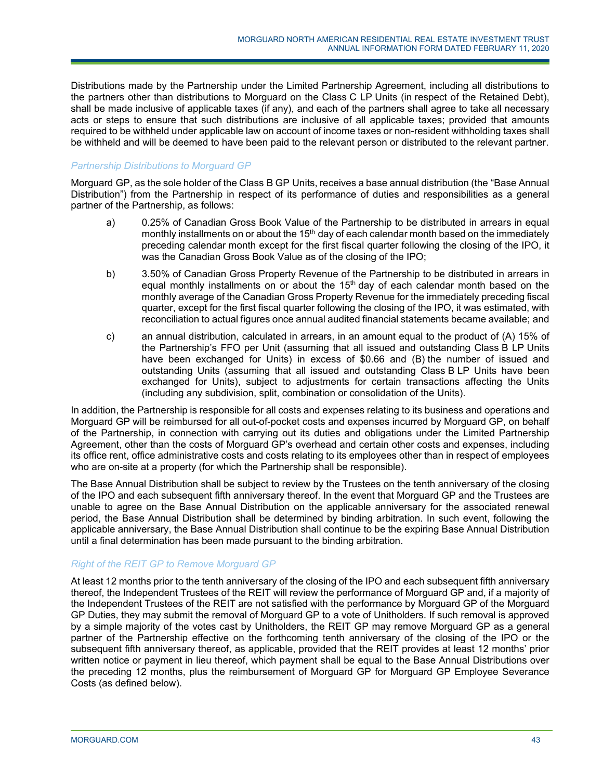Distributions made by the Partnership under the Limited Partnership Agreement, including all distributions to the partners other than distributions to Morguard on the Class C LP Units (in respect of the Retained Debt), shall be made inclusive of applicable taxes (if any), and each of the partners shall agree to take all necessary acts or steps to ensure that such distributions are inclusive of all applicable taxes; provided that amounts required to be withheld under applicable law on account of income taxes or non-resident withholding taxes shall be withheld and will be deemed to have been paid to the relevant person or distributed to the relevant partner.

# *Partnership Distributions to Morguard GP*

Morguard GP, as the sole holder of the Class B GP Units, receives a base annual distribution (the "Base Annual Distribution") from the Partnership in respect of its performance of duties and responsibilities as a general partner of the Partnership, as follows:

- a) 0.25% of Canadian Gross Book Value of the Partnership to be distributed in arrears in equal monthly installments on or about the  $15<sup>th</sup>$  day of each calendar month based on the immediately preceding calendar month except for the first fiscal quarter following the closing of the IPO, it was the Canadian Gross Book Value as of the closing of the IPO;
- b) 3.50% of Canadian Gross Property Revenue of the Partnership to be distributed in arrears in equal monthly installments on or about the  $15<sup>th</sup>$  day of each calendar month based on the monthly average of the Canadian Gross Property Revenue for the immediately preceding fiscal quarter, except for the first fiscal quarter following the closing of the IPO, it was estimated, with reconciliation to actual figures once annual audited financial statements became available; and
- c) an annual distribution, calculated in arrears, in an amount equal to the product of (A) 15% of the Partnership's FFO per Unit (assuming that all issued and outstanding Class B LP Units have been exchanged for Units) in excess of \$0.66 and (B) the number of issued and outstanding Units (assuming that all issued and outstanding Class B LP Units have been exchanged for Units), subject to adjustments for certain transactions affecting the Units (including any subdivision, split, combination or consolidation of the Units).

In addition, the Partnership is responsible for all costs and expenses relating to its business and operations and Morguard GP will be reimbursed for all out-of-pocket costs and expenses incurred by Morguard GP, on behalf of the Partnership, in connection with carrying out its duties and obligations under the Limited Partnership Agreement, other than the costs of Morguard GP's overhead and certain other costs and expenses, including its office rent, office administrative costs and costs relating to its employees other than in respect of employees who are on-site at a property (for which the Partnership shall be responsible).

The Base Annual Distribution shall be subject to review by the Trustees on the tenth anniversary of the closing of the IPO and each subsequent fifth anniversary thereof. In the event that Morguard GP and the Trustees are unable to agree on the Base Annual Distribution on the applicable anniversary for the associated renewal period, the Base Annual Distribution shall be determined by binding arbitration. In such event, following the applicable anniversary, the Base Annual Distribution shall continue to be the expiring Base Annual Distribution until a final determination has been made pursuant to the binding arbitration.

# *Right of the REIT GP to Remove Morguard GP*

At least 12 months prior to the tenth anniversary of the closing of the IPO and each subsequent fifth anniversary thereof, the Independent Trustees of the REIT will review the performance of Morguard GP and, if a majority of the Independent Trustees of the REIT are not satisfied with the performance by Morguard GP of the Morguard GP Duties, they may submit the removal of Morguard GP to a vote of Unitholders. If such removal is approved by a simple majority of the votes cast by Unitholders, the REIT GP may remove Morguard GP as a general partner of the Partnership effective on the forthcoming tenth anniversary of the closing of the IPO or the subsequent fifth anniversary thereof, as applicable, provided that the REIT provides at least 12 months' prior written notice or payment in lieu thereof, which payment shall be equal to the Base Annual Distributions over the preceding 12 months, plus the reimbursement of Morguard GP for Morguard GP Employee Severance Costs (as defined below).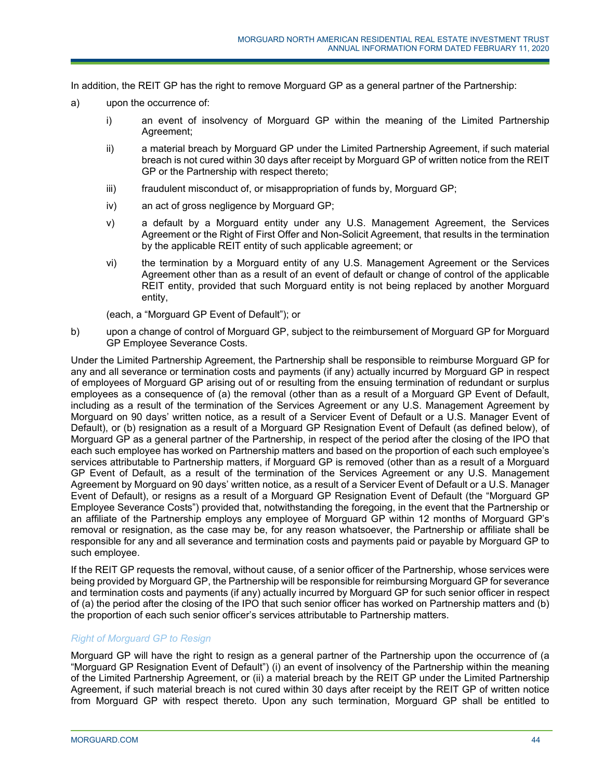In addition, the REIT GP has the right to remove Morguard GP as a general partner of the Partnership:

- a) upon the occurrence of:
	- i) an event of insolvency of Morguard GP within the meaning of the Limited Partnership Agreement;
	- ii) a material breach by Morguard GP under the Limited Partnership Agreement, if such material breach is not cured within 30 days after receipt by Morguard GP of written notice from the REIT GP or the Partnership with respect thereto;
	- iii) fraudulent misconduct of, or misappropriation of funds by, Morguard GP;
	- iv) an act of gross negligence by Morguard GP;
	- v) a default by a Morguard entity under any U.S. Management Agreement, the Services Agreement or the Right of First Offer and Non-Solicit Agreement, that results in the termination by the applicable REIT entity of such applicable agreement; or
	- vi) the termination by a Morguard entity of any U.S. Management Agreement or the Services Agreement other than as a result of an event of default or change of control of the applicable REIT entity, provided that such Morguard entity is not being replaced by another Morguard entity,

(each, a "Morguard GP Event of Default"); or

b) upon a change of control of Morguard GP, subject to the reimbursement of Morguard GP for Morguard GP Employee Severance Costs.

Under the Limited Partnership Agreement, the Partnership shall be responsible to reimburse Morguard GP for any and all severance or termination costs and payments (if any) actually incurred by Morguard GP in respect of employees of Morguard GP arising out of or resulting from the ensuing termination of redundant or surplus employees as a consequence of (a) the removal (other than as a result of a Morguard GP Event of Default, including as a result of the termination of the Services Agreement or any U.S. Management Agreement by Morguard on 90 days' written notice, as a result of a Servicer Event of Default or a U.S. Manager Event of Default), or (b) resignation as a result of a Morguard GP Resignation Event of Default (as defined below), of Morguard GP as a general partner of the Partnership, in respect of the period after the closing of the IPO that each such employee has worked on Partnership matters and based on the proportion of each such employee's services attributable to Partnership matters, if Morguard GP is removed (other than as a result of a Morguard GP Event of Default, as a result of the termination of the Services Agreement or any U.S. Management Agreement by Morguard on 90 days' written notice, as a result of a Servicer Event of Default or a U.S. Manager Event of Default), or resigns as a result of a Morguard GP Resignation Event of Default (the "Morguard GP Employee Severance Costs") provided that, notwithstanding the foregoing, in the event that the Partnership or an affiliate of the Partnership employs any employee of Morguard GP within 12 months of Morguard GP's removal or resignation, as the case may be, for any reason whatsoever, the Partnership or affiliate shall be responsible for any and all severance and termination costs and payments paid or payable by Morguard GP to such employee.

If the REIT GP requests the removal, without cause, of a senior officer of the Partnership, whose services were being provided by Morguard GP, the Partnership will be responsible for reimbursing Morguard GP for severance and termination costs and payments (if any) actually incurred by Morguard GP for such senior officer in respect of (a) the period after the closing of the IPO that such senior officer has worked on Partnership matters and (b) the proportion of each such senior officer's services attributable to Partnership matters.

# *Right of Morguard GP to Resign*

Morguard GP will have the right to resign as a general partner of the Partnership upon the occurrence of (a "Morguard GP Resignation Event of Default") (i) an event of insolvency of the Partnership within the meaning of the Limited Partnership Agreement, or (ii) a material breach by the REIT GP under the Limited Partnership Agreement, if such material breach is not cured within 30 days after receipt by the REIT GP of written notice from Morguard GP with respect thereto. Upon any such termination, Morguard GP shall be entitled to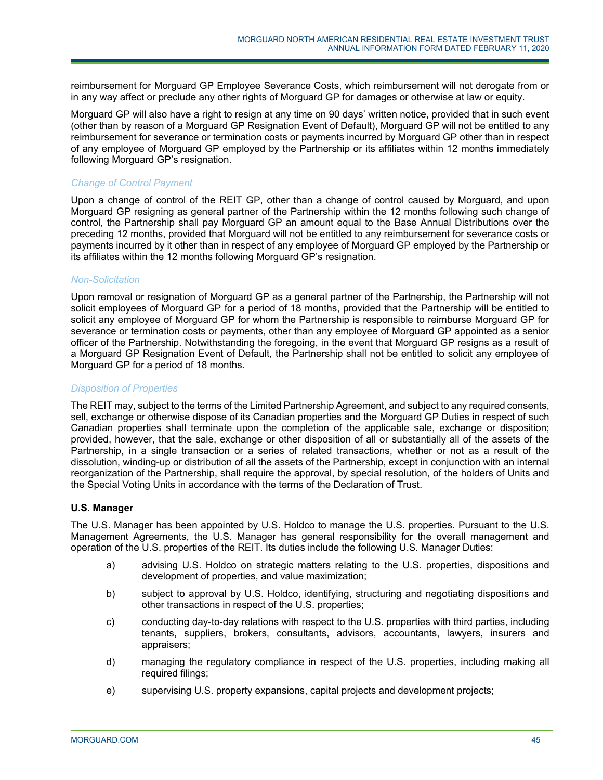reimbursement for Morguard GP Employee Severance Costs, which reimbursement will not derogate from or in any way affect or preclude any other rights of Morguard GP for damages or otherwise at law or equity.

Morguard GP will also have a right to resign at any time on 90 days' written notice, provided that in such event (other than by reason of a Morguard GP Resignation Event of Default), Morguard GP will not be entitled to any reimbursement for severance or termination costs or payments incurred by Morguard GP other than in respect of any employee of Morguard GP employed by the Partnership or its affiliates within 12 months immediately following Morguard GP's resignation.

# *Change of Control Payment*

Upon a change of control of the REIT GP, other than a change of control caused by Morguard, and upon Morguard GP resigning as general partner of the Partnership within the 12 months following such change of control, the Partnership shall pay Morguard GP an amount equal to the Base Annual Distributions over the preceding 12 months, provided that Morguard will not be entitled to any reimbursement for severance costs or payments incurred by it other than in respect of any employee of Morguard GP employed by the Partnership or its affiliates within the 12 months following Morguard GP's resignation.

#### *Non-Solicitation*

Upon removal or resignation of Morguard GP as a general partner of the Partnership, the Partnership will not solicit employees of Morguard GP for a period of 18 months, provided that the Partnership will be entitled to solicit any employee of Morguard GP for whom the Partnership is responsible to reimburse Morguard GP for severance or termination costs or payments, other than any employee of Morguard GP appointed as a senior officer of the Partnership. Notwithstanding the foregoing, in the event that Morguard GP resigns as a result of a Morguard GP Resignation Event of Default, the Partnership shall not be entitled to solicit any employee of Morguard GP for a period of 18 months.

# *Disposition of Properties*

The REIT may, subject to the terms of the Limited Partnership Agreement, and subject to any required consents, sell, exchange or otherwise dispose of its Canadian properties and the Morguard GP Duties in respect of such Canadian properties shall terminate upon the completion of the applicable sale, exchange or disposition; provided, however, that the sale, exchange or other disposition of all or substantially all of the assets of the Partnership, in a single transaction or a series of related transactions, whether or not as a result of the dissolution, winding-up or distribution of all the assets of the Partnership, except in conjunction with an internal reorganization of the Partnership, shall require the approval, by special resolution, of the holders of Units and the Special Voting Units in accordance with the terms of the Declaration of Trust.

# **U.S. Manager**

The U.S. Manager has been appointed by U.S. Holdco to manage the U.S. properties. Pursuant to the U.S. Management Agreements, the U.S. Manager has general responsibility for the overall management and operation of the U.S. properties of the REIT. Its duties include the following U.S. Manager Duties:

- a) advising U.S. Holdco on strategic matters relating to the U.S. properties, dispositions and development of properties, and value maximization;
- b) subject to approval by U.S. Holdco, identifying, structuring and negotiating dispositions and other transactions in respect of the U.S. properties;
- c) conducting day-to-day relations with respect to the U.S. properties with third parties, including tenants, suppliers, brokers, consultants, advisors, accountants, lawyers, insurers and appraisers;
- d) managing the regulatory compliance in respect of the U.S. properties, including making all required filings;
- e) supervising U.S. property expansions, capital projects and development projects;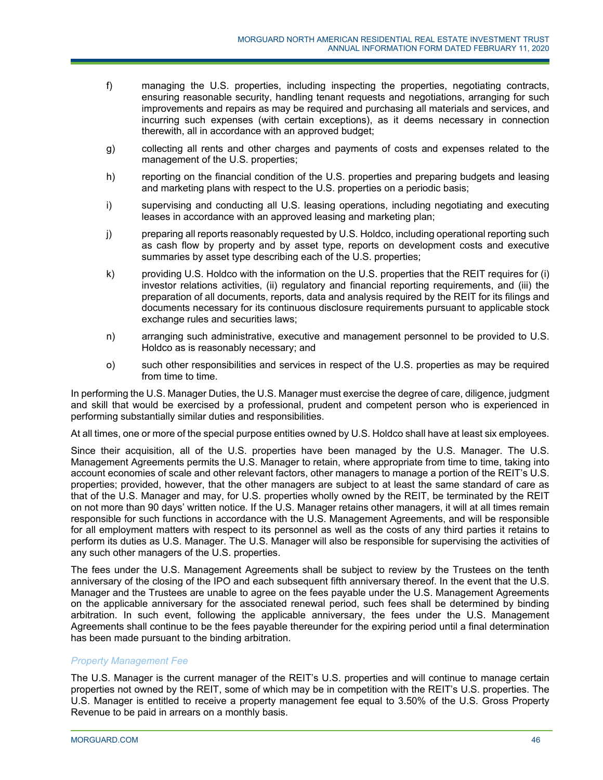- f) managing the U.S. properties, including inspecting the properties, negotiating contracts, ensuring reasonable security, handling tenant requests and negotiations, arranging for such improvements and repairs as may be required and purchasing all materials and services, and incurring such expenses (with certain exceptions), as it deems necessary in connection therewith, all in accordance with an approved budget;
- g) collecting all rents and other charges and payments of costs and expenses related to the management of the U.S. properties;
- h) reporting on the financial condition of the U.S. properties and preparing budgets and leasing and marketing plans with respect to the U.S. properties on a periodic basis;
- i) supervising and conducting all U.S. leasing operations, including negotiating and executing leases in accordance with an approved leasing and marketing plan;
- j) preparing all reports reasonably requested by U.S. Holdco, including operational reporting such as cash flow by property and by asset type, reports on development costs and executive summaries by asset type describing each of the U.S. properties;
- k) providing U.S. Holdco with the information on the U.S. properties that the REIT requires for (i) investor relations activities, (ii) regulatory and financial reporting requirements, and (iii) the preparation of all documents, reports, data and analysis required by the REIT for its filings and documents necessary for its continuous disclosure requirements pursuant to applicable stock exchange rules and securities laws;
- n) arranging such administrative, executive and management personnel to be provided to U.S. Holdco as is reasonably necessary; and
- o) such other responsibilities and services in respect of the U.S. properties as may be required from time to time.

In performing the U.S. Manager Duties, the U.S. Manager must exercise the degree of care, diligence, judgment and skill that would be exercised by a professional, prudent and competent person who is experienced in performing substantially similar duties and responsibilities.

At all times, one or more of the special purpose entities owned by U.S. Holdco shall have at least six employees.

Since their acquisition, all of the U.S. properties have been managed by the U.S. Manager. The U.S. Management Agreements permits the U.S. Manager to retain, where appropriate from time to time, taking into account economies of scale and other relevant factors, other managers to manage a portion of the REIT's U.S. properties; provided, however, that the other managers are subject to at least the same standard of care as that of the U.S. Manager and may, for U.S. properties wholly owned by the REIT, be terminated by the REIT on not more than 90 days' written notice. If the U.S. Manager retains other managers, it will at all times remain responsible for such functions in accordance with the U.S. Management Agreements, and will be responsible for all employment matters with respect to its personnel as well as the costs of any third parties it retains to perform its duties as U.S. Manager. The U.S. Manager will also be responsible for supervising the activities of any such other managers of the U.S. properties.

The fees under the U.S. Management Agreements shall be subject to review by the Trustees on the tenth anniversary of the closing of the IPO and each subsequent fifth anniversary thereof. In the event that the U.S. Manager and the Trustees are unable to agree on the fees payable under the U.S. Management Agreements on the applicable anniversary for the associated renewal period, such fees shall be determined by binding arbitration. In such event, following the applicable anniversary, the fees under the U.S. Management Agreements shall continue to be the fees payable thereunder for the expiring period until a final determination has been made pursuant to the binding arbitration.

# *Property Management Fee*

The U.S. Manager is the current manager of the REIT's U.S. properties and will continue to manage certain properties not owned by the REIT, some of which may be in competition with the REIT's U.S. properties. The U.S. Manager is entitled to receive a property management fee equal to 3.50% of the U.S. Gross Property Revenue to be paid in arrears on a monthly basis.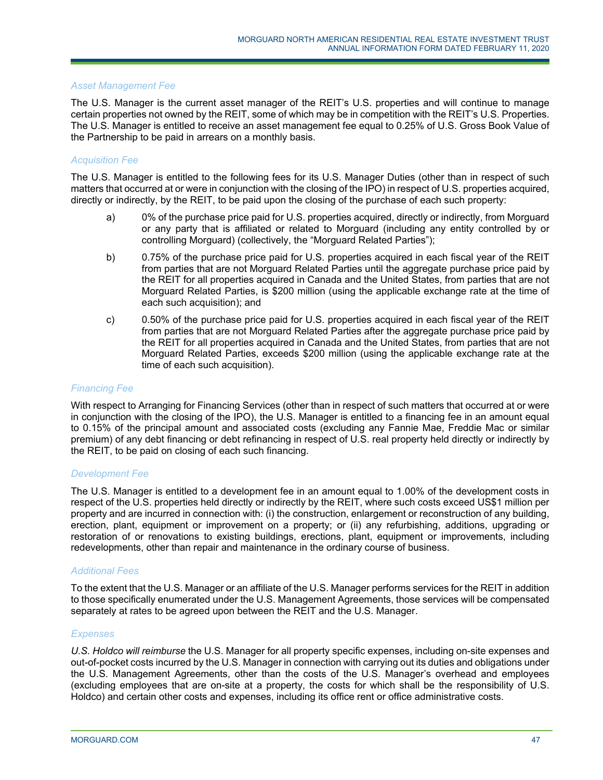#### *Asset Management Fee*

The U.S. Manager is the current asset manager of the REIT's U.S. properties and will continue to manage certain properties not owned by the REIT, some of which may be in competition with the REIT's U.S. Properties. The U.S. Manager is entitled to receive an asset management fee equal to 0.25% of U.S. Gross Book Value of the Partnership to be paid in arrears on a monthly basis.

# *Acquisition Fee*

The U.S. Manager is entitled to the following fees for its U.S. Manager Duties (other than in respect of such matters that occurred at or were in conjunction with the closing of the IPO) in respect of U.S. properties acquired, directly or indirectly, by the REIT, to be paid upon the closing of the purchase of each such property:

- a) 0% of the purchase price paid for U.S. properties acquired, directly or indirectly, from Morguard or any party that is affiliated or related to Morguard (including any entity controlled by or controlling Morguard) (collectively, the "Morguard Related Parties");
- b) 0.75% of the purchase price paid for U.S. properties acquired in each fiscal year of the REIT from parties that are not Morguard Related Parties until the aggregate purchase price paid by the REIT for all properties acquired in Canada and the United States, from parties that are not Morguard Related Parties, is \$200 million (using the applicable exchange rate at the time of each such acquisition); and
- c) 0.50% of the purchase price paid for U.S. properties acquired in each fiscal year of the REIT from parties that are not Morguard Related Parties after the aggregate purchase price paid by the REIT for all properties acquired in Canada and the United States, from parties that are not Morguard Related Parties, exceeds \$200 million (using the applicable exchange rate at the time of each such acquisition).

#### *Financing Fee*

With respect to Arranging for Financing Services (other than in respect of such matters that occurred at or were in conjunction with the closing of the IPO), the U.S. Manager is entitled to a financing fee in an amount equal to 0.15% of the principal amount and associated costs (excluding any Fannie Mae, Freddie Mac or similar premium) of any debt financing or debt refinancing in respect of U.S. real property held directly or indirectly by the REIT, to be paid on closing of each such financing.

#### *Development Fee*

The U.S. Manager is entitled to a development fee in an amount equal to 1.00% of the development costs in respect of the U.S. properties held directly or indirectly by the REIT, where such costs exceed US\$1 million per property and are incurred in connection with: (i) the construction, enlargement or reconstruction of any building, erection, plant, equipment or improvement on a property; or (ii) any refurbishing, additions, upgrading or restoration of or renovations to existing buildings, erections, plant, equipment or improvements, including redevelopments, other than repair and maintenance in the ordinary course of business.

# *Additional Fees*

To the extent that the U.S. Manager or an affiliate of the U.S. Manager performs services for the REIT in addition to those specifically enumerated under the U.S. Management Agreements, those services will be compensated separately at rates to be agreed upon between the REIT and the U.S. Manager.

#### *Expenses*

*U.S. Holdco will reimburse* the U.S. Manager for all property specific expenses, including on-site expenses and out-of-pocket costs incurred by the U.S. Manager in connection with carrying out its duties and obligations under the U.S. Management Agreements, other than the costs of the U.S. Manager's overhead and employees (excluding employees that are on-site at a property, the costs for which shall be the responsibility of U.S. Holdco) and certain other costs and expenses, including its office rent or office administrative costs.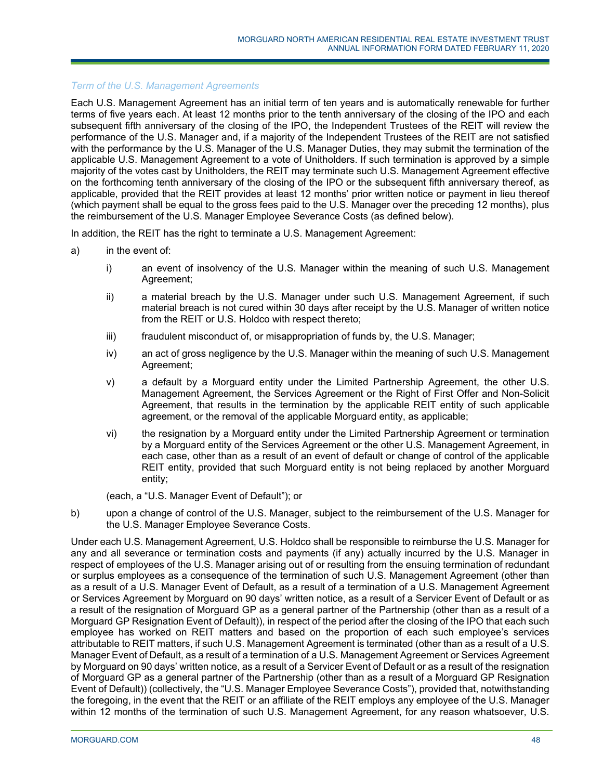# *Term of the U.S. Management Agreements*

Each U.S. Management Agreement has an initial term of ten years and is automatically renewable for further terms of five years each. At least 12 months prior to the tenth anniversary of the closing of the IPO and each subsequent fifth anniversary of the closing of the IPO, the Independent Trustees of the REIT will review the performance of the U.S. Manager and, if a majority of the Independent Trustees of the REIT are not satisfied with the performance by the U.S. Manager of the U.S. Manager Duties, they may submit the termination of the applicable U.S. Management Agreement to a vote of Unitholders. If such termination is approved by a simple majority of the votes cast by Unitholders, the REIT may terminate such U.S. Management Agreement effective on the forthcoming tenth anniversary of the closing of the IPO or the subsequent fifth anniversary thereof, as applicable, provided that the REIT provides at least 12 months' prior written notice or payment in lieu thereof (which payment shall be equal to the gross fees paid to the U.S. Manager over the preceding 12 months), plus the reimbursement of the U.S. Manager Employee Severance Costs (as defined below).

In addition, the REIT has the right to terminate a U.S. Management Agreement:

- a) in the event of:
	- i) an event of insolvency of the U.S. Manager within the meaning of such U.S. Management Agreement;
	- ii) a material breach by the U.S. Manager under such U.S. Management Agreement, if such material breach is not cured within 30 days after receipt by the U.S. Manager of written notice from the REIT or U.S. Holdco with respect thereto;
	- iii) fraudulent misconduct of, or misappropriation of funds by, the U.S. Manager;
	- iv) an act of gross negligence by the U.S. Manager within the meaning of such U.S. Management Agreement;
	- v) a default by a Morguard entity under the Limited Partnership Agreement, the other U.S. Management Agreement, the Services Agreement or the Right of First Offer and Non-Solicit Agreement, that results in the termination by the applicable REIT entity of such applicable agreement, or the removal of the applicable Morguard entity, as applicable;
	- vi) the resignation by a Morguard entity under the Limited Partnership Agreement or termination by a Morguard entity of the Services Agreement or the other U.S. Management Agreement, in each case, other than as a result of an event of default or change of control of the applicable REIT entity, provided that such Morguard entity is not being replaced by another Morguard entity;

(each, a "U.S. Manager Event of Default"); or

b) upon a change of control of the U.S. Manager, subject to the reimbursement of the U.S. Manager for the U.S. Manager Employee Severance Costs.

Under each U.S. Management Agreement, U.S. Holdco shall be responsible to reimburse the U.S. Manager for any and all severance or termination costs and payments (if any) actually incurred by the U.S. Manager in respect of employees of the U.S. Manager arising out of or resulting from the ensuing termination of redundant or surplus employees as a consequence of the termination of such U.S. Management Agreement (other than as a result of a U.S. Manager Event of Default, as a result of a termination of a U.S. Management Agreement or Services Agreement by Morguard on 90 days' written notice, as a result of a Servicer Event of Default or as a result of the resignation of Morguard GP as a general partner of the Partnership (other than as a result of a Morguard GP Resignation Event of Default)), in respect of the period after the closing of the IPO that each such employee has worked on REIT matters and based on the proportion of each such employee's services attributable to REIT matters, if such U.S. Management Agreement is terminated (other than as a result of a U.S. Manager Event of Default, as a result of a termination of a U.S. Management Agreement or Services Agreement by Morguard on 90 days' written notice, as a result of a Servicer Event of Default or as a result of the resignation of Morguard GP as a general partner of the Partnership (other than as a result of a Morguard GP Resignation Event of Default)) (collectively, the "U.S. Manager Employee Severance Costs"), provided that, notwithstanding the foregoing, in the event that the REIT or an affiliate of the REIT employs any employee of the U.S. Manager within 12 months of the termination of such U.S. Management Agreement, for any reason whatsoever, U.S.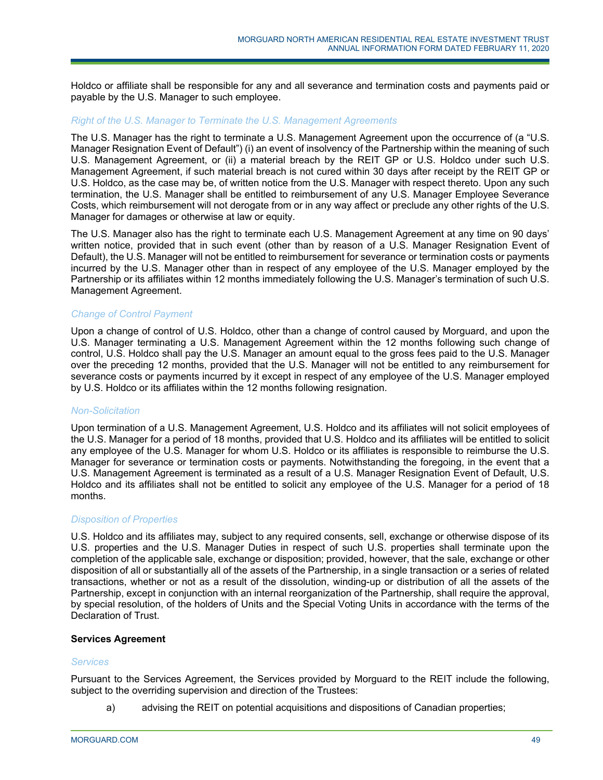Holdco or affiliate shall be responsible for any and all severance and termination costs and payments paid or payable by the U.S. Manager to such employee.

#### *Right of the U.S. Manager to Terminate the U.S. Management Agreements*

The U.S. Manager has the right to terminate a U.S. Management Agreement upon the occurrence of (a "U.S. Manager Resignation Event of Default") (i) an event of insolvency of the Partnership within the meaning of such U.S. Management Agreement, or (ii) a material breach by the REIT GP or U.S. Holdco under such U.S. Management Agreement, if such material breach is not cured within 30 days after receipt by the REIT GP or U.S. Holdco, as the case may be, of written notice from the U.S. Manager with respect thereto. Upon any such termination, the U.S. Manager shall be entitled to reimbursement of any U.S. Manager Employee Severance Costs, which reimbursement will not derogate from or in any way affect or preclude any other rights of the U.S. Manager for damages or otherwise at law or equity.

The U.S. Manager also has the right to terminate each U.S. Management Agreement at any time on 90 days' written notice, provided that in such event (other than by reason of a U.S. Manager Resignation Event of Default), the U.S. Manager will not be entitled to reimbursement for severance or termination costs or payments incurred by the U.S. Manager other than in respect of any employee of the U.S. Manager employed by the Partnership or its affiliates within 12 months immediately following the U.S. Manager's termination of such U.S. Management Agreement.

# *Change of Control Payment*

Upon a change of control of U.S. Holdco, other than a change of control caused by Morguard, and upon the U.S. Manager terminating a U.S. Management Agreement within the 12 months following such change of control, U.S. Holdco shall pay the U.S. Manager an amount equal to the gross fees paid to the U.S. Manager over the preceding 12 months, provided that the U.S. Manager will not be entitled to any reimbursement for severance costs or payments incurred by it except in respect of any employee of the U.S. Manager employed by U.S. Holdco or its affiliates within the 12 months following resignation.

#### *Non-Solicitation*

Upon termination of a U.S. Management Agreement, U.S. Holdco and its affiliates will not solicit employees of the U.S. Manager for a period of 18 months, provided that U.S. Holdco and its affiliates will be entitled to solicit any employee of the U.S. Manager for whom U.S. Holdco or its affiliates is responsible to reimburse the U.S. Manager for severance or termination costs or payments. Notwithstanding the foregoing, in the event that a U.S. Management Agreement is terminated as a result of a U.S. Manager Resignation Event of Default, U.S. Holdco and its affiliates shall not be entitled to solicit any employee of the U.S. Manager for a period of 18 months.

#### *Disposition of Properties*

U.S. Holdco and its affiliates may, subject to any required consents, sell, exchange or otherwise dispose of its U.S. properties and the U.S. Manager Duties in respect of such U.S. properties shall terminate upon the completion of the applicable sale, exchange or disposition; provided, however, that the sale, exchange or other disposition of all or substantially all of the assets of the Partnership, in a single transaction or a series of related transactions, whether or not as a result of the dissolution, winding-up or distribution of all the assets of the Partnership, except in conjunction with an internal reorganization of the Partnership, shall require the approval, by special resolution, of the holders of Units and the Special Voting Units in accordance with the terms of the Declaration of Trust.

# **Services Agreement**

#### *Services*

Pursuant to the Services Agreement, the Services provided by Morguard to the REIT include the following, subject to the overriding supervision and direction of the Trustees:

a) advising the REIT on potential acquisitions and dispositions of Canadian properties;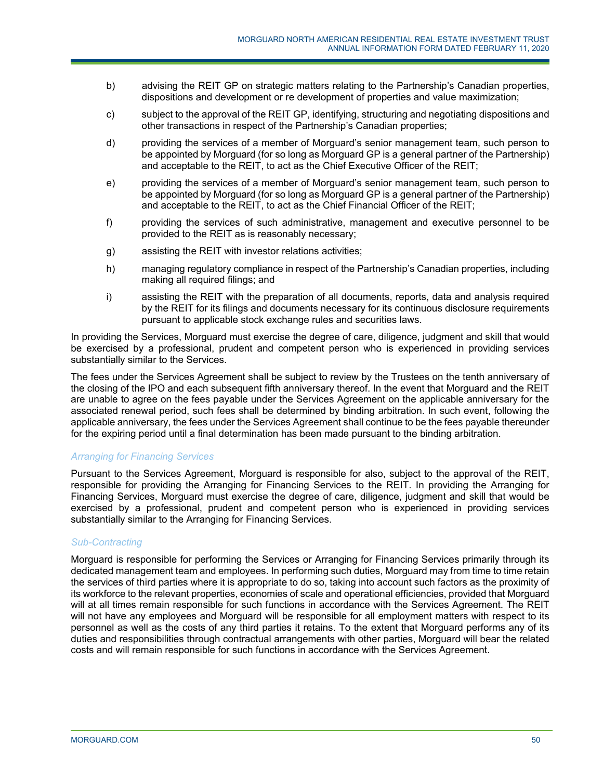- b) advising the REIT GP on strategic matters relating to the Partnership's Canadian properties, dispositions and development or re development of properties and value maximization;
- c) subject to the approval of the REIT GP, identifying, structuring and negotiating dispositions and other transactions in respect of the Partnership's Canadian properties;
- d) providing the services of a member of Morguard's senior management team, such person to be appointed by Morguard (for so long as Morguard GP is a general partner of the Partnership) and acceptable to the REIT, to act as the Chief Executive Officer of the REIT;
- e) providing the services of a member of Morguard's senior management team, such person to be appointed by Morguard (for so long as Morguard GP is a general partner of the Partnership) and acceptable to the REIT, to act as the Chief Financial Officer of the REIT;
- f) providing the services of such administrative, management and executive personnel to be provided to the REIT as is reasonably necessary;
- g) assisting the REIT with investor relations activities;
- h) managing regulatory compliance in respect of the Partnership's Canadian properties, including making all required filings; and
- i) assisting the REIT with the preparation of all documents, reports, data and analysis required by the REIT for its filings and documents necessary for its continuous disclosure requirements pursuant to applicable stock exchange rules and securities laws.

In providing the Services, Morguard must exercise the degree of care, diligence, judgment and skill that would be exercised by a professional, prudent and competent person who is experienced in providing services substantially similar to the Services.

The fees under the Services Agreement shall be subject to review by the Trustees on the tenth anniversary of the closing of the IPO and each subsequent fifth anniversary thereof. In the event that Morguard and the REIT are unable to agree on the fees payable under the Services Agreement on the applicable anniversary for the associated renewal period, such fees shall be determined by binding arbitration. In such event, following the applicable anniversary, the fees under the Services Agreement shall continue to be the fees payable thereunder for the expiring period until a final determination has been made pursuant to the binding arbitration.

# *Arranging for Financing Services*

Pursuant to the Services Agreement, Morguard is responsible for also, subject to the approval of the REIT, responsible for providing the Arranging for Financing Services to the REIT. In providing the Arranging for Financing Services, Morguard must exercise the degree of care, diligence, judgment and skill that would be exercised by a professional, prudent and competent person who is experienced in providing services substantially similar to the Arranging for Financing Services.

# *Sub-Contracting*

Morguard is responsible for performing the Services or Arranging for Financing Services primarily through its dedicated management team and employees. In performing such duties, Morguard may from time to time retain the services of third parties where it is appropriate to do so, taking into account such factors as the proximity of its workforce to the relevant properties, economies of scale and operational efficiencies, provided that Morguard will at all times remain responsible for such functions in accordance with the Services Agreement. The REIT will not have any employees and Morguard will be responsible for all employment matters with respect to its personnel as well as the costs of any third parties it retains. To the extent that Morguard performs any of its duties and responsibilities through contractual arrangements with other parties, Morguard will bear the related costs and will remain responsible for such functions in accordance with the Services Agreement.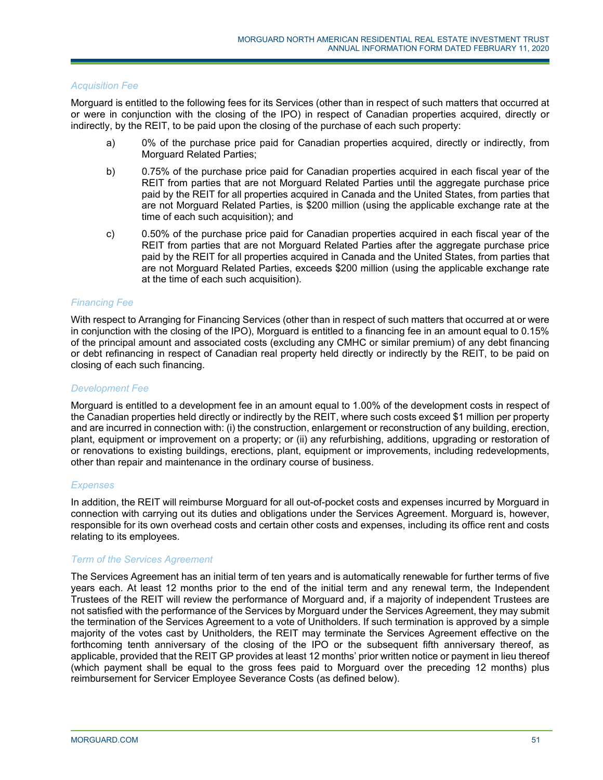#### *Acquisition Fee*

Morguard is entitled to the following fees for its Services (other than in respect of such matters that occurred at or were in conjunction with the closing of the IPO) in respect of Canadian properties acquired, directly or indirectly, by the REIT, to be paid upon the closing of the purchase of each such property:

- a) 0% of the purchase price paid for Canadian properties acquired, directly or indirectly, from Morguard Related Parties;
- b) 0.75% of the purchase price paid for Canadian properties acquired in each fiscal year of the REIT from parties that are not Morguard Related Parties until the aggregate purchase price paid by the REIT for all properties acquired in Canada and the United States, from parties that are not Morguard Related Parties, is \$200 million (using the applicable exchange rate at the time of each such acquisition); and
- c) 0.50% of the purchase price paid for Canadian properties acquired in each fiscal year of the REIT from parties that are not Morguard Related Parties after the aggregate purchase price paid by the REIT for all properties acquired in Canada and the United States, from parties that are not Morguard Related Parties, exceeds \$200 million (using the applicable exchange rate at the time of each such acquisition).

#### *Financing Fee*

With respect to Arranging for Financing Services (other than in respect of such matters that occurred at or were in conjunction with the closing of the IPO), Morguard is entitled to a financing fee in an amount equal to 0.15% of the principal amount and associated costs (excluding any CMHC or similar premium) of any debt financing or debt refinancing in respect of Canadian real property held directly or indirectly by the REIT, to be paid on closing of each such financing.

#### *Development Fee*

Morguard is entitled to a development fee in an amount equal to 1.00% of the development costs in respect of the Canadian properties held directly or indirectly by the REIT, where such costs exceed \$1 million per property and are incurred in connection with: (i) the construction, enlargement or reconstruction of any building, erection, plant, equipment or improvement on a property; or (ii) any refurbishing, additions, upgrading or restoration of or renovations to existing buildings, erections, plant, equipment or improvements, including redevelopments, other than repair and maintenance in the ordinary course of business.

# *Expenses*

In addition, the REIT will reimburse Morguard for all out-of-pocket costs and expenses incurred by Morguard in connection with carrying out its duties and obligations under the Services Agreement. Morguard is, however, responsible for its own overhead costs and certain other costs and expenses, including its office rent and costs relating to its employees.

#### *Term of the Services Agreement*

The Services Agreement has an initial term of ten years and is automatically renewable for further terms of five years each. At least 12 months prior to the end of the initial term and any renewal term, the Independent Trustees of the REIT will review the performance of Morguard and, if a majority of independent Trustees are not satisfied with the performance of the Services by Morguard under the Services Agreement, they may submit the termination of the Services Agreement to a vote of Unitholders. If such termination is approved by a simple majority of the votes cast by Unitholders, the REIT may terminate the Services Agreement effective on the forthcoming tenth anniversary of the closing of the IPO or the subsequent fifth anniversary thereof, as applicable, provided that the REIT GP provides at least 12 months' prior written notice or payment in lieu thereof (which payment shall be equal to the gross fees paid to Morguard over the preceding 12 months) plus reimbursement for Servicer Employee Severance Costs (as defined below).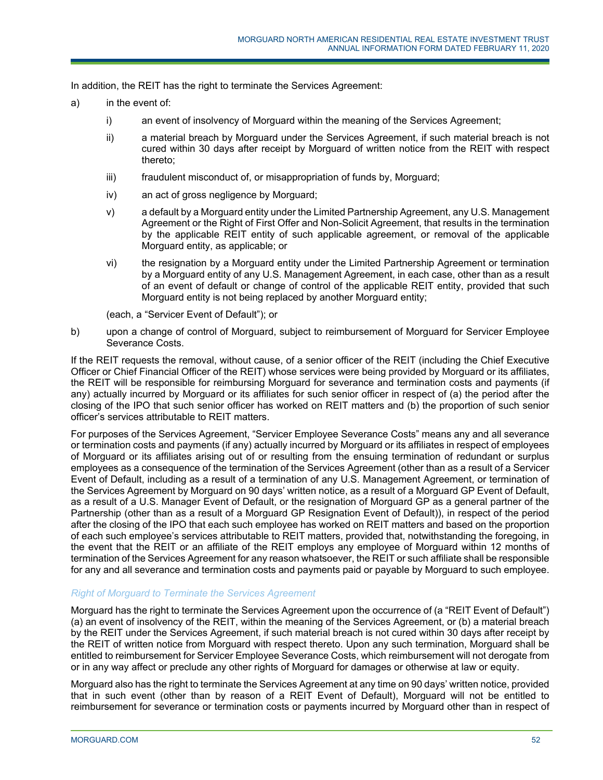In addition, the REIT has the right to terminate the Services Agreement:

- a) in the event of:
	- i) an event of insolvency of Morguard within the meaning of the Services Agreement;
	- ii) a material breach by Morguard under the Services Agreement, if such material breach is not cured within 30 days after receipt by Morguard of written notice from the REIT with respect thereto;
	- iii) fraudulent misconduct of, or misappropriation of funds by, Morguard;
	- iv) an act of gross negligence by Morguard;
	- v) a default by a Morguard entity under the Limited Partnership Agreement, any U.S. Management Agreement or the Right of First Offer and Non-Solicit Agreement, that results in the termination by the applicable REIT entity of such applicable agreement, or removal of the applicable Morguard entity, as applicable; or
	- vi) the resignation by a Morguard entity under the Limited Partnership Agreement or termination by a Morguard entity of any U.S. Management Agreement, in each case, other than as a result of an event of default or change of control of the applicable REIT entity, provided that such Morguard entity is not being replaced by another Morguard entity;

(each, a "Servicer Event of Default"); or

b) upon a change of control of Morguard, subject to reimbursement of Morguard for Servicer Employee Severance Costs.

If the REIT requests the removal, without cause, of a senior officer of the REIT (including the Chief Executive Officer or Chief Financial Officer of the REIT) whose services were being provided by Morguard or its affiliates, the REIT will be responsible for reimbursing Morguard for severance and termination costs and payments (if any) actually incurred by Morguard or its affiliates for such senior officer in respect of (a) the period after the closing of the IPO that such senior officer has worked on REIT matters and (b) the proportion of such senior officer's services attributable to REIT matters.

For purposes of the Services Agreement, "Servicer Employee Severance Costs" means any and all severance or termination costs and payments (if any) actually incurred by Morguard or its affiliates in respect of employees of Morguard or its affiliates arising out of or resulting from the ensuing termination of redundant or surplus employees as a consequence of the termination of the Services Agreement (other than as a result of a Servicer Event of Default, including as a result of a termination of any U.S. Management Agreement, or termination of the Services Agreement by Morguard on 90 days' written notice, as a result of a Morguard GP Event of Default, as a result of a U.S. Manager Event of Default, or the resignation of Morguard GP as a general partner of the Partnership (other than as a result of a Morguard GP Resignation Event of Default)), in respect of the period after the closing of the IPO that each such employee has worked on REIT matters and based on the proportion of each such employee's services attributable to REIT matters, provided that, notwithstanding the foregoing, in the event that the REIT or an affiliate of the REIT employs any employee of Morguard within 12 months of termination of the Services Agreement for any reason whatsoever, the REIT or such affiliate shall be responsible for any and all severance and termination costs and payments paid or payable by Morguard to such employee.

# *Right of Morguard to Terminate the Services Agreement*

Morguard has the right to terminate the Services Agreement upon the occurrence of (a "REIT Event of Default") (a) an event of insolvency of the REIT, within the meaning of the Services Agreement, or (b) a material breach by the REIT under the Services Agreement, if such material breach is not cured within 30 days after receipt by the REIT of written notice from Morguard with respect thereto. Upon any such termination, Morguard shall be entitled to reimbursement for Servicer Employee Severance Costs, which reimbursement will not derogate from or in any way affect or preclude any other rights of Morguard for damages or otherwise at law or equity.

Morguard also has the right to terminate the Services Agreement at any time on 90 days' written notice, provided that in such event (other than by reason of a REIT Event of Default), Morguard will not be entitled to reimbursement for severance or termination costs or payments incurred by Morguard other than in respect of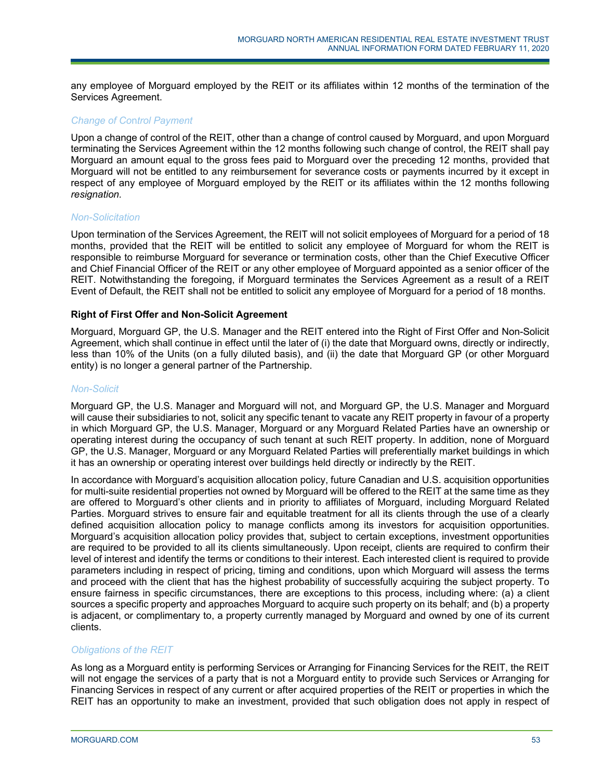any employee of Morguard employed by the REIT or its affiliates within 12 months of the termination of the Services Agreement.

# *Change of Co*n*trol Payment*

Upon a change of control of the REIT, other than a change of control caused by Morguard, and upon Morguard terminating the Services Agreement within the 12 months following such change of control, the REIT shall pay Morguard an amount equal to the gross fees paid to Morguard over the preceding 12 months, provided that Morguard will not be entitled to any reimbursement for severance costs or payments incurred by it except in respect of any employee of Morguard employed by the REIT or its affiliates within the 12 months following *resignation.* 

#### *Non-Solicitation*

Upon termination of the Services Agreement, the REIT will not solicit employees of Morguard for a period of 18 months, provided that the REIT will be entitled to solicit any employee of Morguard for whom the REIT is responsible to reimburse Morguard for severance or termination costs, other than the Chief Executive Officer and Chief Financial Officer of the REIT or any other employee of Morguard appointed as a senior officer of the REIT. Notwithstanding the foregoing, if Morguard terminates the Services Agreement as a result of a REIT Event of Default, the REIT shall not be entitled to solicit any employee of Morguard for a period of 18 months.

#### **Right of First Offer and Non-Solicit Agreement**

Morguard, Morguard GP, the U.S. Manager and the REIT entered into the Right of First Offer and Non-Solicit Agreement, which shall continue in effect until the later of (i) the date that Morguard owns, directly or indirectly, less than 10% of the Units (on a fully diluted basis), and (ii) the date that Morguard GP (or other Morguard entity) is no longer a general partner of the Partnership.

# *Non-Solicit*

Morguard GP, the U.S. Manager and Morguard will not, and Morguard GP, the U.S. Manager and Morguard will cause their subsidiaries to not, solicit any specific tenant to vacate any REIT property in favour of a property in which Morguard GP, the U.S. Manager, Morguard or any Morguard Related Parties have an ownership or operating interest during the occupancy of such tenant at such REIT property. In addition, none of Morguard GP, the U.S. Manager, Morguard or any Morguard Related Parties will preferentially market buildings in which it has an ownership or operating interest over buildings held directly or indirectly by the REIT.

In accordance with Morguard's acquisition allocation policy, future Canadian and U.S. acquisition opportunities for multi-suite residential properties not owned by Morguard will be offered to the REIT at the same time as they are offered to Morguard's other clients and in priority to affiliates of Morguard, including Morguard Related Parties. Morguard strives to ensure fair and equitable treatment for all its clients through the use of a clearly defined acquisition allocation policy to manage conflicts among its investors for acquisition opportunities. Morguard's acquisition allocation policy provides that, subject to certain exceptions, investment opportunities are required to be provided to all its clients simultaneously. Upon receipt, clients are required to confirm their level of interest and identify the terms or conditions to their interest. Each interested client is required to provide parameters including in respect of pricing, timing and conditions, upon which Morguard will assess the terms and proceed with the client that has the highest probability of successfully acquiring the subject property. To ensure fairness in specific circumstances, there are exceptions to this process, including where: (a) a client sources a specific property and approaches Morguard to acquire such property on its behalf; and (b) a property is adjacent, or complimentary to, a property currently managed by Morguard and owned by one of its current clients.

#### *Obligations of the REIT*

As long as a Morguard entity is performing Services or Arranging for Financing Services for the REIT, the REIT will not engage the services of a party that is not a Morguard entity to provide such Services or Arranging for Financing Services in respect of any current or after acquired properties of the REIT or properties in which the REIT has an opportunity to make an investment, provided that such obligation does not apply in respect of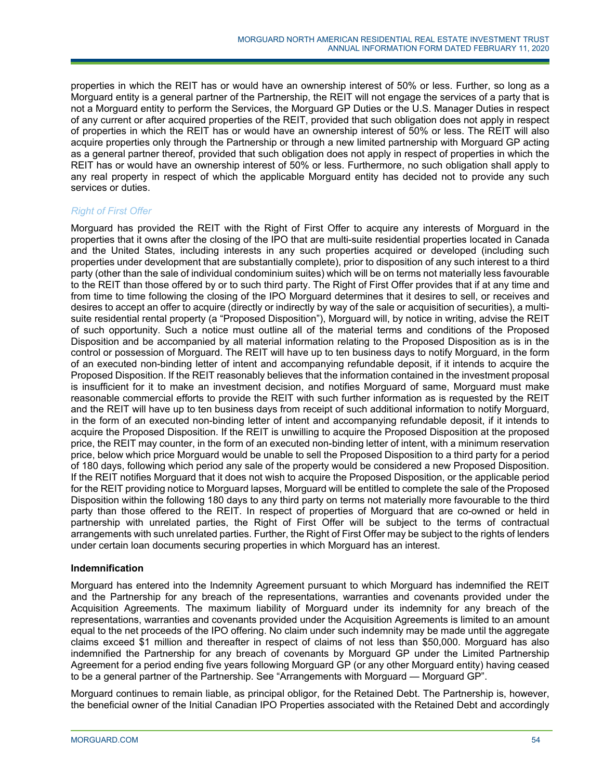properties in which the REIT has or would have an ownership interest of 50% or less. Further, so long as a Morguard entity is a general partner of the Partnership, the REIT will not engage the services of a party that is not a Morguard entity to perform the Services, the Morguard GP Duties or the U.S. Manager Duties in respect of any current or after acquired properties of the REIT, provided that such obligation does not apply in respect of properties in which the REIT has or would have an ownership interest of 50% or less. The REIT will also acquire properties only through the Partnership or through a new limited partnership with Morguard GP acting as a general partner thereof, provided that such obligation does not apply in respect of properties in which the REIT has or would have an ownership interest of 50% or less. Furthermore, no such obligation shall apply to any real property in respect of which the applicable Morguard entity has decided not to provide any such services or duties.

# *Right of First Offer*

Morguard has provided the REIT with the Right of First Offer to acquire any interests of Morguard in the properties that it owns after the closing of the IPO that are multi-suite residential properties located in Canada and the United States, including interests in any such properties acquired or developed (including such properties under development that are substantially complete), prior to disposition of any such interest to a third party (other than the sale of individual condominium suites) which will be on terms not materially less favourable to the REIT than those offered by or to such third party. The Right of First Offer provides that if at any time and from time to time following the closing of the IPO Morguard determines that it desires to sell, or receives and desires to accept an offer to acquire (directly or indirectly by way of the sale or acquisition of securities), a multisuite residential rental property (a "Proposed Disposition"), Morguard will, by notice in writing, advise the REIT of such opportunity. Such a notice must outline all of the material terms and conditions of the Proposed Disposition and be accompanied by all material information relating to the Proposed Disposition as is in the control or possession of Morguard. The REIT will have up to ten business days to notify Morguard, in the form of an executed non-binding letter of intent and accompanying refundable deposit, if it intends to acquire the Proposed Disposition. If the REIT reasonably believes that the information contained in the investment proposal is insufficient for it to make an investment decision, and notifies Morguard of same, Morguard must make reasonable commercial efforts to provide the REIT with such further information as is requested by the REIT and the REIT will have up to ten business days from receipt of such additional information to notify Morguard, in the form of an executed non-binding letter of intent and accompanying refundable deposit, if it intends to acquire the Proposed Disposition. If the REIT is unwilling to acquire the Proposed Disposition at the proposed price, the REIT may counter, in the form of an executed non-binding letter of intent, with a minimum reservation price, below which price Morguard would be unable to sell the Proposed Disposition to a third party for a period of 180 days, following which period any sale of the property would be considered a new Proposed Disposition. If the REIT notifies Morguard that it does not wish to acquire the Proposed Disposition, or the applicable period for the REIT providing notice to Morguard lapses, Morguard will be entitled to complete the sale of the Proposed Disposition within the following 180 days to any third party on terms not materially more favourable to the third party than those offered to the REIT. In respect of properties of Morguard that are co-owned or held in partnership with unrelated parties, the Right of First Offer will be subject to the terms of contractual arrangements with such unrelated parties. Further, the Right of First Offer may be subject to the rights of lenders under certain loan documents securing properties in which Morguard has an interest.

# **Indemnification**

Morguard has entered into the Indemnity Agreement pursuant to which Morguard has indemnified the REIT and the Partnership for any breach of the representations, warranties and covenants provided under the Acquisition Agreements. The maximum liability of Morguard under its indemnity for any breach of the representations, warranties and covenants provided under the Acquisition Agreements is limited to an amount equal to the net proceeds of the IPO offering. No claim under such indemnity may be made until the aggregate claims exceed \$1 million and thereafter in respect of claims of not less than \$50,000. Morguard has also indemnified the Partnership for any breach of covenants by Morguard GP under the Limited Partnership Agreement for a period ending five years following Morguard GP (or any other Morguard entity) having ceased to be a general partner of the Partnership. See "Arrangements with Morguard — Morguard GP".

Morguard continues to remain liable, as principal obligor, for the Retained Debt. The Partnership is, however, the beneficial owner of the Initial Canadian IPO Properties associated with the Retained Debt and accordingly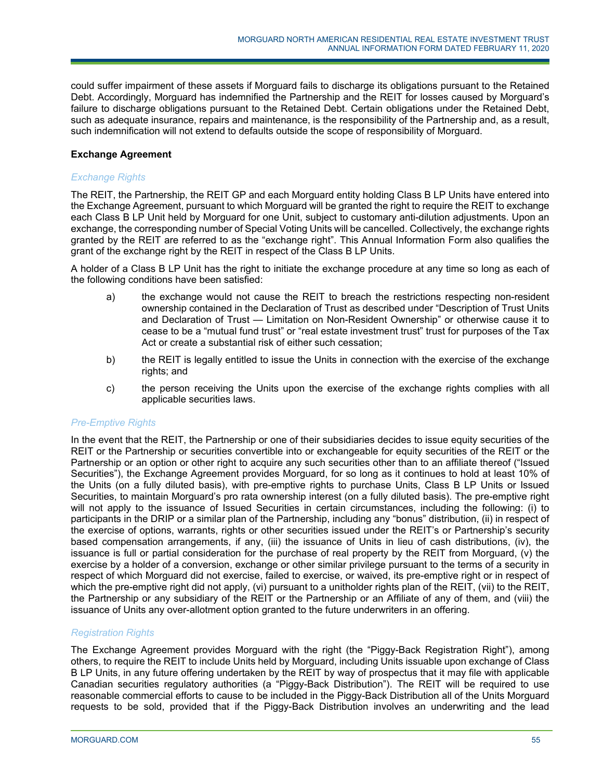could suffer impairment of these assets if Morguard fails to discharge its obligations pursuant to the Retained Debt. Accordingly, Morguard has indemnified the Partnership and the REIT for losses caused by Morguard's failure to discharge obligations pursuant to the Retained Debt. Certain obligations under the Retained Debt, such as adequate insurance, repairs and maintenance, is the responsibility of the Partnership and, as a result, such indemnification will not extend to defaults outside the scope of responsibility of Morguard.

# **Exchange Agreement**

# *Exchange Rights*

The REIT, the Partnership, the REIT GP and each Morguard entity holding Class B LP Units have entered into the Exchange Agreement, pursuant to which Morguard will be granted the right to require the REIT to exchange each Class B LP Unit held by Morguard for one Unit, subject to customary anti-dilution adjustments. Upon an exchange, the corresponding number of Special Voting Units will be cancelled. Collectively, the exchange rights granted by the REIT are referred to as the "exchange right". This Annual Information Form also qualifies the grant of the exchange right by the REIT in respect of the Class B LP Units.

A holder of a Class B LP Unit has the right to initiate the exchange procedure at any time so long as each of the following conditions have been satisfied:

- a) the exchange would not cause the REIT to breach the restrictions respecting non-resident ownership contained in the Declaration of Trust as described under "Description of Trust Units and Declaration of Trust — Limitation on Non-Resident Ownership" or otherwise cause it to cease to be a "mutual fund trust" or "real estate investment trust" trust for purposes of the Tax Act or create a substantial risk of either such cessation;
- b) the REIT is legally entitled to issue the Units in connection with the exercise of the exchange rights; and
- c) the person receiving the Units upon the exercise of the exchange rights complies with all applicable securities laws.

# *Pre-Emptive Rights*

In the event that the REIT, the Partnership or one of their subsidiaries decides to issue equity securities of the REIT or the Partnership or securities convertible into or exchangeable for equity securities of the REIT or the Partnership or an option or other right to acquire any such securities other than to an affiliate thereof ("Issued Securities"), the Exchange Agreement provides Morguard, for so long as it continues to hold at least 10% of the Units (on a fully diluted basis), with pre-emptive rights to purchase Units, Class B LP Units or Issued Securities, to maintain Morguard's pro rata ownership interest (on a fully diluted basis). The pre-emptive right will not apply to the issuance of Issued Securities in certain circumstances, including the following: (i) to participants in the DRIP or a similar plan of the Partnership, including any "bonus" distribution, (ii) in respect of the exercise of options, warrants, rights or other securities issued under the REIT's or Partnership's security based compensation arrangements, if any, (iii) the issuance of Units in lieu of cash distributions, (iv), the issuance is full or partial consideration for the purchase of real property by the REIT from Morguard, (v) the exercise by a holder of a conversion, exchange or other similar privilege pursuant to the terms of a security in respect of which Morguard did not exercise, failed to exercise, or waived, its pre-emptive right or in respect of which the pre-emptive right did not apply, (vi) pursuant to a unitholder rights plan of the REIT, (vii) to the REIT, the Partnership or any subsidiary of the REIT or the Partnership or an Affiliate of any of them, and (viii) the issuance of Units any over-allotment option granted to the future underwriters in an offering.

# *Registration Rights*

The Exchange Agreement provides Morguard with the right (the "Piggy-Back Registration Right"), among others, to require the REIT to include Units held by Morguard, including Units issuable upon exchange of Class B LP Units, in any future offering undertaken by the REIT by way of prospectus that it may file with applicable Canadian securities regulatory authorities (a "Piggy-Back Distribution"). The REIT will be required to use reasonable commercial efforts to cause to be included in the Piggy-Back Distribution all of the Units Morguard requests to be sold, provided that if the Piggy-Back Distribution involves an underwriting and the lead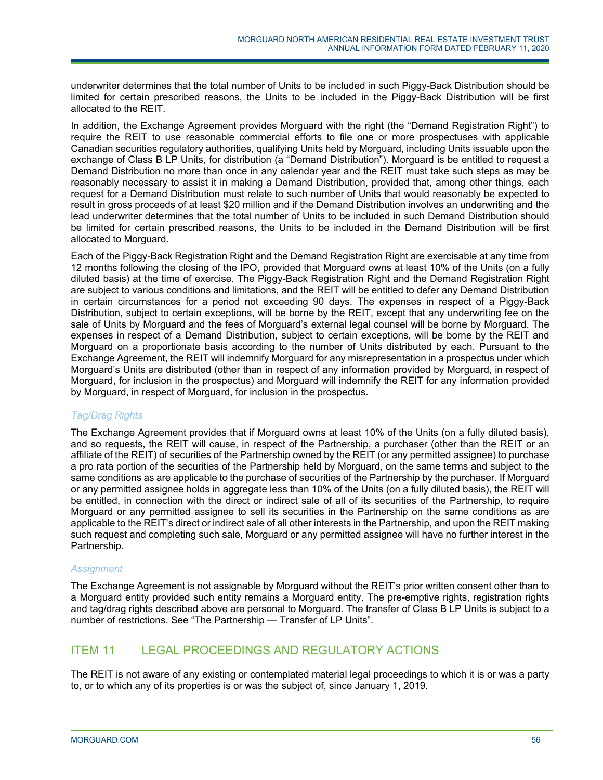underwriter determines that the total number of Units to be included in such Piggy-Back Distribution should be limited for certain prescribed reasons, the Units to be included in the Piggy-Back Distribution will be first allocated to the REIT.

In addition, the Exchange Agreement provides Morguard with the right (the "Demand Registration Right") to require the REIT to use reasonable commercial efforts to file one or more prospectuses with applicable Canadian securities regulatory authorities, qualifying Units held by Morguard, including Units issuable upon the exchange of Class B LP Units, for distribution (a "Demand Distribution"). Morguard is be entitled to request a Demand Distribution no more than once in any calendar year and the REIT must take such steps as may be reasonably necessary to assist it in making a Demand Distribution, provided that, among other things, each request for a Demand Distribution must relate to such number of Units that would reasonably be expected to result in gross proceeds of at least \$20 million and if the Demand Distribution involves an underwriting and the lead underwriter determines that the total number of Units to be included in such Demand Distribution should be limited for certain prescribed reasons, the Units to be included in the Demand Distribution will be first allocated to Morguard.

Each of the Piggy-Back Registration Right and the Demand Registration Right are exercisable at any time from 12 months following the closing of the IPO, provided that Morguard owns at least 10% of the Units (on a fully diluted basis) at the time of exercise. The Piggy-Back Registration Right and the Demand Registration Right are subject to various conditions and limitations, and the REIT will be entitled to defer any Demand Distribution in certain circumstances for a period not exceeding 90 days. The expenses in respect of a Piggy-Back Distribution, subject to certain exceptions, will be borne by the REIT, except that any underwriting fee on the sale of Units by Morguard and the fees of Morguard's external legal counsel will be borne by Morguard. The expenses in respect of a Demand Distribution, subject to certain exceptions, will be borne by the REIT and Morguard on a proportionate basis according to the number of Units distributed by each. Pursuant to the Exchange Agreement, the REIT will indemnify Morguard for any misrepresentation in a prospectus under which Morguard's Units are distributed (other than in respect of any information provided by Morguard, in respect of Morguard, for inclusion in the prospectus) and Morguard will indemnify the REIT for any information provided by Morguard, in respect of Morguard, for inclusion in the prospectus.

# *Tag/Drag Rights*

The Exchange Agreement provides that if Morguard owns at least 10% of the Units (on a fully diluted basis), and so requests, the REIT will cause, in respect of the Partnership, a purchaser (other than the REIT or an affiliate of the REIT) of securities of the Partnership owned by the REIT (or any permitted assignee) to purchase a pro rata portion of the securities of the Partnership held by Morguard, on the same terms and subject to the same conditions as are applicable to the purchase of securities of the Partnership by the purchaser. If Morguard or any permitted assignee holds in aggregate less than 10% of the Units (on a fully diluted basis), the REIT will be entitled, in connection with the direct or indirect sale of all of its securities of the Partnership, to require Morguard or any permitted assignee to sell its securities in the Partnership on the same conditions as are applicable to the REIT's direct or indirect sale of all other interests in the Partnership, and upon the REIT making such request and completing such sale, Morguard or any permitted assignee will have no further interest in the Partnership.

# *Assignment*

The Exchange Agreement is not assignable by Morguard without the REIT's prior written consent other than to a Morguard entity provided such entity remains a Morguard entity. The pre-emptive rights, registration rights and tag/drag rights described above are personal to Morguard. The transfer of Class B LP Units is subject to a number of restrictions. See "The Partnership — Transfer of LP Units".

# ITEM 11 LEGAL PROCEEDINGS AND REGULATORY ACTIONS

The REIT is not aware of any existing or contemplated material legal proceedings to which it is or was a party to, or to which any of its properties is or was the subject of, since January 1, 2019.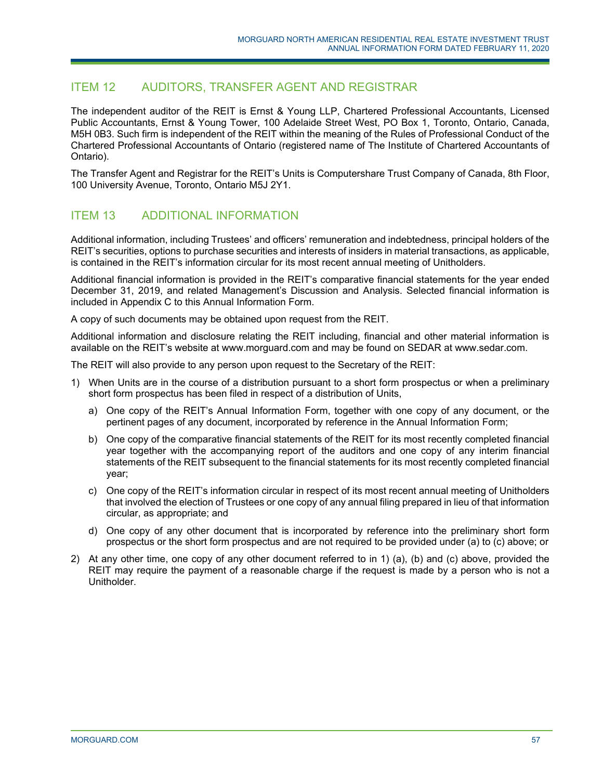# ITEM 12 AUDITORS, TRANSFER AGENT AND REGISTRAR

The independent auditor of the REIT is Ernst & Young LLP, Chartered Professional Accountants, Licensed Public Accountants, Ernst & Young Tower, 100 Adelaide Street West, PO Box 1, Toronto, Ontario, Canada, M5H 0B3. Such firm is independent of the REIT within the meaning of the Rules of Professional Conduct of the Chartered Professional Accountants of Ontario (registered name of The Institute of Chartered Accountants of Ontario).

The Transfer Agent and Registrar for the REIT's Units is Computershare Trust Company of Canada, 8th Floor, 100 University Avenue, Toronto, Ontario M5J 2Y1.

# ITEM 13 ADDITIONAL INFORMATION

Additional information, including Trustees' and officers' remuneration and indebtedness, principal holders of the REIT's securities, options to purchase securities and interests of insiders in material transactions, as applicable, is contained in the REIT's information circular for its most recent annual meeting of Unitholders.

Additional financial information is provided in the REIT's comparative financial statements for the year ended December 31, 2019, and related Management's Discussion and Analysis. Selected financial information is included in Appendix C to this Annual Information Form.

A copy of such documents may be obtained upon request from the REIT.

Additional information and disclosure relating the REIT including, financial and other material information is available on the REIT's website at www.morguard.com and may be found on SEDAR at www.sedar.com.

The REIT will also provide to any person upon request to the Secretary of the REIT:

- 1) When Units are in the course of a distribution pursuant to a short form prospectus or when a preliminary short form prospectus has been filed in respect of a distribution of Units,
	- a) One copy of the REIT's Annual Information Form, together with one copy of any document, or the pertinent pages of any document, incorporated by reference in the Annual Information Form;
	- b) One copy of the comparative financial statements of the REIT for its most recently completed financial year together with the accompanying report of the auditors and one copy of any interim financial statements of the REIT subsequent to the financial statements for its most recently completed financial year;
	- c) One copy of the REIT's information circular in respect of its most recent annual meeting of Unitholders that involved the election of Trustees or one copy of any annual filing prepared in lieu of that information circular, as appropriate; and
	- d) One copy of any other document that is incorporated by reference into the preliminary short form prospectus or the short form prospectus and are not required to be provided under (a) to (c) above; or
- 2) At any other time, one copy of any other document referred to in 1) (a), (b) and (c) above, provided the REIT may require the payment of a reasonable charge if the request is made by a person who is not a Unitholder.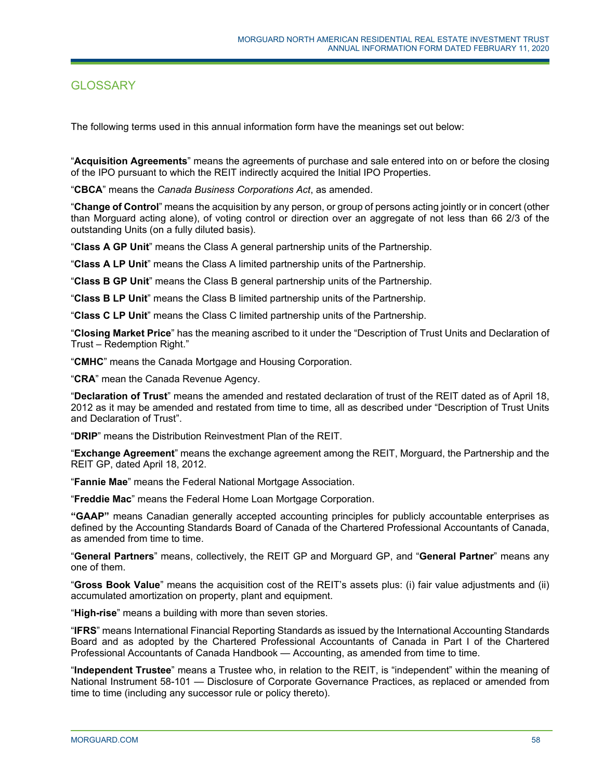# **GLOSSARY**

The following terms used in this annual information form have the meanings set out below:

"**Acquisition Agreements**" means the agreements of purchase and sale entered into on or before the closing of the IPO pursuant to which the REIT indirectly acquired the Initial IPO Properties.

"**CBCA**" means the *Canada Business Corporations Act*, as amended.

"**Change of Control**" means the acquisition by any person, or group of persons acting jointly or in concert (other than Morguard acting alone), of voting control or direction over an aggregate of not less than 66 2/3 of the outstanding Units (on a fully diluted basis).

"**Class A GP Unit**" means the Class A general partnership units of the Partnership.

"**Class A LP Unit**" means the Class A limited partnership units of the Partnership.

"**Class B GP Unit**" means the Class B general partnership units of the Partnership.

"**Class B LP Unit**" means the Class B limited partnership units of the Partnership.

"**Class C LP Unit**" means the Class C limited partnership units of the Partnership.

"**Closing Market Price**" has the meaning ascribed to it under the "Description of Trust Units and Declaration of Trust – Redemption Right."

"**CMHC**" means the Canada Mortgage and Housing Corporation.

"**CRA**" mean the Canada Revenue Agency.

"**Declaration of Trust**" means the amended and restated declaration of trust of the REIT dated as of April 18, 2012 as it may be amended and restated from time to time, all as described under "Description of Trust Units and Declaration of Trust".

"**DRIP**" means the Distribution Reinvestment Plan of the REIT.

"**Exchange Agreement**" means the exchange agreement among the REIT, Morguard, the Partnership and the REIT GP, dated April 18, 2012.

"**Fannie Mae**" means the Federal National Mortgage Association.

"**Freddie Mac**" means the Federal Home Loan Mortgage Corporation.

**"GAAP"** means Canadian generally accepted accounting principles for publicly accountable enterprises as defined by the Accounting Standards Board of Canada of the Chartered Professional Accountants of Canada, as amended from time to time.

"**General Partners**" means, collectively, the REIT GP and Morguard GP, and "**General Partner**" means any one of them.

"**Gross Book Value**" means the acquisition cost of the REIT's assets plus: (i) fair value adjustments and (ii) accumulated amortization on property, plant and equipment.

"**High-rise**" means a building with more than seven stories.

"**IFRS**" means International Financial Reporting Standards as issued by the International Accounting Standards Board and as adopted by the Chartered Professional Accountants of Canada in Part I of the Chartered Professional Accountants of Canada Handbook — Accounting, as amended from time to time.

"**Independent Trustee**" means a Trustee who, in relation to the REIT, is "independent" within the meaning of National Instrument 58-101 — Disclosure of Corporate Governance Practices, as replaced or amended from time to time (including any successor rule or policy thereto).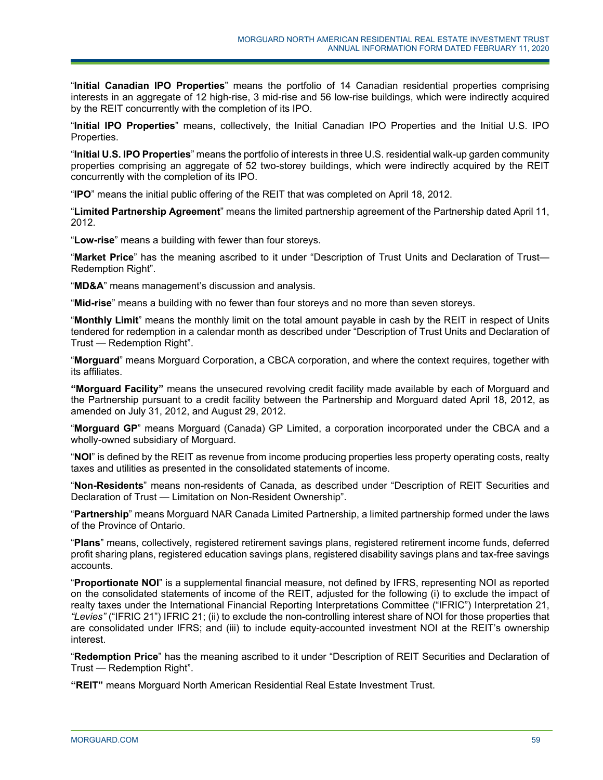"**Initial Canadian IPO Properties**" means the portfolio of 14 Canadian residential properties comprising interests in an aggregate of 12 high-rise, 3 mid-rise and 56 low-rise buildings, which were indirectly acquired by the REIT concurrently with the completion of its IPO.

"**Initial IPO Properties**" means, collectively, the Initial Canadian IPO Properties and the Initial U.S. IPO Properties.

"**Initial U.S. IPO Properties**" means the portfolio of interests in three U.S. residential walk-up garden community properties comprising an aggregate of 52 two-storey buildings, which were indirectly acquired by the REIT concurrently with the completion of its IPO.

"**IPO**" means the initial public offering of the REIT that was completed on April 18, 2012.

"**Limited Partnership Agreement**" means the limited partnership agreement of the Partnership dated April 11, 2012.

"**Low-rise**" means a building with fewer than four storeys.

"**Market Price**" has the meaning ascribed to it under "Description of Trust Units and Declaration of Trust— Redemption Right".

"**MD&A**" means management's discussion and analysis.

"**Mid-rise**" means a building with no fewer than four storeys and no more than seven storeys.

"**Monthly Limit**" means the monthly limit on the total amount payable in cash by the REIT in respect of Units tendered for redemption in a calendar month as described under "Description of Trust Units and Declaration of Trust — Redemption Right".

"**Morguard**" means Morguard Corporation, a CBCA corporation, and where the context requires, together with its affiliates.

**"Morguard Facility"** means the unsecured revolving credit facility made available by each of Morguard and the Partnership pursuant to a credit facility between the Partnership and Morguard dated April 18, 2012, as amended on July 31, 2012, and August 29, 2012.

"**Morguard GP**" means Morguard (Canada) GP Limited, a corporation incorporated under the CBCA and a wholly-owned subsidiary of Morguard.

"**NOI**" is defined by the REIT as revenue from income producing properties less property operating costs, realty taxes and utilities as presented in the consolidated statements of income.

"**Non-Residents**" means non-residents of Canada, as described under "Description of REIT Securities and Declaration of Trust — Limitation on Non-Resident Ownership".

"**Partnership**" means Morguard NAR Canada Limited Partnership, a limited partnership formed under the laws of the Province of Ontario.

"**Plans**" means, collectively, registered retirement savings plans, registered retirement income funds, deferred profit sharing plans, registered education savings plans, registered disability savings plans and tax-free savings accounts.

"**Proportionate NOI**" is a supplemental financial measure, not defined by IFRS, representing NOI as reported on the consolidated statements of income of the REIT, adjusted for the following (i) to exclude the impact of realty taxes under the International Financial Reporting Interpretations Committee ("IFRIC") Interpretation 21, *"Levies"* ("IFRIC 21") IFRIC 21; (ii) to exclude the non-controlling interest share of NOI for those properties that are consolidated under IFRS; and (iii) to include equity-accounted investment NOI at the REIT's ownership interest.

"**Redemption Price**" has the meaning ascribed to it under "Description of REIT Securities and Declaration of Trust — Redemption Right".

**"REIT"** means Morguard North American Residential Real Estate Investment Trust.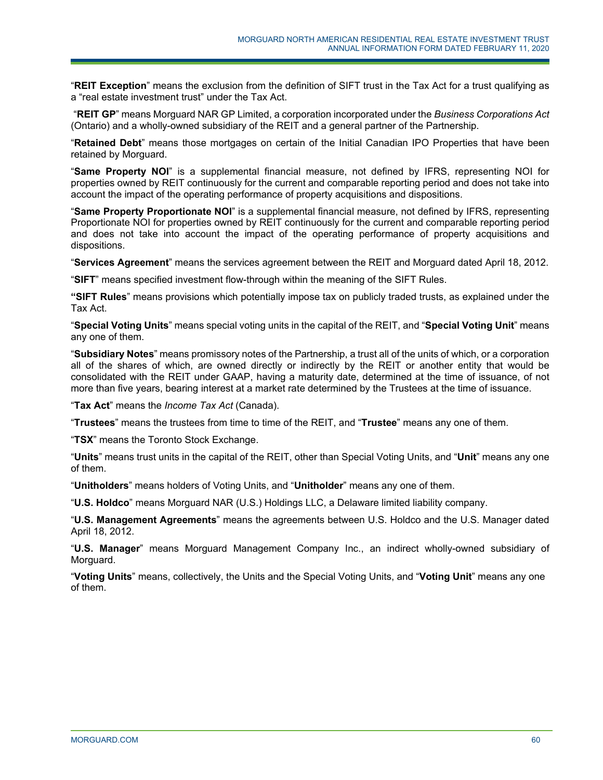"**REIT Exception**" means the exclusion from the definition of SIFT trust in the Tax Act for a trust qualifying as a "real estate investment trust" under the Tax Act.

 "**REIT GP**" means Morguard NAR GP Limited, a corporation incorporated under the *Business Corporations Act* (Ontario) and a wholly-owned subsidiary of the REIT and a general partner of the Partnership.

"**Retained Debt**" means those mortgages on certain of the Initial Canadian IPO Properties that have been retained by Morguard.

"**Same Property NOI**" is a supplemental financial measure, not defined by IFRS, representing NOI for properties owned by REIT continuously for the current and comparable reporting period and does not take into account the impact of the operating performance of property acquisitions and dispositions.

"**Same Property Proportionate NOI**" is a supplemental financial measure, not defined by IFRS, representing Proportionate NOI for properties owned by REIT continuously for the current and comparable reporting period and does not take into account the impact of the operating performance of property acquisitions and dispositions.

"**Services Agreement**" means the services agreement between the REIT and Morguard dated April 18, 2012.

"**SIFT**" means specified investment flow-through within the meaning of the SIFT Rules.

**"SIFT Rules**" means provisions which potentially impose tax on publicly traded trusts, as explained under the Tax Act.

"**Special Voting Units**" means special voting units in the capital of the REIT, and "**Special Voting Unit**" means any one of them.

"**Subsidiary Notes**" means promissory notes of the Partnership, a trust all of the units of which, or a corporation all of the shares of which, are owned directly or indirectly by the REIT or another entity that would be consolidated with the REIT under GAAP, having a maturity date, determined at the time of issuance, of not more than five years, bearing interest at a market rate determined by the Trustees at the time of issuance.

"**Tax Act**" means the *Income Tax Act* (Canada).

"**Trustees**" means the trustees from time to time of the REIT, and "**Trustee**" means any one of them.

"**TSX**" means the Toronto Stock Exchange.

"**Units**" means trust units in the capital of the REIT, other than Special Voting Units, and "**Unit**" means any one of them.

"**Unitholders**" means holders of Voting Units, and "**Unitholder**" means any one of them.

"**U.S. Holdco**" means Morguard NAR (U.S.) Holdings LLC, a Delaware limited liability company.

"**U.S. Management Agreements**" means the agreements between U.S. Holdco and the U.S. Manager dated April 18, 2012.

"**U.S. Manager**" means Morguard Management Company Inc., an indirect wholly-owned subsidiary of Morguard.

"**Voting Units**" means, collectively, the Units and the Special Voting Units, and "**Voting Unit**" means any one of them.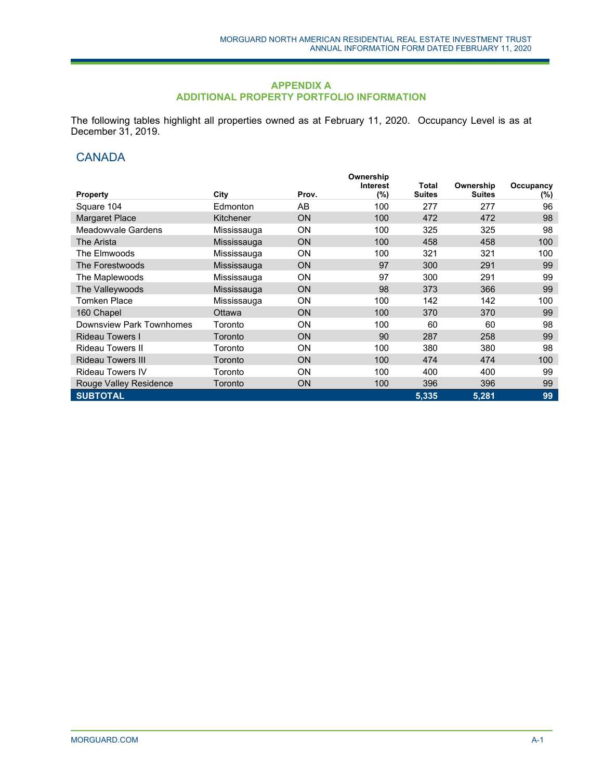# **APPENDIX A ADDITIONAL PROPERTY PORTFOLIO INFORMATION**

The following tables highlight all properties owned as at February 11, 2020. Occupancy Level is as at December 31, 2019.

# **CANADA**

|                          |             |           | Ownership       |               |               |           |
|--------------------------|-------------|-----------|-----------------|---------------|---------------|-----------|
|                          |             |           | <b>Interest</b> | Total         | Ownership     | Occupancy |
| <b>Property</b>          | City        | Prov.     | (%)             | <b>Suites</b> | <b>Suites</b> | $(\%)$    |
| Square 104               | Edmonton    | AB        | 100             | 277           | 277           | 96        |
| <b>Margaret Place</b>    | Kitchener   | ON        | 100             | 472           | 472           | 98        |
| Meadowvale Gardens       | Mississauga | <b>ON</b> | 100             | 325           | 325           | 98        |
| The Arista               | Mississauga | <b>ON</b> | 100             | 458           | 458           | 100       |
| The Elmwoods             | Mississauga | <b>ON</b> | 100             | 321           | 321           | 100       |
| The Forestwoods          | Mississauga | <b>ON</b> | 97              | 300           | 291           | 99        |
| The Maplewoods           | Mississauga | <b>ON</b> | 97              | 300           | 291           | 99        |
| The Valleywoods          | Mississauga | <b>ON</b> | 98              | 373           | 366           | 99        |
| <b>Tomken Place</b>      | Mississauga | <b>ON</b> | 100             | 142           | 142           | 100       |
| 160 Chapel               | Ottawa      | <b>ON</b> | 100             | 370           | 370           | 99        |
| Downsview Park Townhomes | Toronto     | <b>ON</b> | 100             | 60            | 60            | 98        |
| <b>Rideau Towers I</b>   | Toronto     | <b>ON</b> | 90              | 287           | 258           | 99        |
| <b>Rideau Towers II</b>  | Toronto     | <b>ON</b> | 100             | 380           | 380           | 98        |
| <b>Rideau Towers III</b> | Toronto     | <b>ON</b> | 100             | 474           | 474           | 100       |
| <b>Rideau Towers IV</b>  | Toronto     | <b>ON</b> | 100             | 400           | 400           | 99        |
| Rouge Valley Residence   | Toronto     | ON        | 100             | 396           | 396           | 99        |
| <b>SUBTOTAL</b>          |             |           |                 | 5,335         | 5,281         | 99        |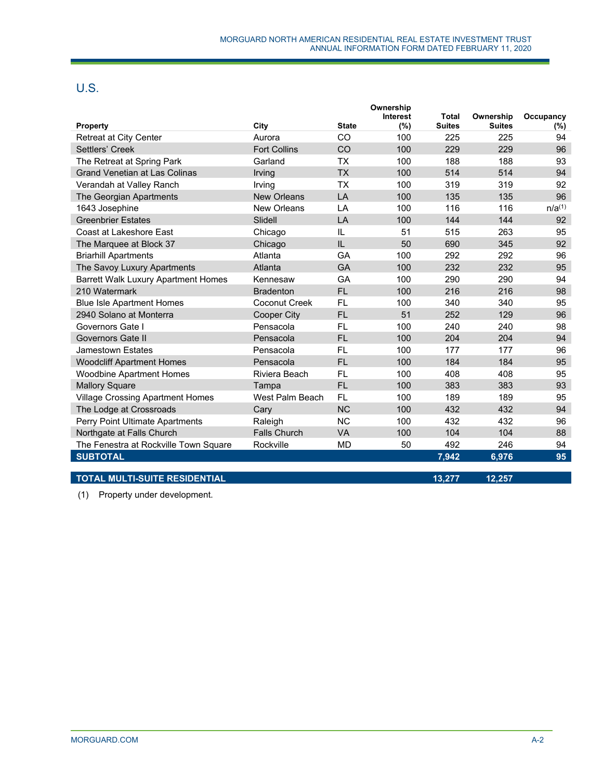# U.S.

|                                            |                      |              | Ownership<br>Interest | <b>Total</b>  | Ownership     | Occupancy   |
|--------------------------------------------|----------------------|--------------|-----------------------|---------------|---------------|-------------|
| Property                                   | City                 | <b>State</b> | (%)                   | <b>Suites</b> | <b>Suites</b> | (%)         |
| <b>Retreat at City Center</b>              | Aurora               | CO           | 100                   | 225           | 225           | 94          |
| Settlers' Creek                            | <b>Fort Collins</b>  | CO           | 100                   | 229           | 229           | 96          |
| The Retreat at Spring Park                 | Garland              | <b>TX</b>    | 100                   | 188           | 188           | 93          |
| <b>Grand Venetian at Las Colinas</b>       | Irving               | <b>TX</b>    | 100                   | 514           | 514           | 94          |
| Verandah at Valley Ranch                   | Irving               | <b>TX</b>    | 100                   | 319           | 319           | 92          |
| The Georgian Apartments                    | <b>New Orleans</b>   | LA           | 100                   | 135           | 135           | 96          |
| 1643 Josephine                             | New Orleans          | LA           | 100                   | 116           | 116           | $n/a^{(1)}$ |
| <b>Greenbrier Estates</b>                  | Slidell              | LA           | 100                   | 144           | 144           | 92          |
| Coast at Lakeshore East                    | Chicago              | IL           | 51                    | 515           | 263           | 95          |
| The Marquee at Block 37                    | Chicago              | IL           | 50                    | 690           | 345           | 92          |
| <b>Briarhill Apartments</b>                | Atlanta              | GA           | 100                   | 292           | 292           | 96          |
| The Savoy Luxury Apartments                | Atlanta              | GA           | 100                   | 232           | 232           | 95          |
| <b>Barrett Walk Luxury Apartment Homes</b> | Kennesaw             | GA           | 100                   | 290           | 290           | 94          |
| 210 Watermark                              | <b>Bradenton</b>     | <b>FL</b>    | 100                   | 216           | 216           | 98          |
| <b>Blue Isle Apartment Homes</b>           | <b>Coconut Creek</b> | <b>FL</b>    | 100                   | 340           | 340           | 95          |
| 2940 Solano at Monterra                    | <b>Cooper City</b>   | <b>FL</b>    | 51                    | 252           | 129           | 96          |
| Governors Gate I                           | Pensacola            | <b>FL</b>    | 100                   | 240           | 240           | 98          |
| Governors Gate II                          | Pensacola            | <b>FL</b>    | 100                   | 204           | 204           | 94          |
| Jamestown Estates                          | Pensacola            | <b>FL</b>    | 100                   | 177           | 177           | 96          |
| <b>Woodcliff Apartment Homes</b>           | Pensacola            | <b>FL</b>    | 100                   | 184           | 184           | 95          |
| <b>Woodbine Apartment Homes</b>            | Riviera Beach        | FL.          | 100                   | 408           | 408           | 95          |
| <b>Mallory Square</b>                      | Tampa                | <b>FL</b>    | 100                   | 383           | 383           | 93          |
| <b>Village Crossing Apartment Homes</b>    | West Palm Beach      | FL.          | 100                   | 189           | 189           | 95          |
| The Lodge at Crossroads                    | Cary                 | <b>NC</b>    | 100                   | 432           | 432           | 94          |
| Perry Point Ultimate Apartments            | Raleigh              | <b>NC</b>    | 100                   | 432           | 432           | 96          |
| Northgate at Falls Church                  | <b>Falls Church</b>  | <b>VA</b>    | 100                   | 104           | 104           | 88          |
| The Fenestra at Rockville Town Square      | Rockville            | <b>MD</b>    | 50                    | 492           | 246           | 94          |
| <b>SUBTOTAL</b>                            |                      |              |                       | 7,942         | 6,976         | 95          |
| <b>TOTAL MULTI-SUITE RESIDENTIAL</b>       |                      |              |                       | 13,277        | 12,257        |             |
|                                            |                      |              |                       |               |               |             |

(1) Property under development.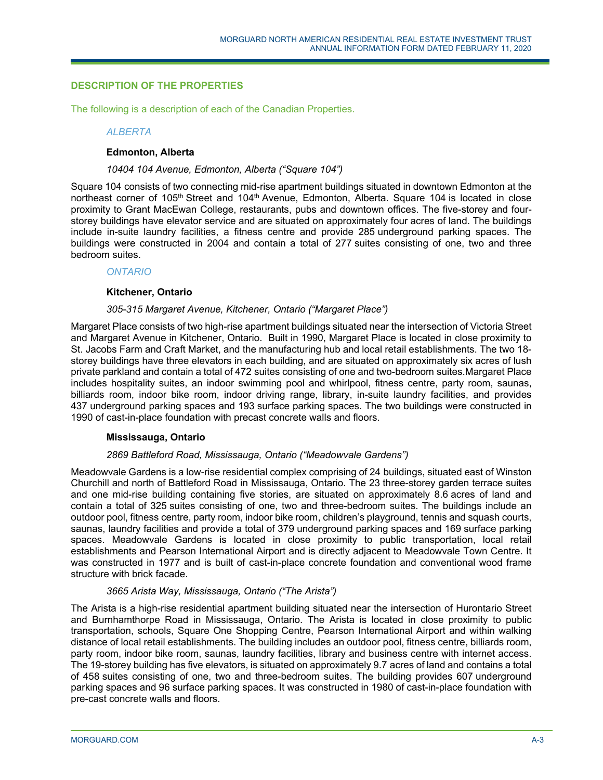# **DESCRIPTION OF THE PROPERTIES**

The following is a description of each of the Canadian Properties.

#### *ALBERTA*

# **Edmonton, Alberta**

#### *10404 104 Avenue, Edmonton, Alberta ("Square 104")*

Square 104 consists of two connecting mid-rise apartment buildings situated in downtown Edmonton at the northeast corner of 105<sup>th</sup> Street and 104<sup>th</sup> Avenue, Edmonton, Alberta. Square 104 is located in close proximity to Grant MacEwan College, restaurants, pubs and downtown offices. The five-storey and fourstorey buildings have elevator service and are situated on approximately four acres of land. The buildings include in-suite laundry facilities, a fitness centre and provide 285 underground parking spaces. The buildings were constructed in 2004 and contain a total of 277 suites consisting of one, two and three bedroom suites.

#### *ONTARIO*

#### **Kitchener, Ontario**

#### *305-315 Margaret Avenue, Kitchener, Ontario ("Margaret Place")*

Margaret Place consists of two high-rise apartment buildings situated near the intersection of Victoria Street and Margaret Avenue in Kitchener, Ontario. Built in 1990, Margaret Place is located in close proximity to St. Jacobs Farm and Craft Market, and the manufacturing hub and local retail establishments. The two 18 storey buildings have three elevators in each building, and are situated on approximately six acres of lush private parkland and contain a total of 472 suites consisting of one and two-bedroom suites.Margaret Place includes hospitality suites, an indoor swimming pool and whirlpool, fitness centre, party room, saunas, billiards room, indoor bike room, indoor driving range, library, in-suite laundry facilities, and provides 437 underground parking spaces and 193 surface parking spaces. The two buildings were constructed in 1990 of cast-in-place foundation with precast concrete walls and floors.

# **Mississauga, Ontario**

# *2869 Battleford Road, Mississauga, Ontario ("Meadowvale Gardens")*

Meadowvale Gardens is a low-rise residential complex comprising of 24 buildings, situated east of Winston Churchill and north of Battleford Road in Mississauga, Ontario. The 23 three-storey garden terrace suites and one mid-rise building containing five stories, are situated on approximately 8.6 acres of land and contain a total of 325 suites consisting of one, two and three-bedroom suites. The buildings include an outdoor pool, fitness centre, party room, indoor bike room, children's playground, tennis and squash courts, saunas, laundry facilities and provide a total of 379 underground parking spaces and 169 surface parking spaces. Meadowvale Gardens is located in close proximity to public transportation, local retail establishments and Pearson International Airport and is directly adjacent to Meadowvale Town Centre. It was constructed in 1977 and is built of cast-in-place concrete foundation and conventional wood frame structure with brick facade.

# *3665 Arista Way, Mississauga, Ontario ("The Arista")*

The Arista is a high-rise residential apartment building situated near the intersection of Hurontario Street and Burnhamthorpe Road in Mississauga, Ontario. The Arista is located in close proximity to public transportation, schools, Square One Shopping Centre, Pearson International Airport and within walking distance of local retail establishments. The building includes an outdoor pool, fitness centre, billiards room, party room, indoor bike room, saunas, laundry facilities, library and business centre with internet access. The 19-storey building has five elevators, is situated on approximately 9.7 acres of land and contains a total of 458 suites consisting of one, two and three-bedroom suites. The building provides 607 underground parking spaces and 96 surface parking spaces. It was constructed in 1980 of cast-in-place foundation with pre-cast concrete walls and floors.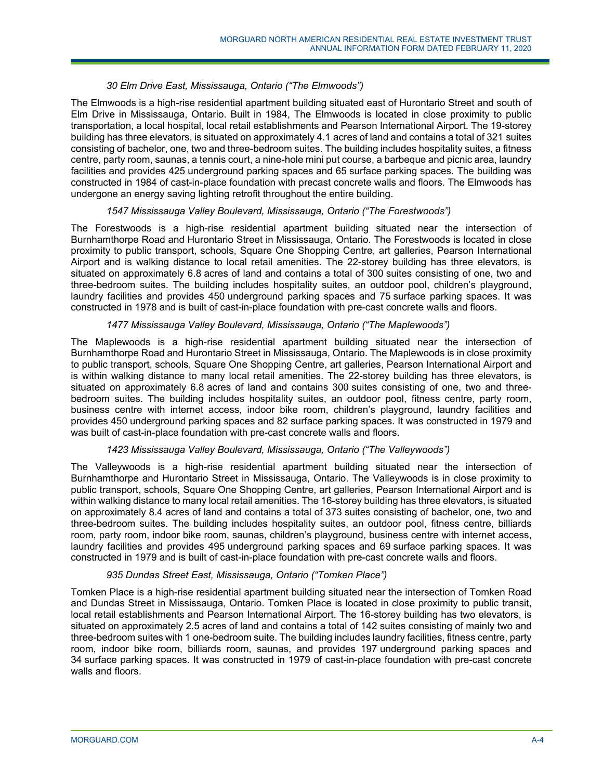# *30 Elm Drive East, Mississauga, Ontario ("The Elmwoods")*

The Elmwoods is a high-rise residential apartment building situated east of Hurontario Street and south of Elm Drive in Mississauga, Ontario. Built in 1984, The Elmwoods is located in close proximity to public transportation, a local hospital, local retail establishments and Pearson International Airport. The 19-storey building has three elevators, is situated on approximately 4.1 acres of land and contains a total of 321 suites consisting of bachelor, one, two and three-bedroom suites. The building includes hospitality suites, a fitness centre, party room, saunas, a tennis court, a nine-hole mini put course, a barbeque and picnic area, laundry facilities and provides 425 underground parking spaces and 65 surface parking spaces. The building was constructed in 1984 of cast-in-place foundation with precast concrete walls and floors. The Elmwoods has undergone an energy saving lighting retrofit throughout the entire building.

# *1547 Mississauga Valley Boulevard, Mississauga, Ontario ("The Forestwoods")*

The Forestwoods is a high-rise residential apartment building situated near the intersection of Burnhamthorpe Road and Hurontario Street in Mississauga, Ontario. The Forestwoods is located in close proximity to public transport, schools, Square One Shopping Centre, art galleries, Pearson International Airport and is walking distance to local retail amenities. The 22-storey building has three elevators, is situated on approximately 6.8 acres of land and contains a total of 300 suites consisting of one, two and three-bedroom suites. The building includes hospitality suites, an outdoor pool, children's playground, laundry facilities and provides 450 underground parking spaces and 75 surface parking spaces. It was constructed in 1978 and is built of cast-in-place foundation with pre-cast concrete walls and floors.

# *1477 Mississauga Valley Boulevard, Mississauga, Ontario ("The Maplewoods")*

The Maplewoods is a high-rise residential apartment building situated near the intersection of Burnhamthorpe Road and Hurontario Street in Mississauga, Ontario. The Maplewoods is in close proximity to public transport, schools, Square One Shopping Centre, art galleries, Pearson International Airport and is within walking distance to many local retail amenities. The 22-storey building has three elevators, is situated on approximately 6.8 acres of land and contains 300 suites consisting of one, two and threebedroom suites. The building includes hospitality suites, an outdoor pool, fitness centre, party room, business centre with internet access, indoor bike room, children's playground, laundry facilities and provides 450 underground parking spaces and 82 surface parking spaces. It was constructed in 1979 and was built of cast-in-place foundation with pre-cast concrete walls and floors.

# *1423 Mississauga Valley Boulevard, Mississauga, Ontario ("The Valleywoods")*

The Valleywoods is a high-rise residential apartment building situated near the intersection of Burnhamthorpe and Hurontario Street in Mississauga, Ontario. The Valleywoods is in close proximity to public transport, schools, Square One Shopping Centre, art galleries, Pearson International Airport and is within walking distance to many local retail amenities. The 16-storey building has three elevators, is situated on approximately 8.4 acres of land and contains a total of 373 suites consisting of bachelor, one, two and three-bedroom suites. The building includes hospitality suites, an outdoor pool, fitness centre, billiards room, party room, indoor bike room, saunas, children's playground, business centre with internet access, laundry facilities and provides 495 underground parking spaces and 69 surface parking spaces. It was constructed in 1979 and is built of cast-in-place foundation with pre-cast concrete walls and floors.

# *935 Dundas Street East, Mississauga, Ontario ("Tomken Place")*

Tomken Place is a high-rise residential apartment building situated near the intersection of Tomken Road and Dundas Street in Mississauga, Ontario. Tomken Place is located in close proximity to public transit, local retail establishments and Pearson International Airport. The 16-storey building has two elevators, is situated on approximately 2.5 acres of land and contains a total of 142 suites consisting of mainly two and three-bedroom suites with 1 one-bedroom suite. The building includes laundry facilities, fitness centre, party room, indoor bike room, billiards room, saunas, and provides 197 underground parking spaces and 34 surface parking spaces. It was constructed in 1979 of cast-in-place foundation with pre-cast concrete walls and floors.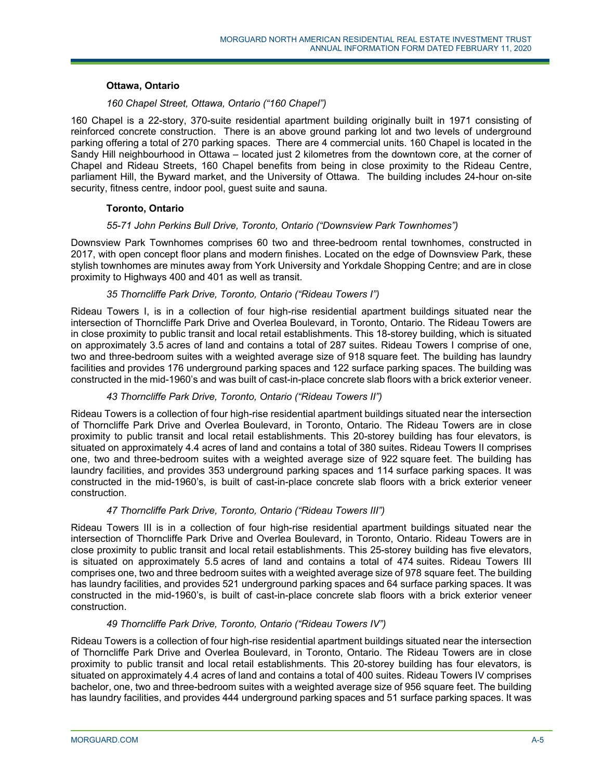# **Ottawa, Ontario**

# *160 Chapel Street, Ottawa, Ontario ("160 Chapel")*

160 Chapel is a 22-story, 370-suite residential apartment building originally built in 1971 consisting of reinforced concrete construction. There is an above ground parking lot and two levels of underground parking offering a total of 270 parking spaces. There are 4 commercial units. 160 Chapel is located in the Sandy Hill neighbourhood in Ottawa – located just 2 kilometres from the downtown core, at the corner of Chapel and Rideau Streets, 160 Chapel benefits from being in close proximity to the Rideau Centre, parliament Hill, the Byward market, and the University of Ottawa. The building includes 24-hour on-site security, fitness centre, indoor pool, guest suite and sauna.

# **Toronto, Ontario**

#### *55-71 John Perkins Bull Drive, Toronto, Ontario ("Downsview Park Townhomes")*

Downsview Park Townhomes comprises 60 two and three-bedroom rental townhomes, constructed in 2017, with open concept floor plans and modern finishes. Located on the edge of Downsview Park, these stylish townhomes are minutes away from York University and Yorkdale Shopping Centre; and are in close proximity to Highways 400 and 401 as well as transit.

#### *35 Thorncliffe Park Drive, Toronto, Ontario ("Rideau Towers I")*

Rideau Towers I, is in a collection of four high-rise residential apartment buildings situated near the intersection of Thorncliffe Park Drive and Overlea Boulevard, in Toronto, Ontario. The Rideau Towers are in close proximity to public transit and local retail establishments. This 18-storey building, which is situated on approximately 3.5 acres of land and contains a total of 287 suites. Rideau Towers I comprise of one, two and three-bedroom suites with a weighted average size of 918 square feet. The building has laundry facilities and provides 176 underground parking spaces and 122 surface parking spaces. The building was constructed in the mid-1960's and was built of cast-in-place concrete slab floors with a brick exterior veneer.

# *43 Thorncliffe Park Drive, Toronto, Ontario ("Rideau Towers II")*

Rideau Towers is a collection of four high-rise residential apartment buildings situated near the intersection of Thorncliffe Park Drive and Overlea Boulevard, in Toronto, Ontario. The Rideau Towers are in close proximity to public transit and local retail establishments. This 20-storey building has four elevators, is situated on approximately 4.4 acres of land and contains a total of 380 suites. Rideau Towers II comprises one, two and three-bedroom suites with a weighted average size of 922 square feet. The building has laundry facilities, and provides 353 underground parking spaces and 114 surface parking spaces. It was constructed in the mid-1960's, is built of cast-in-place concrete slab floors with a brick exterior veneer construction.

# *47 Thorncliffe Park Drive, Toronto, Ontario ("Rideau Towers III")*

Rideau Towers III is in a collection of four high-rise residential apartment buildings situated near the intersection of Thorncliffe Park Drive and Overlea Boulevard, in Toronto, Ontario. Rideau Towers are in close proximity to public transit and local retail establishments. This 25-storey building has five elevators, is situated on approximately 5.5 acres of land and contains a total of 474 suites. Rideau Towers III comprises one, two and three bedroom suites with a weighted average size of 978 square feet. The building has laundry facilities, and provides 521 underground parking spaces and 64 surface parking spaces. It was constructed in the mid-1960's, is built of cast-in-place concrete slab floors with a brick exterior veneer construction.

#### *49 Thorncliffe Park Drive, Toronto, Ontario ("Rideau Towers IV")*

Rideau Towers is a collection of four high-rise residential apartment buildings situated near the intersection of Thorncliffe Park Drive and Overlea Boulevard, in Toronto, Ontario. The Rideau Towers are in close proximity to public transit and local retail establishments. This 20-storey building has four elevators, is situated on approximately 4.4 acres of land and contains a total of 400 suites. Rideau Towers IV comprises bachelor, one, two and three-bedroom suites with a weighted average size of 956 square feet. The building has laundry facilities, and provides 444 underground parking spaces and 51 surface parking spaces. It was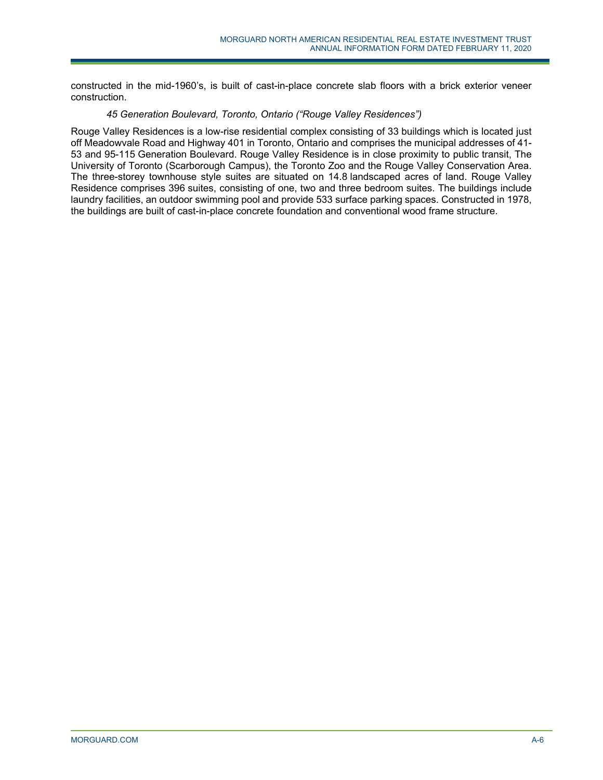constructed in the mid-1960's, is built of cast-in-place concrete slab floors with a brick exterior veneer construction.

# *45 Generation Boulevard, Toronto, Ontario ("Rouge Valley Residences")*

Rouge Valley Residences is a low-rise residential complex consisting of 33 buildings which is located just off Meadowvale Road and Highway 401 in Toronto, Ontario and comprises the municipal addresses of 41- 53 and 95-115 Generation Boulevard. Rouge Valley Residence is in close proximity to public transit, The University of Toronto (Scarborough Campus), the Toronto Zoo and the Rouge Valley Conservation Area. The three-storey townhouse style suites are situated on 14.8 landscaped acres of land. Rouge Valley Residence comprises 396 suites, consisting of one, two and three bedroom suites. The buildings include laundry facilities, an outdoor swimming pool and provide 533 surface parking spaces. Constructed in 1978, the buildings are built of cast-in-place concrete foundation and conventional wood frame structure.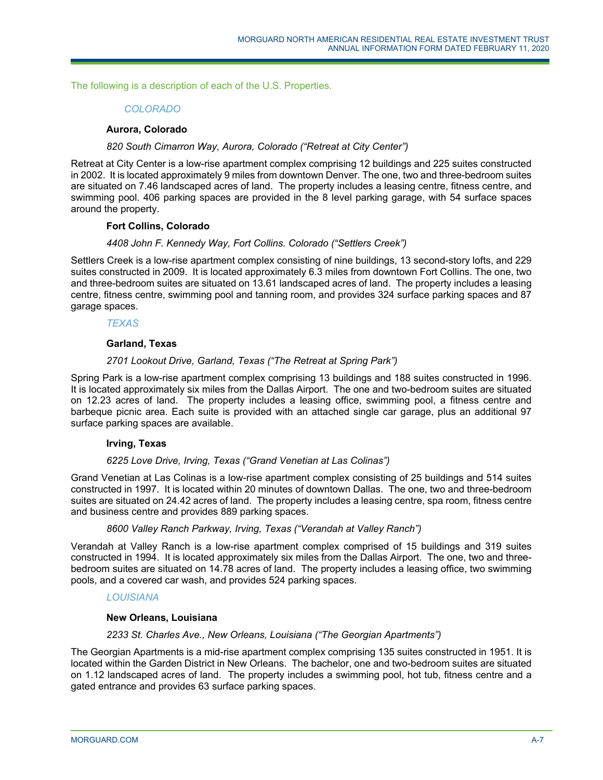The following is a description of each of the U.S. Properties.

# *COLORADO*

#### **Aurora, Colorado**

#### *820 South Cimarron Way, Aurora, Colorado ("Retreat at City Center")*

Retreat at City Center is a low-rise apartment complex comprising 12 buildings and 225 suites constructed in 2002. It is located approximately 9 miles from downtown Denver. The one, two and three-bedroom suites are situated on 7.46 landscaped acres of land. The property includes a leasing centre, fitness centre, and swimming pool. 406 parking spaces are provided in the 8 level parking garage, with 54 surface spaces around the property.

#### **Fort Collins, Colorado**

# *4408 John F. Kennedy Way, Fort Collins. Colorado ("Settlers Creek")*

Settlers Creek is a low-rise apartment complex consisting of nine buildings, 13 second-story lofts, and 229 suites constructed in 2009. It is located approximately 6.3 miles from downtown Fort Collins. The one, two and three-bedroom suites are situated on 13.61 landscaped acres of land. The property includes a leasing centre, fitness centre, swimming pool and tanning room, and provides 324 surface parking spaces and 87 garage spaces.

*TEXAS* 

#### **Garland, Texas**

# *2701 Lookout Drive, Garland, Texas ("The Retreat at Spring Park")*

Spring Park is a low-rise apartment complex comprising 13 buildings and 188 suites constructed in 1996. It is located approximately six miles from the Dallas Airport. The one and two-bedroom suites are situated on 12.23 acres of land. The property includes a leasing office, swimming pool, a fitness centre and barbeque picnic area. Each suite is provided with an attached single car garage, plus an additional 97 surface parking spaces are available.

# **Irving, Texas**

#### *6225 Love Drive, Irving, Texas ("Grand Venetian at Las Colinas")*

Grand Venetian at Las Colinas is a low-rise apartment complex consisting of 25 buildings and 514 suites constructed in 1997. It is located within 20 minutes of downtown Dallas. The one, two and three-bedroom suites are situated on 24.42 acres of land. The property includes a leasing centre, spa room, fitness centre and business centre and provides 889 parking spaces.

#### *8600 Valley Ranch Parkway, Irving, Texas ("Verandah at Valley Ranch")*

Verandah at Valley Ranch is a low-rise apartment complex comprised of 15 buildings and 319 suites constructed in 1994. It is located approximately six miles from the Dallas Airport. The one, two and threebedroom suites are situated on 14.78 acres of land. The property includes a leasing office, two swimming pools, and a covered car wash, and provides 524 parking spaces.

# *LOUISIANA*

#### **New Orleans, Louisiana**

#### *2233 St. Charles Ave., New Orleans, Louisiana ("The Georgian Apartments")*

The Georgian Apartments is a mid-rise apartment complex comprising 135 suites constructed in 1951. It is located within the Garden District in New Orleans. The bachelor, one and two-bedroom suites are situated on 1.12 landscaped acres of land. The property includes a swimming pool, hot tub, fitness centre and a gated entrance and provides 63 surface parking spaces.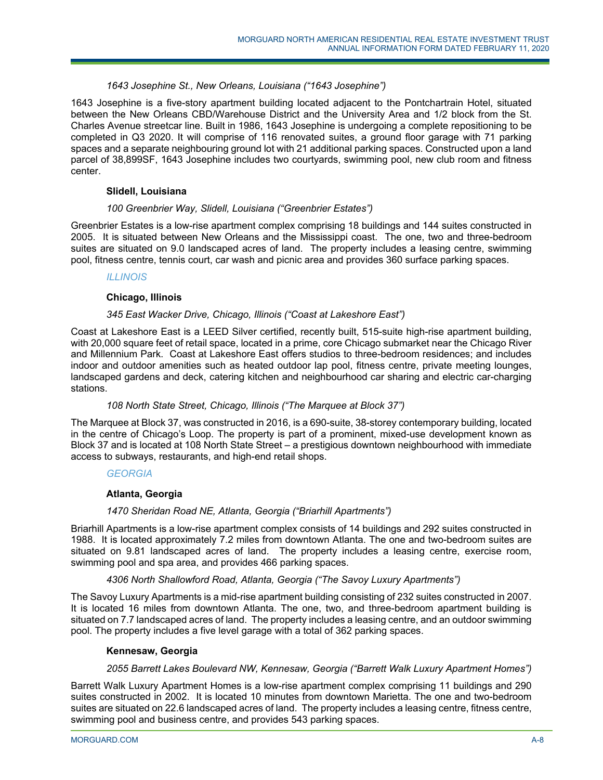# *1643 Josephine St., New Orleans, Louisiana ("1643 Josephine")*

1643 Josephine is a five-story apartment building located adjacent to the Pontchartrain Hotel, situated between the New Orleans CBD/Warehouse District and the University Area and 1/2 block from the St. Charles Avenue streetcar line. Built in 1986, 1643 Josephine is undergoing a complete repositioning to be completed in Q3 2020. It will comprise of 116 renovated suites, a ground floor garage with 71 parking spaces and a separate neighbouring ground lot with 21 additional parking spaces. Constructed upon a land parcel of 38,899SF, 1643 Josephine includes two courtyards, swimming pool, new club room and fitness center.

# **Slidell, Louisiana**

#### *100 Greenbrier Way, Slidell, Louisiana ("Greenbrier Estates")*

Greenbrier Estates is a low-rise apartment complex comprising 18 buildings and 144 suites constructed in 2005. It is situated between New Orleans and the Mississippi coast. The one, two and three-bedroom suites are situated on 9.0 landscaped acres of land. The property includes a leasing centre, swimming pool, fitness centre, tennis court, car wash and picnic area and provides 360 surface parking spaces.

#### *ILLINOIS*

#### **Chicago, Illinois**

# *345 East Wacker Drive, Chicago, Illinois ("Coast at Lakeshore East")*

Coast at Lakeshore East is a LEED Silver certified, recently built, 515-suite high-rise apartment building, with 20,000 square feet of retail space, located in a prime, core Chicago submarket near the Chicago River and Millennium Park. Coast at Lakeshore East offers studios to three-bedroom residences; and includes indoor and outdoor amenities such as heated outdoor lap pool, fitness centre, private meeting lounges, landscaped gardens and deck, catering kitchen and neighbourhood car sharing and electric car-charging stations.

# *108 North State Street, Chicago, Illinois ("The Marquee at Block 37")*

The Marquee at Block 37, was constructed in 2016, is a 690-suite, 38-storey contemporary building, located in the centre of Chicago's Loop. The property is part of a prominent, mixed-use development known as Block 37 and is located at 108 North State Street – a prestigious downtown neighbourhood with immediate access to subways, restaurants, and high-end retail shops.

#### *GEORGIA*

# **Atlanta, Georgia**

# *1470 Sheridan Road NE, Atlanta, Georgia ("Briarhill Apartments")*

Briarhill Apartments is a low-rise apartment complex consists of 14 buildings and 292 suites constructed in 1988. It is located approximately 7.2 miles from downtown Atlanta. The one and two-bedroom suites are situated on 9.81 landscaped acres of land. The property includes a leasing centre, exercise room, swimming pool and spa area, and provides 466 parking spaces.

# *4306 North Shallowford Road, Atlanta, Georgia ("The Savoy Luxury Apartments")*

The Savoy Luxury Apartments is a mid-rise apartment building consisting of 232 suites constructed in 2007. It is located 16 miles from downtown Atlanta. The one, two, and three-bedroom apartment building is situated on 7.7 landscaped acres of land. The property includes a leasing centre, and an outdoor swimming pool. The property includes a five level garage with a total of 362 parking spaces.

# **Kennesaw, Georgia**

# *2055 Barrett Lakes Boulevard NW, Kennesaw, Georgia ("Barrett Walk Luxury Apartment Homes")*

Barrett Walk Luxury Apartment Homes is a low-rise apartment complex comprising 11 buildings and 290 suites constructed in 2002. It is located 10 minutes from downtown Marietta. The one and two-bedroom suites are situated on 22.6 landscaped acres of land. The property includes a leasing centre, fitness centre, swimming pool and business centre, and provides 543 parking spaces.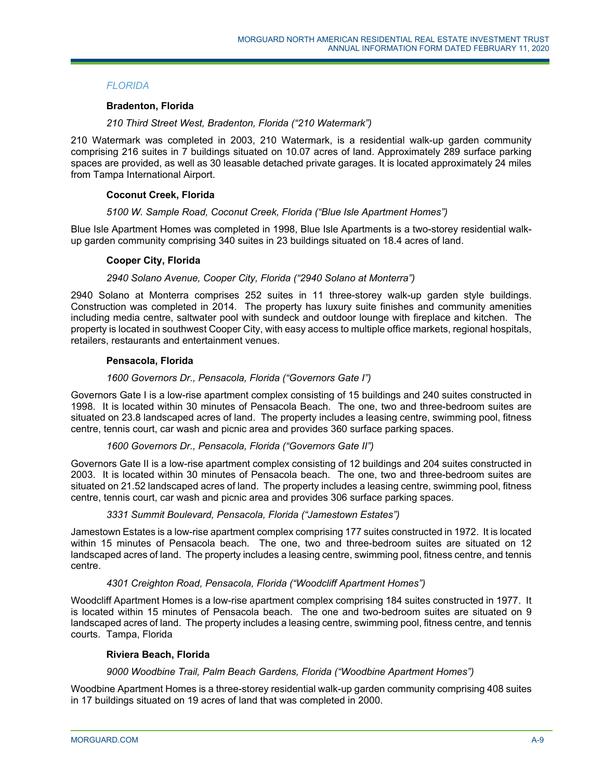# *FLORIDA*

# **Bradenton, Florida**

# *210 Third Street West, Bradenton, Florida ("210 Watermark")*

210 Watermark was completed in 2003, 210 Watermark, is a residential walk-up garden community comprising 216 suites in 7 buildings situated on 10.07 acres of land. Approximately 289 surface parking spaces are provided, as well as 30 leasable detached private garages. It is located approximately 24 miles from Tampa International Airport.

# **Coconut Creek, Florida**

#### *5100 W. Sample Road, Coconut Creek, Florida ("Blue Isle Apartment Homes")*

Blue Isle Apartment Homes was completed in 1998, Blue Isle Apartments is a two-storey residential walkup garden community comprising 340 suites in 23 buildings situated on 18.4 acres of land.

#### **Cooper City, Florida**

# *2940 Solano Avenue, Cooper City, Florida ("2940 Solano at Monterra")*

2940 Solano at Monterra comprises 252 suites in 11 three-storey walk-up garden style buildings. Construction was completed in 2014. The property has luxury suite finishes and community amenities including media centre, saltwater pool with sundeck and outdoor lounge with fireplace and kitchen. The property is located in southwest Cooper City, with easy access to multiple office markets, regional hospitals, retailers, restaurants and entertainment venues.

#### **Pensacola, Florida**

#### *1600 Governors Dr., Pensacola, Florida ("Governors Gate I")*

Governors Gate I is a low-rise apartment complex consisting of 15 buildings and 240 suites constructed in 1998. It is located within 30 minutes of Pensacola Beach. The one, two and three-bedroom suites are situated on 23.8 landscaped acres of land. The property includes a leasing centre, swimming pool, fitness centre, tennis court, car wash and picnic area and provides 360 surface parking spaces.

# *1600 Governors Dr., Pensacola, Florida ("Governors Gate II")*

Governors Gate II is a low-rise apartment complex consisting of 12 buildings and 204 suites constructed in 2003. It is located within 30 minutes of Pensacola beach. The one, two and three-bedroom suites are situated on 21.52 landscaped acres of land. The property includes a leasing centre, swimming pool, fitness centre, tennis court, car wash and picnic area and provides 306 surface parking spaces.

# *3331 Summit Boulevard, Pensacola, Florida ("Jamestown Estates")*

Jamestown Estates is a low-rise apartment complex comprising 177 suites constructed in 1972. It is located within 15 minutes of Pensacola beach. The one, two and three-bedroom suites are situated on 12 landscaped acres of land. The property includes a leasing centre, swimming pool, fitness centre, and tennis centre.

# *4301 Creighton Road, Pensacola, Florida ("Woodcliff Apartment Homes")*

Woodcliff Apartment Homes is a low-rise apartment complex comprising 184 suites constructed in 1977. It is located within 15 minutes of Pensacola beach. The one and two-bedroom suites are situated on 9 landscaped acres of land. The property includes a leasing centre, swimming pool, fitness centre, and tennis courts. Tampa, Florida

# **Riviera Beach, Florida**

# *9000 Woodbine Trail, Palm Beach Gardens, Florida ("Woodbine Apartment Homes")*

Woodbine Apartment Homes is a three-storey residential walk-up garden community comprising 408 suites in 17 buildings situated on 19 acres of land that was completed in 2000.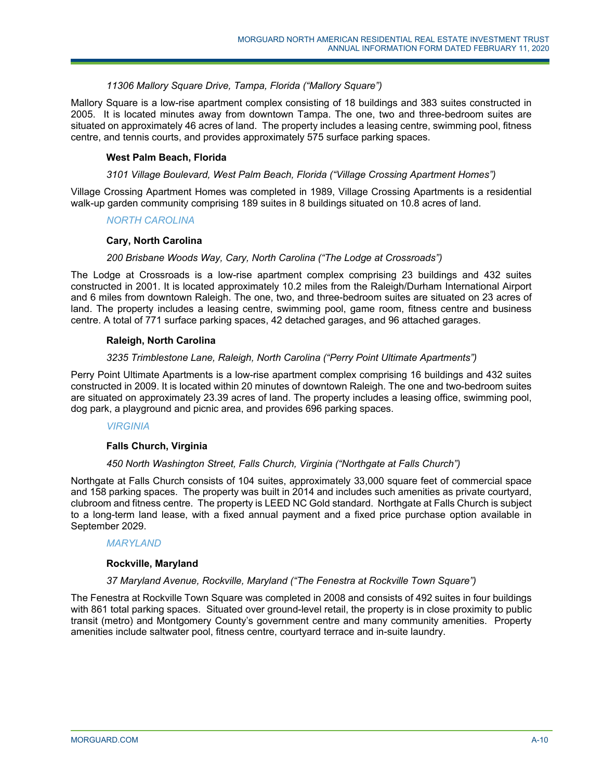# *11306 Mallory Square Drive, Tampa, Florida ("Mallory Square")*

Mallory Square is a low-rise apartment complex consisting of 18 buildings and 383 suites constructed in 2005. It is located minutes away from downtown Tampa. The one, two and three-bedroom suites are situated on approximately 46 acres of land. The property includes a leasing centre, swimming pool, fitness centre, and tennis courts, and provides approximately 575 surface parking spaces.

# **West Palm Beach, Florida**

#### *3101 Village Boulevard, West Palm Beach, Florida ("Village Crossing Apartment Homes")*

Village Crossing Apartment Homes was completed in 1989, Village Crossing Apartments is a residential walk-up garden community comprising 189 suites in 8 buildings situated on 10.8 acres of land.

# *NORTH CAROLINA*

# **Cary, North Carolina**

#### *200 Brisbane Woods Way, Cary, North Carolina ("The Lodge at Crossroads")*

The Lodge at Crossroads is a low-rise apartment complex comprising 23 buildings and 432 suites constructed in 2001. It is located approximately 10.2 miles from the Raleigh/Durham International Airport and 6 miles from downtown Raleigh. The one, two, and three-bedroom suites are situated on 23 acres of land. The property includes a leasing centre, swimming pool, game room, fitness centre and business centre. A total of 771 surface parking spaces, 42 detached garages, and 96 attached garages.

# **Raleigh, North Carolina**

#### *3235 Trimblestone Lane, Raleigh, North Carolina ("Perry Point Ultimate Apartments")*

Perry Point Ultimate Apartments is a low-rise apartment complex comprising 16 buildings and 432 suites constructed in 2009. It is located within 20 minutes of downtown Raleigh. The one and two-bedroom suites are situated on approximately 23.39 acres of land. The property includes a leasing office, swimming pool, dog park, a playground and picnic area, and provides 696 parking spaces.

*VIRGINIA* 

# **Falls Church, Virginia**

# *450 North Washington Street, Falls Church, Virginia ("Northgate at Falls Church")*

Northgate at Falls Church consists of 104 suites, approximately 33,000 square feet of commercial space and 158 parking spaces. The property was built in 2014 and includes such amenities as private courtyard, clubroom and fitness centre. The property is LEED NC Gold standard. Northgate at Falls Church is subject to a long-term land lease, with a fixed annual payment and a fixed price purchase option available in September 2029.

#### *MARYLAND*

#### **Rockville, Maryland**

#### *37 Maryland Avenue, Rockville, Maryland ("The Fenestra at Rockville Town Square")*

The Fenestra at Rockville Town Square was completed in 2008 and consists of 492 suites in four buildings with 861 total parking spaces. Situated over ground-level retail, the property is in close proximity to public transit (metro) and Montgomery County's government centre and many community amenities. Property amenities include saltwater pool, fitness centre, courtyard terrace and in-suite laundry.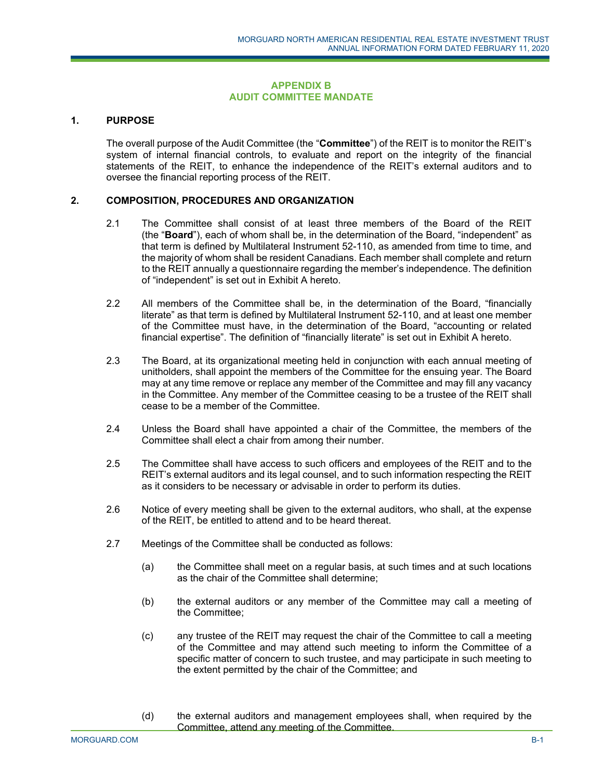#### **APPENDIX B AUDIT COMMITTEE MANDATE**

# **1. PURPOSE**

The overall purpose of the Audit Committee (the "**Committee**") of the REIT is to monitor the REIT's system of internal financial controls, to evaluate and report on the integrity of the financial statements of the REIT, to enhance the independence of the REIT's external auditors and to oversee the financial reporting process of the REIT.

#### **2. COMPOSITION, PROCEDURES AND ORGANIZATION**

- 2.1 The Committee shall consist of at least three members of the Board of the REIT (the "**Board**"), each of whom shall be, in the determination of the Board, "independent" as that term is defined by Multilateral Instrument 52-110, as amended from time to time, and the majority of whom shall be resident Canadians. Each member shall complete and return to the REIT annually a questionnaire regarding the member's independence. The definition of "independent" is set out in Exhibit A hereto.
- 2.2 All members of the Committee shall be, in the determination of the Board, "financially literate" as that term is defined by Multilateral Instrument 52-110, and at least one member of the Committee must have, in the determination of the Board, "accounting or related financial expertise". The definition of "financially literate" is set out in Exhibit A hereto.
- 2.3 The Board, at its organizational meeting held in conjunction with each annual meeting of unitholders, shall appoint the members of the Committee for the ensuing year. The Board may at any time remove or replace any member of the Committee and may fill any vacancy in the Committee. Any member of the Committee ceasing to be a trustee of the REIT shall cease to be a member of the Committee.
- 2.4 Unless the Board shall have appointed a chair of the Committee, the members of the Committee shall elect a chair from among their number.
- 2.5 The Committee shall have access to such officers and employees of the REIT and to the REIT's external auditors and its legal counsel, and to such information respecting the REIT as it considers to be necessary or advisable in order to perform its duties.
- 2.6 Notice of every meeting shall be given to the external auditors, who shall, at the expense of the REIT, be entitled to attend and to be heard thereat.
- 2.7 Meetings of the Committee shall be conducted as follows:
	- (a) the Committee shall meet on a regular basis, at such times and at such locations as the chair of the Committee shall determine;
	- (b) the external auditors or any member of the Committee may call a meeting of the Committee;
	- (c) any trustee of the REIT may request the chair of the Committee to call a meeting of the Committee and may attend such meeting to inform the Committee of a specific matter of concern to such trustee, and may participate in such meeting to the extent permitted by the chair of the Committee; and
	- (d) the external auditors and management employees shall, when required by the Committee, attend any meeting of the Committee.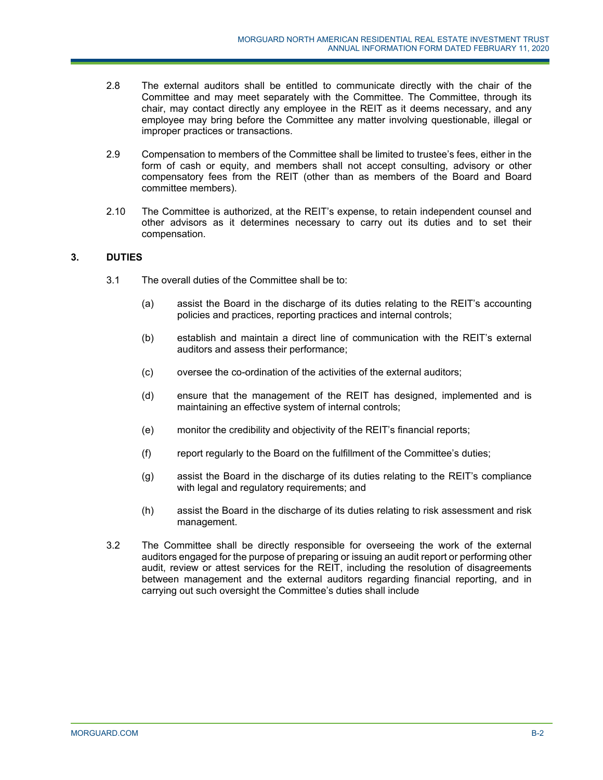- 2.8 The external auditors shall be entitled to communicate directly with the chair of the Committee and may meet separately with the Committee. The Committee, through its chair, may contact directly any employee in the REIT as it deems necessary, and any employee may bring before the Committee any matter involving questionable, illegal or improper practices or transactions.
- 2.9 Compensation to members of the Committee shall be limited to trustee's fees, either in the form of cash or equity, and members shall not accept consulting, advisory or other compensatory fees from the REIT (other than as members of the Board and Board committee members).
- 2.10 The Committee is authorized, at the REIT's expense, to retain independent counsel and other advisors as it determines necessary to carry out its duties and to set their compensation.

# **3. DUTIES**

- 3.1 The overall duties of the Committee shall be to:
	- (a) assist the Board in the discharge of its duties relating to the REIT's accounting policies and practices, reporting practices and internal controls;
	- (b) establish and maintain a direct line of communication with the REIT's external auditors and assess their performance;
	- (c) oversee the co-ordination of the activities of the external auditors;
	- (d) ensure that the management of the REIT has designed, implemented and is maintaining an effective system of internal controls;
	- (e) monitor the credibility and objectivity of the REIT's financial reports;
	- (f) report regularly to the Board on the fulfillment of the Committee's duties;
	- (g) assist the Board in the discharge of its duties relating to the REIT's compliance with legal and regulatory requirements; and
	- (h) assist the Board in the discharge of its duties relating to risk assessment and risk management.
- 3.2 The Committee shall be directly responsible for overseeing the work of the external auditors engaged for the purpose of preparing or issuing an audit report or performing other audit, review or attest services for the REIT, including the resolution of disagreements between management and the external auditors regarding financial reporting, and in carrying out such oversight the Committee's duties shall include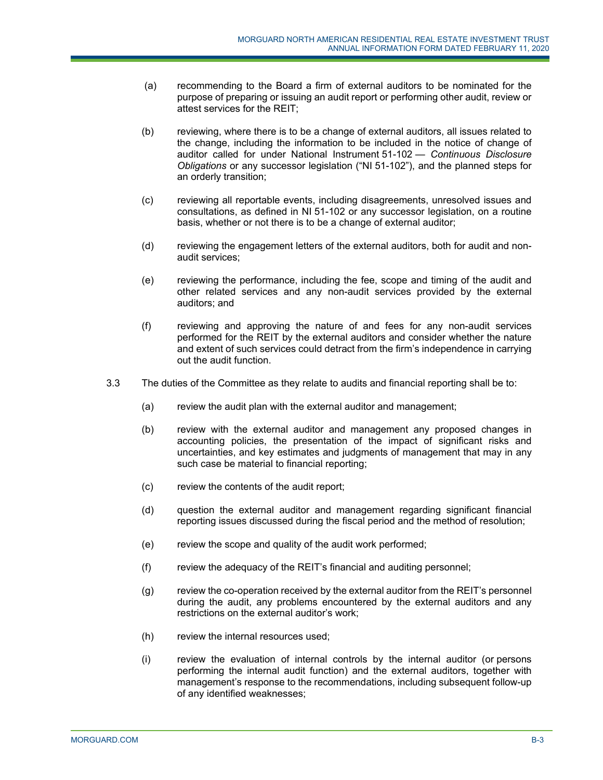- (a) recommending to the Board a firm of external auditors to be nominated for the purpose of preparing or issuing an audit report or performing other audit, review or attest services for the REIT;
- (b) reviewing, where there is to be a change of external auditors, all issues related to the change, including the information to be included in the notice of change of auditor called for under National Instrument 51-102 — *Continuous Disclosure Obligations* or any successor legislation ("NI 51-102"), and the planned steps for an orderly transition;
- (c) reviewing all reportable events, including disagreements, unresolved issues and consultations, as defined in NI 51-102 or any successor legislation, on a routine basis, whether or not there is to be a change of external auditor;
- (d) reviewing the engagement letters of the external auditors, both for audit and nonaudit services;
- (e) reviewing the performance, including the fee, scope and timing of the audit and other related services and any non-audit services provided by the external auditors; and
- (f) reviewing and approving the nature of and fees for any non-audit services performed for the REIT by the external auditors and consider whether the nature and extent of such services could detract from the firm's independence in carrying out the audit function.
- 3.3 The duties of the Committee as they relate to audits and financial reporting shall be to:
	- (a) review the audit plan with the external auditor and management;
	- (b) review with the external auditor and management any proposed changes in accounting policies, the presentation of the impact of significant risks and uncertainties, and key estimates and judgments of management that may in any such case be material to financial reporting;
	- (c) review the contents of the audit report;
	- (d) question the external auditor and management regarding significant financial reporting issues discussed during the fiscal period and the method of resolution;
	- (e) review the scope and quality of the audit work performed;
	- (f) review the adequacy of the REIT's financial and auditing personnel;
	- (g) review the co-operation received by the external auditor from the REIT's personnel during the audit, any problems encountered by the external auditors and any restrictions on the external auditor's work;
	- (h) review the internal resources used;
	- (i) review the evaluation of internal controls by the internal auditor (or persons performing the internal audit function) and the external auditors, together with management's response to the recommendations, including subsequent follow-up of any identified weaknesses;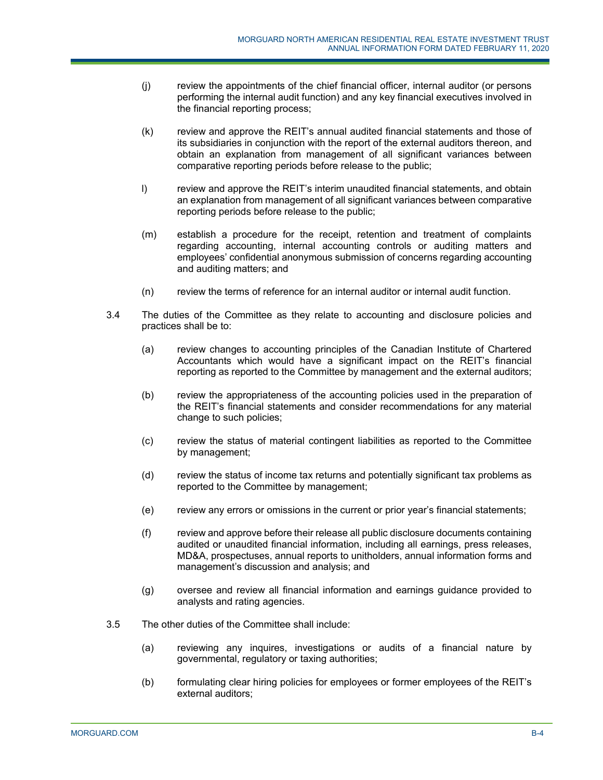- (j) review the appointments of the chief financial officer, internal auditor (or persons performing the internal audit function) and any key financial executives involved in the financial reporting process;
- (k) review and approve the REIT's annual audited financial statements and those of its subsidiaries in conjunction with the report of the external auditors thereon, and obtain an explanation from management of all significant variances between comparative reporting periods before release to the public;
- l) review and approve the REIT's interim unaudited financial statements, and obtain an explanation from management of all significant variances between comparative reporting periods before release to the public;
- (m) establish a procedure for the receipt, retention and treatment of complaints regarding accounting, internal accounting controls or auditing matters and employees' confidential anonymous submission of concerns regarding accounting and auditing matters; and
- (n) review the terms of reference for an internal auditor or internal audit function.
- 3.4 The duties of the Committee as they relate to accounting and disclosure policies and practices shall be to:
	- (a) review changes to accounting principles of the Canadian Institute of Chartered Accountants which would have a significant impact on the REIT's financial reporting as reported to the Committee by management and the external auditors;
	- (b) review the appropriateness of the accounting policies used in the preparation of the REIT's financial statements and consider recommendations for any material change to such policies;
	- (c) review the status of material contingent liabilities as reported to the Committee by management;
	- (d) review the status of income tax returns and potentially significant tax problems as reported to the Committee by management;
	- (e) review any errors or omissions in the current or prior year's financial statements;
	- (f) review and approve before their release all public disclosure documents containing audited or unaudited financial information, including all earnings, press releases, MD&A, prospectuses, annual reports to unitholders, annual information forms and management's discussion and analysis; and
	- (g) oversee and review all financial information and earnings guidance provided to analysts and rating agencies.
- 3.5 The other duties of the Committee shall include:
	- (a) reviewing any inquires, investigations or audits of a financial nature by governmental, regulatory or taxing authorities;
	- (b) formulating clear hiring policies for employees or former employees of the REIT's external auditors;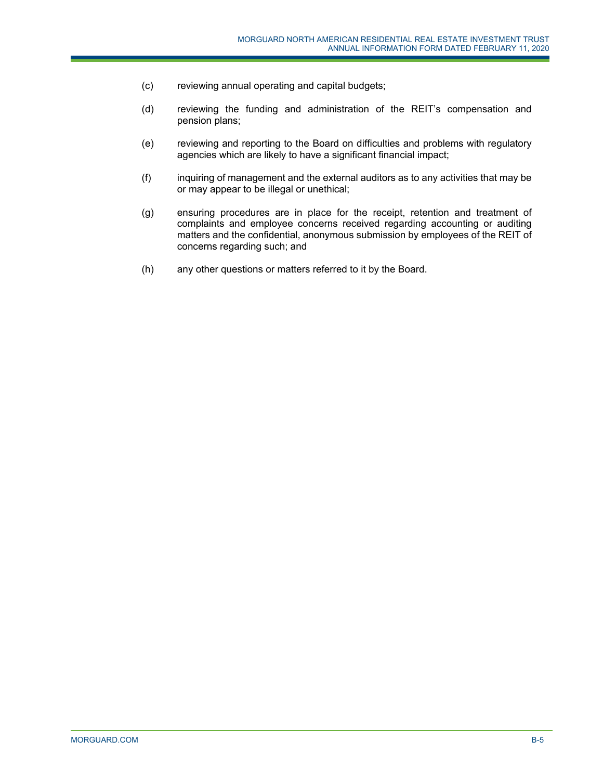- (c) reviewing annual operating and capital budgets;
- (d) reviewing the funding and administration of the REIT's compensation and pension plans;
- (e) reviewing and reporting to the Board on difficulties and problems with regulatory agencies which are likely to have a significant financial impact;
- (f) inquiring of management and the external auditors as to any activities that may be or may appear to be illegal or unethical;
- (g) ensuring procedures are in place for the receipt, retention and treatment of complaints and employee concerns received regarding accounting or auditing matters and the confidential, anonymous submission by employees of the REIT of concerns regarding such; and
- (h) any other questions or matters referred to it by the Board.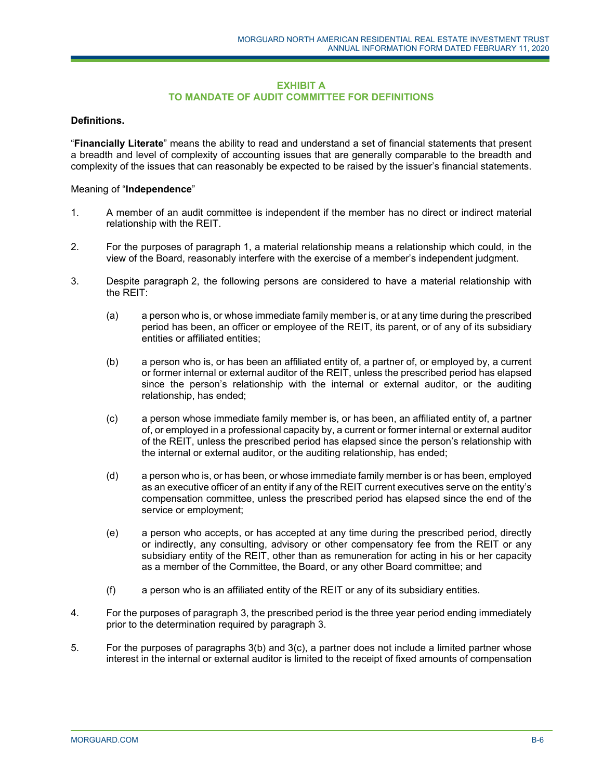## **EXHIBIT A TO MANDATE OF AUDIT COMMITTEE FOR DEFINITIONS**

## **Definitions.**

"**Financially Literate**" means the ability to read and understand a set of financial statements that present a breadth and level of complexity of accounting issues that are generally comparable to the breadth and complexity of the issues that can reasonably be expected to be raised by the issuer's financial statements.

## Meaning of "**Independence**"

- 1. A member of an audit committee is independent if the member has no direct or indirect material relationship with the REIT.
- 2. For the purposes of paragraph 1, a material relationship means a relationship which could, in the view of the Board, reasonably interfere with the exercise of a member's independent judgment.
- 3. Despite paragraph 2, the following persons are considered to have a material relationship with the REIT:
	- (a) a person who is, or whose immediate family member is, or at any time during the prescribed period has been, an officer or employee of the REIT, its parent, or of any of its subsidiary entities or affiliated entities;
	- (b) a person who is, or has been an affiliated entity of, a partner of, or employed by, a current or former internal or external auditor of the REIT, unless the prescribed period has elapsed since the person's relationship with the internal or external auditor, or the auditing relationship, has ended;
	- (c) a person whose immediate family member is, or has been, an affiliated entity of, a partner of, or employed in a professional capacity by, a current or former internal or external auditor of the REIT, unless the prescribed period has elapsed since the person's relationship with the internal or external auditor, or the auditing relationship, has ended;
	- (d) a person who is, or has been, or whose immediate family member is or has been, employed as an executive officer of an entity if any of the REIT current executives serve on the entity's compensation committee, unless the prescribed period has elapsed since the end of the service or employment;
	- (e) a person who accepts, or has accepted at any time during the prescribed period, directly or indirectly, any consulting, advisory or other compensatory fee from the REIT or any subsidiary entity of the REIT, other than as remuneration for acting in his or her capacity as a member of the Committee, the Board, or any other Board committee; and
	- (f) a person who is an affiliated entity of the REIT or any of its subsidiary entities.
- 4. For the purposes of paragraph 3, the prescribed period is the three year period ending immediately prior to the determination required by paragraph 3.
- 5. For the purposes of paragraphs 3(b) and 3(c), a partner does not include a limited partner whose interest in the internal or external auditor is limited to the receipt of fixed amounts of compensation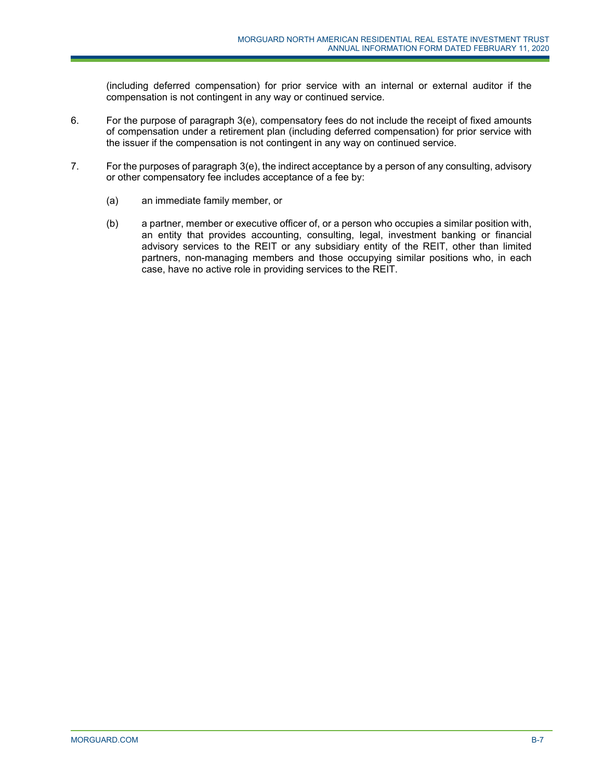(including deferred compensation) for prior service with an internal or external auditor if the compensation is not contingent in any way or continued service.

- 6. For the purpose of paragraph 3(e), compensatory fees do not include the receipt of fixed amounts of compensation under a retirement plan (including deferred compensation) for prior service with the issuer if the compensation is not contingent in any way on continued service.
- 7. For the purposes of paragraph 3(e), the indirect acceptance by a person of any consulting, advisory or other compensatory fee includes acceptance of a fee by:
	- (a) an immediate family member, or
	- (b) a partner, member or executive officer of, or a person who occupies a similar position with, an entity that provides accounting, consulting, legal, investment banking or financial advisory services to the REIT or any subsidiary entity of the REIT, other than limited partners, non-managing members and those occupying similar positions who, in each case, have no active role in providing services to the REIT.